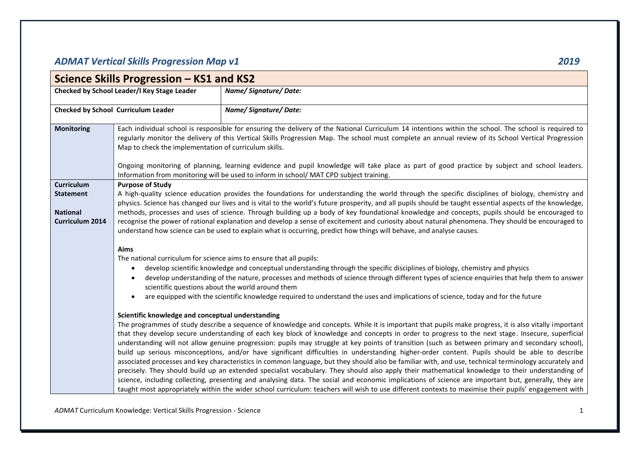# *ADMAT Vertical Skills Progression Map v1 2019*

|                        | Science Skills Progression - KS1 and KS2                                                                                                                                                                                                                                                                      |                                                                                                                                                                                                                                                                                                         |  |  |  |
|------------------------|---------------------------------------------------------------------------------------------------------------------------------------------------------------------------------------------------------------------------------------------------------------------------------------------------------------|---------------------------------------------------------------------------------------------------------------------------------------------------------------------------------------------------------------------------------------------------------------------------------------------------------|--|--|--|
|                        | Checked by School Leader/I Key Stage Leader                                                                                                                                                                                                                                                                   | Name/Signature/Date:                                                                                                                                                                                                                                                                                    |  |  |  |
|                        | <b>Checked by School Curriculum Leader</b>                                                                                                                                                                                                                                                                    | Name/Signature/Date:                                                                                                                                                                                                                                                                                    |  |  |  |
| <b>Monitoring</b>      |                                                                                                                                                                                                                                                                                                               | Each individual school is responsible for ensuring the delivery of the National Curriculum 14 intentions within the school. The school is required to                                                                                                                                                   |  |  |  |
|                        | regularly monitor the delivery of this Vertical Skills Progression Map. The school must complete an annual review of its School Vertical Progression<br>Map to check the implementation of curriculum skills.                                                                                                 |                                                                                                                                                                                                                                                                                                         |  |  |  |
|                        | Ongoing monitoring of planning, learning evidence and pupil knowledge will take place as part of good practice by subject and school leaders.<br>Information from monitoring will be used to inform in school/ MAT CPD subject training.                                                                      |                                                                                                                                                                                                                                                                                                         |  |  |  |
| Curriculum             | <b>Purpose of Study</b>                                                                                                                                                                                                                                                                                       |                                                                                                                                                                                                                                                                                                         |  |  |  |
| <b>Statement</b>       | A high-quality science education provides the foundations for understanding the world through the specific disciplines of biology, chemistry and<br>physics. Science has changed our lives and is vital to the world's future prosperity, and all pupils should be taught essential aspects of the knowledge, |                                                                                                                                                                                                                                                                                                         |  |  |  |
| <b>National</b>        | methods, processes and uses of science. Through building up a body of key foundational knowledge and concepts, pupils should be encouraged to                                                                                                                                                                 |                                                                                                                                                                                                                                                                                                         |  |  |  |
| <b>Curriculum 2014</b> | recognise the power of rational explanation and develop a sense of excitement and curiosity about natural phenomena. They should be encouraged to                                                                                                                                                             |                                                                                                                                                                                                                                                                                                         |  |  |  |
|                        | understand how science can be used to explain what is occurring, predict how things will behave, and analyse causes.                                                                                                                                                                                          |                                                                                                                                                                                                                                                                                                         |  |  |  |
|                        | Aims                                                                                                                                                                                                                                                                                                          |                                                                                                                                                                                                                                                                                                         |  |  |  |
|                        | The national curriculum for science aims to ensure that all pupils:                                                                                                                                                                                                                                           |                                                                                                                                                                                                                                                                                                         |  |  |  |
|                        | $\bullet$                                                                                                                                                                                                                                                                                                     | develop scientific knowledge and conceptual understanding through the specific disciplines of biology, chemistry and physics                                                                                                                                                                            |  |  |  |
|                        | $\bullet$                                                                                                                                                                                                                                                                                                     | develop understanding of the nature, processes and methods of science through different types of science enquiries that help them to answer                                                                                                                                                             |  |  |  |
|                        | scientific questions about the world around them                                                                                                                                                                                                                                                              |                                                                                                                                                                                                                                                                                                         |  |  |  |
|                        | $\bullet$                                                                                                                                                                                                                                                                                                     | are equipped with the scientific knowledge required to understand the uses and implications of science, today and for the future                                                                                                                                                                        |  |  |  |
|                        | Scientific knowledge and conceptual understanding                                                                                                                                                                                                                                                             |                                                                                                                                                                                                                                                                                                         |  |  |  |
|                        |                                                                                                                                                                                                                                                                                                               | The programmes of study describe a sequence of knowledge and concepts. While it is important that pupils make progress, it is also vitally important                                                                                                                                                    |  |  |  |
|                        | that they develop secure understanding of each key block of knowledge and concepts in order to progress to the next stage. Insecure, superficial                                                                                                                                                              |                                                                                                                                                                                                                                                                                                         |  |  |  |
|                        | understanding will not allow genuine progression: pupils may struggle at key points of transition (such as between primary and secondary school),                                                                                                                                                             |                                                                                                                                                                                                                                                                                                         |  |  |  |
|                        |                                                                                                                                                                                                                                                                                                               | build up serious misconceptions, and/or have significant difficulties in understanding higher-order content. Pupils should be able to describe<br>associated processes and key characteristics in common language, but they should also be familiar with, and use, technical terminology accurately and |  |  |  |
|                        |                                                                                                                                                                                                                                                                                                               | precisely. They should build up an extended specialist vocabulary. They should also apply their mathematical knowledge to their understanding of                                                                                                                                                        |  |  |  |
|                        |                                                                                                                                                                                                                                                                                                               | science, including collecting, presenting and analysing data. The social and economic implications of science are important but, generally, they are                                                                                                                                                    |  |  |  |
|                        |                                                                                                                                                                                                                                                                                                               | taught most appropriately within the wider school curriculum: teachers will wish to use different contexts to maximise their pupils' engagement with                                                                                                                                                    |  |  |  |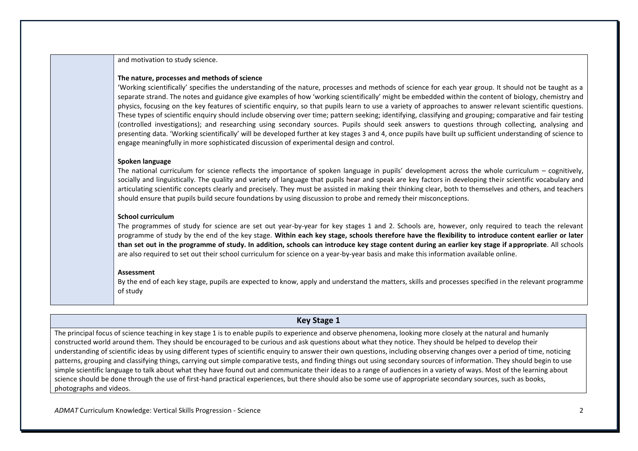and motivation to study science.

#### **The nature, processes and methods of science**

'Working scientifically' specifies the understanding of the nature, processes and methods of science for each year group. It should not be taught as a separate strand. The notes and guidance give examples of how 'working scientifically' might be embedded within the content of biology, chemistry and physics, focusing on the key features of scientific enquiry, so that pupils learn to use a variety of approaches to answer relevant scientific questions. These types of scientific enquiry should include observing over time; pattern seeking; identifying, classifying and grouping; comparative and fair testing (controlled investigations); and researching using secondary sources. Pupils should seek answers to questions through collecting, analysing and presenting data. 'Working scientifically' will be developed further at key stages 3 and 4, once pupils have built up sufficient understanding of science to engage meaningfully in more sophisticated discussion of experimental design and control.

#### **Spoken language**

The national curriculum for science reflects the importance of spoken language in pupils' development across the whole curriculum – cognitively, socially and linguistically. The quality and variety of language that pupils hear and speak are key factors in developing their scientific vocabulary and articulating scientific concepts clearly and precisely. They must be assisted in making their thinking clear, both to themselves and others, and teachers should ensure that pupils build secure foundations by using discussion to probe and remedy their misconceptions.

## **School curriculum**

The programmes of study for science are set out year-by-year for key stages 1 and 2. Schools are, however, only required to teach the relevant programme of study by the end of the key stage. **Within each key stage, schools therefore have the flexibility to introduce content earlier or later than set out in the programme of study. In addition, schools can introduce key stage content during an earlier key stage if appropriate**. All schools are also required to set out their school curriculum for science on a year-by-year basis and make this information available online.

## **Assessment**

By the end of each key stage, pupils are expected to know, apply and understand the matters, skills and processes specified in the relevant programme of study

# **Key Stage 1**

The principal focus of science teaching in key stage 1 is to enable pupils to experience and observe phenomena, looking more closely at the natural and humanly constructed world around them. They should be encouraged to be curious and ask questions about what they notice. They should be helped to develop their understanding of scientific ideas by using different types of scientific enquiry to answer their own questions, including observing changes over a period of time, noticing patterns, grouping and classifying things, carrying out simple comparative tests, and finding things out using secondary sources of information. They should begin to use simple scientific language to talk about what they have found out and communicate their ideas to a range of audiences in a variety of ways. Most of the learning about science should be done through the use of first-hand practical experiences, but there should also be some use of appropriate secondary sources, such as books, photographs and videos.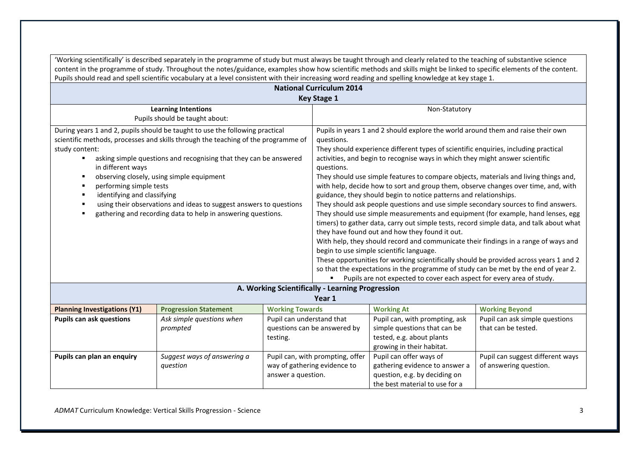| 'Working scientifically' is described separately in the programme of study but must always be taught through and clearly related to the teaching of substantive science<br>content in the programme of study. Throughout the notes/guidance, examples show how scientific methods and skills might be linked to specific elements of the content.<br>Pupils should read and spell scientific vocabulary at a level consistent with their increasing word reading and spelling knowledge at key stage 1.                                                      |                                                               |                                                                                                                                                                                                                                                                                                                                                                                                                                                                                                                                                                                                                                                                                                                                                                                                                                                                                                                                                                                                                                                                                             |                                                                                                                                                              |                                                                                                                              |                                                            |
|--------------------------------------------------------------------------------------------------------------------------------------------------------------------------------------------------------------------------------------------------------------------------------------------------------------------------------------------------------------------------------------------------------------------------------------------------------------------------------------------------------------------------------------------------------------|---------------------------------------------------------------|---------------------------------------------------------------------------------------------------------------------------------------------------------------------------------------------------------------------------------------------------------------------------------------------------------------------------------------------------------------------------------------------------------------------------------------------------------------------------------------------------------------------------------------------------------------------------------------------------------------------------------------------------------------------------------------------------------------------------------------------------------------------------------------------------------------------------------------------------------------------------------------------------------------------------------------------------------------------------------------------------------------------------------------------------------------------------------------------|--------------------------------------------------------------------------------------------------------------------------------------------------------------|------------------------------------------------------------------------------------------------------------------------------|------------------------------------------------------------|
|                                                                                                                                                                                                                                                                                                                                                                                                                                                                                                                                                              |                                                               |                                                                                                                                                                                                                                                                                                                                                                                                                                                                                                                                                                                                                                                                                                                                                                                                                                                                                                                                                                                                                                                                                             | <b>National Curriculum 2014</b>                                                                                                                              |                                                                                                                              |                                                            |
|                                                                                                                                                                                                                                                                                                                                                                                                                                                                                                                                                              | <b>Learning Intentions</b>                                    |                                                                                                                                                                                                                                                                                                                                                                                                                                                                                                                                                                                                                                                                                                                                                                                                                                                                                                                                                                                                                                                                                             | <b>Key Stage 1</b>                                                                                                                                           | Non-Statutory                                                                                                                |                                                            |
|                                                                                                                                                                                                                                                                                                                                                                                                                                                                                                                                                              |                                                               |                                                                                                                                                                                                                                                                                                                                                                                                                                                                                                                                                                                                                                                                                                                                                                                                                                                                                                                                                                                                                                                                                             |                                                                                                                                                              |                                                                                                                              |                                                            |
| Pupils should be taught about:<br>During years 1 and 2, pupils should be taught to use the following practical<br>scientific methods, processes and skills through the teaching of the programme of<br>study content:<br>asking simple questions and recognising that they can be answered<br>in different ways<br>observing closely, using simple equipment<br>performing simple tests<br>identifying and classifying<br>using their observations and ideas to suggest answers to questions<br>gathering and recording data to help in answering questions. |                                                               | Pupils in years 1 and 2 should explore the world around them and raise their own<br>questions.<br>They should experience different types of scientific enquiries, including practical<br>activities, and begin to recognise ways in which they might answer scientific<br>questions.<br>They should use simple features to compare objects, materials and living things and,<br>with help, decide how to sort and group them, observe changes over time, and, with<br>guidance, they should begin to notice patterns and relationships.<br>They should ask people questions and use simple secondary sources to find answers.<br>They should use simple measurements and equipment (for example, hand lenses, egg<br>timers) to gather data, carry out simple tests, record simple data, and talk about what<br>they have found out and how they found it out.<br>With help, they should record and communicate their findings in a range of ways and<br>begin to use simple scientific language.<br>These opportunities for working scientifically should be provided across years 1 and 2 |                                                                                                                                                              |                                                                                                                              |                                                            |
|                                                                                                                                                                                                                                                                                                                                                                                                                                                                                                                                                              |                                                               |                                                                                                                                                                                                                                                                                                                                                                                                                                                                                                                                                                                                                                                                                                                                                                                                                                                                                                                                                                                                                                                                                             | so that the expectations in the programme of study can be met by the end of year 2.<br>Pupils are not expected to cover each aspect for every area of study. |                                                                                                                              |                                                            |
|                                                                                                                                                                                                                                                                                                                                                                                                                                                                                                                                                              |                                                               |                                                                                                                                                                                                                                                                                                                                                                                                                                                                                                                                                                                                                                                                                                                                                                                                                                                                                                                                                                                                                                                                                             | A. Working Scientifically - Learning Progression                                                                                                             |                                                                                                                              |                                                            |
|                                                                                                                                                                                                                                                                                                                                                                                                                                                                                                                                                              |                                                               |                                                                                                                                                                                                                                                                                                                                                                                                                                                                                                                                                                                                                                                                                                                                                                                                                                                                                                                                                                                                                                                                                             | Year 1                                                                                                                                                       |                                                                                                                              |                                                            |
| <b>Planning Investigations (Y1)</b>                                                                                                                                                                                                                                                                                                                                                                                                                                                                                                                          | <b>Progression Statement</b>                                  | <b>Working Towards</b>                                                                                                                                                                                                                                                                                                                                                                                                                                                                                                                                                                                                                                                                                                                                                                                                                                                                                                                                                                                                                                                                      |                                                                                                                                                              | <b>Working At</b>                                                                                                            | <b>Working Beyond</b>                                      |
| <b>Pupils can ask questions</b>                                                                                                                                                                                                                                                                                                                                                                                                                                                                                                                              | Ask simple questions when                                     | Pupil can understand that                                                                                                                                                                                                                                                                                                                                                                                                                                                                                                                                                                                                                                                                                                                                                                                                                                                                                                                                                                                                                                                                   |                                                                                                                                                              | Pupil can, with prompting, ask                                                                                               | Pupil can ask simple questions                             |
|                                                                                                                                                                                                                                                                                                                                                                                                                                                                                                                                                              | prompted<br>testing.                                          |                                                                                                                                                                                                                                                                                                                                                                                                                                                                                                                                                                                                                                                                                                                                                                                                                                                                                                                                                                                                                                                                                             | questions can be answered by                                                                                                                                 | simple questions that can be<br>tested, e.g. about plants<br>growing in their habitat.                                       | that can be tested.                                        |
| Pupils can plan an enquiry                                                                                                                                                                                                                                                                                                                                                                                                                                                                                                                                   | Suggest ways of answering a<br>question<br>answer a question. |                                                                                                                                                                                                                                                                                                                                                                                                                                                                                                                                                                                                                                                                                                                                                                                                                                                                                                                                                                                                                                                                                             | Pupil can, with prompting, offer<br>way of gathering evidence to                                                                                             | Pupil can offer ways of<br>gathering evidence to answer a<br>question, e.g. by deciding on<br>the best material to use for a | Pupil can suggest different ways<br>of answering question. |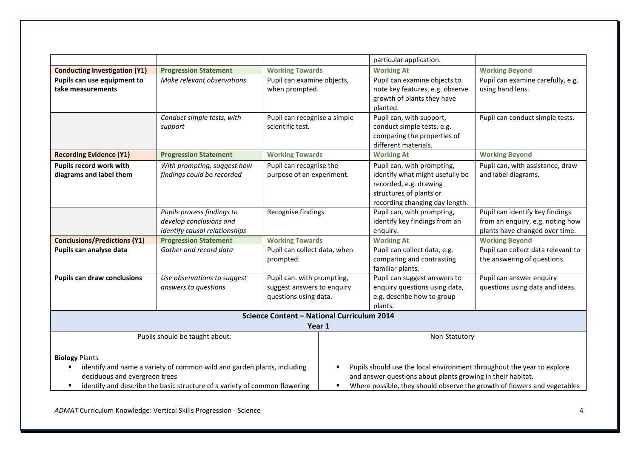|                                                             |                                                                                                                                                       |                                                                                   |        | particular application.                                                                                                                                                                                           |                                                                   |
|-------------------------------------------------------------|-------------------------------------------------------------------------------------------------------------------------------------------------------|-----------------------------------------------------------------------------------|--------|-------------------------------------------------------------------------------------------------------------------------------------------------------------------------------------------------------------------|-------------------------------------------------------------------|
| <b>Conducting Investigation (Y1)</b>                        | <b>Progression Statement</b>                                                                                                                          | <b>Working Towards</b>                                                            |        | <b>Working At</b>                                                                                                                                                                                                 | <b>Working Beyond</b>                                             |
| Pupils can use equipment to<br>take measurements            | Make relevant observations                                                                                                                            | Pupil can examine objects,<br>when prompted.                                      |        | Pupil can examine objects to<br>note key features, e.g. observe<br>growth of plants they have<br>planted.                                                                                                         | Pupil can examine carefully, e.g.<br>using hand lens.             |
|                                                             | Conduct simple tests, with<br>support                                                                                                                 | Pupil can recognise a simple<br>scientific test.                                  |        | Pupil can, with support,<br>conduct simple tests, e.g.<br>comparing the properties of<br>different materials.                                                                                                     | Pupil can conduct simple tests.                                   |
| <b>Recording Evidence (Y1)</b>                              | <b>Progression Statement</b>                                                                                                                          | <b>Working Towards</b>                                                            |        | <b>Working At</b>                                                                                                                                                                                                 | <b>Working Beyond</b>                                             |
| Pupils record work with<br>diagrams and label them          | With prompting, suggest how<br>findings could be recorded                                                                                             | Pupil can recognise the<br>purpose of an experiment.                              |        | Pupil can, with prompting,<br>identify what might usefully be<br>recorded, e.g. drawing<br>structures of plants or<br>recording changing day length.                                                              | Pupil can, with assistance, draw<br>and label diagrams.           |
|                                                             | Pupils process findings to                                                                                                                            | Recognise findings                                                                |        | Pupil can, with prompting,                                                                                                                                                                                        | Pupil can identify key findings                                   |
|                                                             | develop conclusions and                                                                                                                               |                                                                                   |        | identify key findings from an                                                                                                                                                                                     | from an enquiry, e.g. noting how                                  |
|                                                             | identify causal relationships                                                                                                                         |                                                                                   |        | enquiry.                                                                                                                                                                                                          | plants have changed over time.                                    |
| <b>Conclusions/Predictions (Y1)</b>                         | <b>Progression Statement</b>                                                                                                                          | <b>Working Towards</b>                                                            |        | <b>Working At</b>                                                                                                                                                                                                 | <b>Working Beyond</b>                                             |
| Pupils can analyse data                                     | Gather and record data                                                                                                                                | Pupil can collect data, when<br>prompted.                                         |        | Pupil can collect data, e.g.<br>comparing and contrasting<br>familiar plants.                                                                                                                                     | Pupil can collect data relevant to<br>the answering of questions. |
| <b>Pupils can draw conclusions</b>                          | Use observations to suggest<br>answers to questions                                                                                                   | Pupil can. with prompting,<br>suggest answers to enquiry<br>questions using data. |        | Pupil can suggest answers to<br>enquiry questions using data,<br>e.g. describe how to group<br>plants.                                                                                                            | Pupil can answer enquiry<br>questions using data and ideas.       |
|                                                             |                                                                                                                                                       | Science Content - National Curriculum 2014                                        |        |                                                                                                                                                                                                                   |                                                                   |
|                                                             |                                                                                                                                                       |                                                                                   | Year 1 |                                                                                                                                                                                                                   |                                                                   |
|                                                             | Pupils should be taught about:                                                                                                                        |                                                                                   |        | Non-Statutory                                                                                                                                                                                                     |                                                                   |
| <b>Biology Plants</b><br>deciduous and evergreen trees<br>٠ | identify and name a variety of common wild and garden plants, including<br>identify and describe the basic structure of a variety of common flowering |                                                                                   |        | Pupils should use the local environment throughout the year to explore<br>and answer questions about plants growing in their habitat.<br>Where possible, they should observe the growth of flowers and vegetables |                                                                   |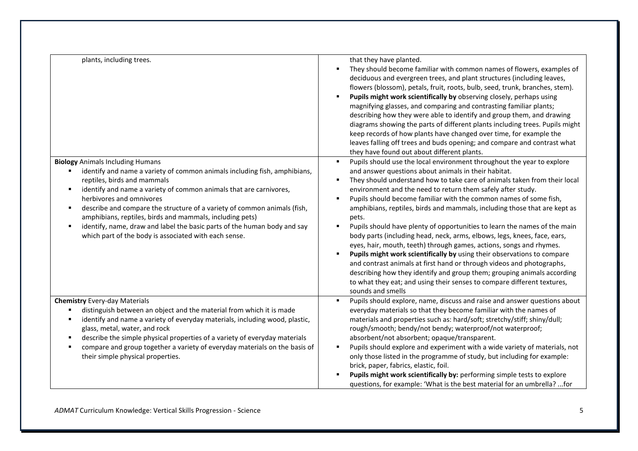| plants, including trees.                                                                                                                                                                                                                                                                                                                                                                                                                                                                                                                                       | that they have planted.<br>They should become familiar with common names of flowers, examples of<br>deciduous and evergreen trees, and plant structures (including leaves,<br>flowers (blossom), petals, fruit, roots, bulb, seed, trunk, branches, stem).<br>Pupils might work scientifically by observing closely, perhaps using<br>magnifying glasses, and comparing and contrasting familiar plants;<br>describing how they were able to identify and group them, and drawing<br>diagrams showing the parts of different plants including trees. Pupils might<br>keep records of how plants have changed over time, for example the<br>leaves falling off trees and buds opening; and compare and contrast what<br>they have found out about different plants.                                                                                                                                                                                                                                                                       |
|----------------------------------------------------------------------------------------------------------------------------------------------------------------------------------------------------------------------------------------------------------------------------------------------------------------------------------------------------------------------------------------------------------------------------------------------------------------------------------------------------------------------------------------------------------------|------------------------------------------------------------------------------------------------------------------------------------------------------------------------------------------------------------------------------------------------------------------------------------------------------------------------------------------------------------------------------------------------------------------------------------------------------------------------------------------------------------------------------------------------------------------------------------------------------------------------------------------------------------------------------------------------------------------------------------------------------------------------------------------------------------------------------------------------------------------------------------------------------------------------------------------------------------------------------------------------------------------------------------------|
| <b>Biology</b> Animals Including Humans<br>identify and name a variety of common animals including fish, amphibians,<br>٠<br>reptiles, birds and mammals<br>identify and name a variety of common animals that are carnivores,<br>٠<br>herbivores and omnivores<br>describe and compare the structure of a variety of common animals (fish,<br>$\blacksquare$<br>amphibians, reptiles, birds and mammals, including pets)<br>identify, name, draw and label the basic parts of the human body and say<br>which part of the body is associated with each sense. | Pupils should use the local environment throughout the year to explore<br>$\blacksquare$<br>and answer questions about animals in their habitat.<br>They should understand how to take care of animals taken from their local<br>environment and the need to return them safely after study.<br>Pupils should become familiar with the common names of some fish,<br>$\blacksquare$<br>amphibians, reptiles, birds and mammals, including those that are kept as<br>pets.<br>Pupils should have plenty of opportunities to learn the names of the main<br>body parts (including head, neck, arms, elbows, legs, knees, face, ears,<br>eyes, hair, mouth, teeth) through games, actions, songs and rhymes.<br>Pupils might work scientifically by using their observations to compare<br>and contrast animals at first hand or through videos and photographs,<br>describing how they identify and group them; grouping animals according<br>to what they eat; and using their senses to compare different textures,<br>sounds and smells |
| <b>Chemistry Every-day Materials</b><br>distinguish between an object and the material from which it is made<br>identify and name a variety of everyday materials, including wood, plastic,<br>glass, metal, water, and rock<br>describe the simple physical properties of a variety of everyday materials<br>compare and group together a variety of everyday materials on the basis of<br>their simple physical properties.                                                                                                                                  | Pupils should explore, name, discuss and raise and answer questions about<br>$\blacksquare$<br>everyday materials so that they become familiar with the names of<br>materials and properties such as: hard/soft; stretchy/stiff; shiny/dull;<br>rough/smooth; bendy/not bendy; waterproof/not waterproof;<br>absorbent/not absorbent; opaque/transparent.<br>Pupils should explore and experiment with a wide variety of materials, not<br>only those listed in the programme of study, but including for example:<br>brick, paper, fabrics, elastic, foil.<br>Pupils might work scientifically by: performing simple tests to explore<br>questions, for example: 'What is the best material for an umbrella?  for                                                                                                                                                                                                                                                                                                                       |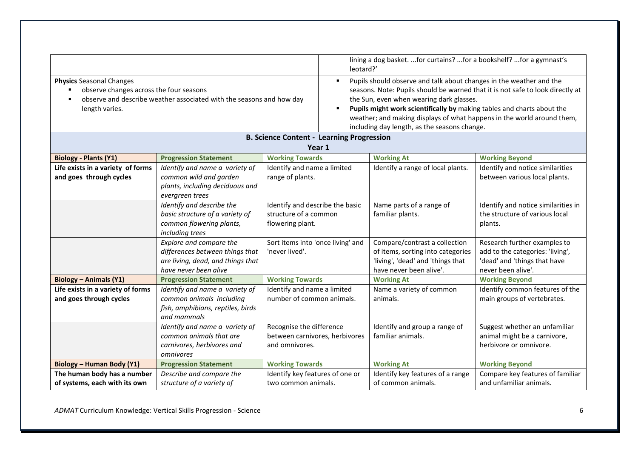| <b>Physics Seasonal Changes</b><br>observe changes across the four seasons<br>observe and describe weather associated with the seasons and how day<br>length varies.<br><b>B. Science Content - Learning Progression</b> |                                                             |                                           | leotard?' | lining a dog basket. for curtains? for a bookshelf? for a gymnast's<br>Pupils should observe and talk about changes in the weather and the<br>the Sun, even when wearing dark glasses.<br>Pupils might work scientifically by making tables and charts about the<br>weather; and making displays of what happens in the world around them,<br>including day length, as the seasons change. | seasons. Note: Pupils should be warned that it is not safe to look directly at |
|--------------------------------------------------------------------------------------------------------------------------------------------------------------------------------------------------------------------------|-------------------------------------------------------------|-------------------------------------------|-----------|--------------------------------------------------------------------------------------------------------------------------------------------------------------------------------------------------------------------------------------------------------------------------------------------------------------------------------------------------------------------------------------------|--------------------------------------------------------------------------------|
|                                                                                                                                                                                                                          |                                                             | Year 1                                    |           |                                                                                                                                                                                                                                                                                                                                                                                            |                                                                                |
| <b>Biology - Plants (Y1)</b>                                                                                                                                                                                             | <b>Progression Statement</b>                                | <b>Working Towards</b>                    |           | <b>Working At</b>                                                                                                                                                                                                                                                                                                                                                                          | <b>Working Beyond</b>                                                          |
| Life exists in a variety of forms                                                                                                                                                                                        | Identify and name a variety of                              | Identify and name a limited               |           | Identify a range of local plants.                                                                                                                                                                                                                                                                                                                                                          | Identify and notice similarities                                               |
| and goes through cycles                                                                                                                                                                                                  | common wild and garden                                      | range of plants.                          |           |                                                                                                                                                                                                                                                                                                                                                                                            | between various local plants.                                                  |
|                                                                                                                                                                                                                          | plants, including deciduous and                             |                                           |           |                                                                                                                                                                                                                                                                                                                                                                                            |                                                                                |
|                                                                                                                                                                                                                          | evergreen trees                                             |                                           |           |                                                                                                                                                                                                                                                                                                                                                                                            |                                                                                |
|                                                                                                                                                                                                                          | Identify and describe the                                   | Identify and describe the basic           |           | Name parts of a range of                                                                                                                                                                                                                                                                                                                                                                   | Identify and notice similarities in<br>the structure of various local          |
|                                                                                                                                                                                                                          | basic structure of a variety of<br>common flowering plants, | structure of a common<br>flowering plant. |           | familiar plants.                                                                                                                                                                                                                                                                                                                                                                           | plants.                                                                        |
|                                                                                                                                                                                                                          | including trees                                             |                                           |           |                                                                                                                                                                                                                                                                                                                                                                                            |                                                                                |
|                                                                                                                                                                                                                          | Explore and compare the                                     | Sort items into 'once living' and         |           | Compare/contrast a collection                                                                                                                                                                                                                                                                                                                                                              | Research further examples to                                                   |
|                                                                                                                                                                                                                          | differences between things that                             | 'never lived'.                            |           | of items, sorting into categories                                                                                                                                                                                                                                                                                                                                                          | add to the categories: 'living',                                               |
|                                                                                                                                                                                                                          | are living, dead, and things that                           |                                           |           | 'living', 'dead' and 'things that                                                                                                                                                                                                                                                                                                                                                          | 'dead' and 'things that have                                                   |
|                                                                                                                                                                                                                          | have never been alive                                       |                                           |           | have never been alive'.                                                                                                                                                                                                                                                                                                                                                                    | never been alive'.                                                             |
| <b>Biology - Animals (Y1)</b>                                                                                                                                                                                            | <b>Progression Statement</b>                                | <b>Working Towards</b>                    |           | <b>Working At</b>                                                                                                                                                                                                                                                                                                                                                                          | <b>Working Beyond</b>                                                          |
| Life exists in a variety of forms                                                                                                                                                                                        | Identify and name a variety of                              | Identify and name a limited               |           | Name a variety of common                                                                                                                                                                                                                                                                                                                                                                   | Identify common features of the                                                |
| and goes through cycles                                                                                                                                                                                                  | common animals including                                    | number of common animals.                 |           | animals.                                                                                                                                                                                                                                                                                                                                                                                   | main groups of vertebrates.                                                    |
|                                                                                                                                                                                                                          | fish, amphibians, reptiles, birds                           |                                           |           |                                                                                                                                                                                                                                                                                                                                                                                            |                                                                                |
|                                                                                                                                                                                                                          | and mammals                                                 |                                           |           |                                                                                                                                                                                                                                                                                                                                                                                            |                                                                                |
|                                                                                                                                                                                                                          | Identify and name a variety of                              | Recognise the difference                  |           | Identify and group a range of                                                                                                                                                                                                                                                                                                                                                              | Suggest whether an unfamiliar                                                  |
|                                                                                                                                                                                                                          | common animals that are                                     | between carnivores, herbivores            |           | familiar animals.                                                                                                                                                                                                                                                                                                                                                                          | animal might be a carnivore,                                                   |
|                                                                                                                                                                                                                          | carnivores, herbivores and                                  | and omnivores.                            |           |                                                                                                                                                                                                                                                                                                                                                                                            | herbivore or omnivore.                                                         |
| <b>Biology - Human Body (Y1)</b>                                                                                                                                                                                         | omnivores<br><b>Progression Statement</b>                   | <b>Working Towards</b>                    |           | <b>Working At</b>                                                                                                                                                                                                                                                                                                                                                                          | <b>Working Beyond</b>                                                          |
| The human body has a number                                                                                                                                                                                              | Describe and compare the                                    | Identify key features of one or           |           | Identify key features of a range                                                                                                                                                                                                                                                                                                                                                           | Compare key features of familiar                                               |
| of systems, each with its own                                                                                                                                                                                            | structure of a variety of                                   | two common animals.                       |           | of common animals.                                                                                                                                                                                                                                                                                                                                                                         | and unfamiliar animals.                                                        |
|                                                                                                                                                                                                                          |                                                             |                                           |           |                                                                                                                                                                                                                                                                                                                                                                                            |                                                                                |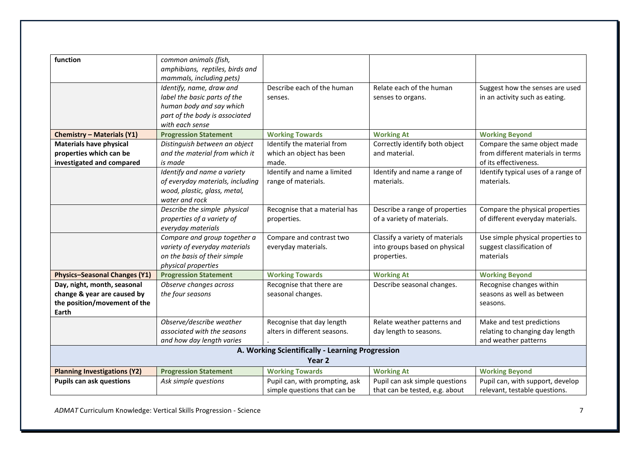| function                             | common animals (fish,            |                                                  |                                 |                                     |
|--------------------------------------|----------------------------------|--------------------------------------------------|---------------------------------|-------------------------------------|
|                                      |                                  |                                                  |                                 |                                     |
|                                      | amphibians, reptiles, birds and  |                                                  |                                 |                                     |
|                                      | mammals, including pets)         |                                                  |                                 |                                     |
|                                      | Identify, name, draw and         | Describe each of the human                       | Relate each of the human        | Suggest how the senses are used     |
|                                      | label the basic parts of the     | senses.                                          | senses to organs.               | in an activity such as eating.      |
|                                      | human body and say which         |                                                  |                                 |                                     |
|                                      | part of the body is associated   |                                                  |                                 |                                     |
|                                      | with each sense                  |                                                  |                                 |                                     |
| <b>Chemistry - Materials (Y1)</b>    | <b>Progression Statement</b>     | <b>Working Towards</b>                           | <b>Working At</b>               | <b>Working Beyond</b>               |
| <b>Materials have physical</b>       | Distinguish between an object    | Identify the material from                       | Correctly identify both object  | Compare the same object made        |
| properties which can be              | and the material from which it   | which an object has been                         | and material.                   | from different materials in terms   |
| investigated and compared            | is made                          | made.                                            |                                 | of its effectiveness.               |
|                                      | Identify and name a variety      | Identify and name a limited                      | Identify and name a range of    | Identify typical uses of a range of |
|                                      | of everyday materials, including | range of materials.                              | materials.                      | materials.                          |
|                                      | wood, plastic, glass, metal,     |                                                  |                                 |                                     |
|                                      | water and rock                   |                                                  |                                 |                                     |
|                                      | Describe the simple physical     | Recognise that a material has                    | Describe a range of properties  | Compare the physical properties     |
|                                      | properties of a variety of       | properties.                                      | of a variety of materials.      | of different everyday materials.    |
|                                      | everyday materials               |                                                  |                                 |                                     |
|                                      | Compare and group together a     | Compare and contrast two                         | Classify a variety of materials | Use simple physical properties to   |
|                                      | variety of everyday materials    | everyday materials.                              | into groups based on physical   | suggest classification of           |
|                                      | on the basis of their simple     |                                                  | properties.                     | materials                           |
|                                      | physical properties              |                                                  |                                 |                                     |
| <b>Physics-Seasonal Changes (Y1)</b> | <b>Progression Statement</b>     | <b>Working Towards</b>                           | <b>Working At</b>               | <b>Working Beyond</b>               |
| Day, night, month, seasonal          | Observe changes across           | Recognise that there are                         | Describe seasonal changes.      | Recognise changes within            |
| change & year are caused by          | the four seasons                 | seasonal changes.                                |                                 | seasons as well as between          |
| the position/movement of the         |                                  |                                                  |                                 | seasons.                            |
| Earth                                |                                  |                                                  |                                 |                                     |
|                                      | Observe/describe weather         | Recognise that day length                        | Relate weather patterns and     | Make and test predictions           |
|                                      | associated with the seasons      | alters in different seasons.                     | day length to seasons.          | relating to changing day length     |
|                                      | and how day length varies        |                                                  |                                 | and weather patterns                |
|                                      |                                  | A. Working Scientifically - Learning Progression |                                 |                                     |
|                                      |                                  | Year 2                                           |                                 |                                     |
| <b>Planning Investigations (Y2)</b>  | <b>Progression Statement</b>     | <b>Working Towards</b>                           | <b>Working At</b>               | <b>Working Beyond</b>               |
| <b>Pupils can ask questions</b>      | Ask simple questions             | Pupil can, with prompting, ask                   | Pupil can ask simple questions  | Pupil can, with support, develop    |
|                                      |                                  | simple questions that can be                     | that can be tested, e.g. about  | relevant, testable questions.       |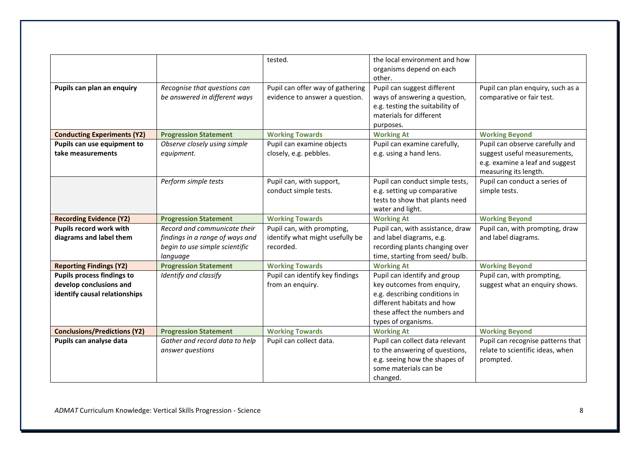|                                                                                               |                                                                                                               | tested.                                                                    | the local environment and how<br>organisms depend on each<br>other.                                                                                                              |                                                                                                                             |
|-----------------------------------------------------------------------------------------------|---------------------------------------------------------------------------------------------------------------|----------------------------------------------------------------------------|----------------------------------------------------------------------------------------------------------------------------------------------------------------------------------|-----------------------------------------------------------------------------------------------------------------------------|
| Pupils can plan an enquiry                                                                    | Recognise that questions can<br>be answered in different ways                                                 | Pupil can offer way of gathering<br>evidence to answer a question.         | Pupil can suggest different<br>ways of answering a question,<br>e.g. testing the suitability of<br>materials for different<br>purposes.                                          | Pupil can plan enquiry, such as a<br>comparative or fair test.                                                              |
| <b>Conducting Experiments (Y2)</b>                                                            | <b>Progression Statement</b>                                                                                  | <b>Working Towards</b>                                                     | <b>Working At</b>                                                                                                                                                                | <b>Working Beyond</b>                                                                                                       |
| Pupils can use equipment to<br>take measurements                                              | Observe closely using simple<br>equipment.                                                                    | Pupil can examine objects<br>closely, e.g. pebbles.                        | Pupil can examine carefully,<br>e.g. using a hand lens.                                                                                                                          | Pupil can observe carefully and<br>suggest useful measurements,<br>e.g. examine a leaf and suggest<br>measuring its length. |
|                                                                                               | Perform simple tests                                                                                          | Pupil can, with support,<br>conduct simple tests.                          | Pupil can conduct simple tests,<br>e.g. setting up comparative<br>tests to show that plants need<br>water and light.                                                             | Pupil can conduct a series of<br>simple tests.                                                                              |
| <b>Recording Evidence (Y2)</b>                                                                | <b>Progression Statement</b>                                                                                  | <b>Working Towards</b>                                                     | <b>Working At</b>                                                                                                                                                                | <b>Working Beyond</b>                                                                                                       |
| Pupils record work with<br>diagrams and label them                                            | Record and communicate their<br>findings in a range of ways and<br>begin to use simple scientific<br>language | Pupil can, with prompting,<br>identify what might usefully be<br>recorded. | Pupil can, with assistance, draw<br>and label diagrams, e.g.<br>recording plants changing over<br>time, starting from seed/ bulb.                                                | Pupil can, with prompting, draw<br>and label diagrams.                                                                      |
| <b>Reporting Findings (Y2)</b>                                                                | <b>Progression Statement</b>                                                                                  | <b>Working Towards</b>                                                     | <b>Working At</b>                                                                                                                                                                | <b>Working Beyond</b>                                                                                                       |
| <b>Pupils process findings to</b><br>develop conclusions and<br>identify causal relationships | Identify and classify                                                                                         | Pupil can identify key findings<br>from an enquiry.                        | Pupil can identify and group<br>key outcomes from enquiry,<br>e.g. describing conditions in<br>different habitats and how<br>these affect the numbers and<br>types of organisms. | Pupil can, with prompting,<br>suggest what an enquiry shows.                                                                |
| <b>Conclusions/Predictions (Y2)</b>                                                           | <b>Progression Statement</b>                                                                                  | <b>Working Towards</b>                                                     | <b>Working At</b>                                                                                                                                                                | <b>Working Beyond</b>                                                                                                       |
| Pupils can analyse data                                                                       | Gather and record data to help<br>answer questions                                                            | Pupil can collect data.                                                    | Pupil can collect data relevant<br>to the answering of questions,<br>e.g. seeing how the shapes of<br>some materials can be<br>changed.                                          | Pupil can recognise patterns that<br>relate to scientific ideas, when<br>prompted.                                          |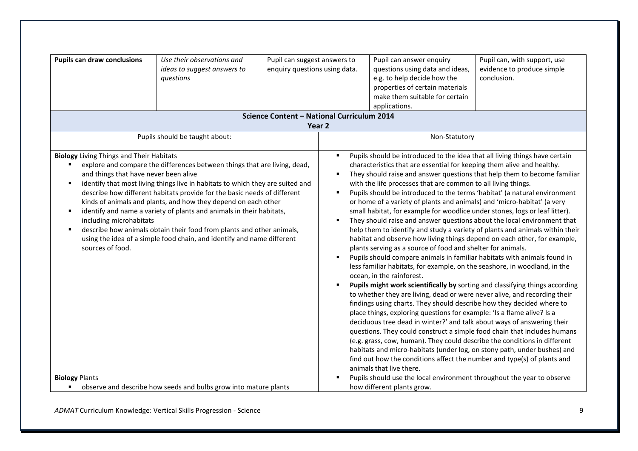| <b>Pupils can draw conclusions</b>                                                                                                                     | Use their observations and                                                                                                                                                                                                                                                                                                                                                                                                                                                                                                           | Pupil can suggest answers to               |                            | Pupil can answer enquiry                                                                                                                                                                                                                                                                                                                                                                                                                                                                                                                                                                                                                                                                                                                                                                                                                                                                                                                                                                                                                                                                                                                                                                                                                                                                                                                                                                                                                                                                                                                                                                                                                                                                                                                                                    | Pupil can, with support, use |
|--------------------------------------------------------------------------------------------------------------------------------------------------------|--------------------------------------------------------------------------------------------------------------------------------------------------------------------------------------------------------------------------------------------------------------------------------------------------------------------------------------------------------------------------------------------------------------------------------------------------------------------------------------------------------------------------------------|--------------------------------------------|----------------------------|-----------------------------------------------------------------------------------------------------------------------------------------------------------------------------------------------------------------------------------------------------------------------------------------------------------------------------------------------------------------------------------------------------------------------------------------------------------------------------------------------------------------------------------------------------------------------------------------------------------------------------------------------------------------------------------------------------------------------------------------------------------------------------------------------------------------------------------------------------------------------------------------------------------------------------------------------------------------------------------------------------------------------------------------------------------------------------------------------------------------------------------------------------------------------------------------------------------------------------------------------------------------------------------------------------------------------------------------------------------------------------------------------------------------------------------------------------------------------------------------------------------------------------------------------------------------------------------------------------------------------------------------------------------------------------------------------------------------------------------------------------------------------------|------------------------------|
|                                                                                                                                                        | ideas to suggest answers to                                                                                                                                                                                                                                                                                                                                                                                                                                                                                                          | enquiry questions using data.              |                            | questions using data and ideas,                                                                                                                                                                                                                                                                                                                                                                                                                                                                                                                                                                                                                                                                                                                                                                                                                                                                                                                                                                                                                                                                                                                                                                                                                                                                                                                                                                                                                                                                                                                                                                                                                                                                                                                                             | evidence to produce simple   |
|                                                                                                                                                        | questions                                                                                                                                                                                                                                                                                                                                                                                                                                                                                                                            |                                            |                            | e.g. to help decide how the                                                                                                                                                                                                                                                                                                                                                                                                                                                                                                                                                                                                                                                                                                                                                                                                                                                                                                                                                                                                                                                                                                                                                                                                                                                                                                                                                                                                                                                                                                                                                                                                                                                                                                                                                 | conclusion.                  |
|                                                                                                                                                        |                                                                                                                                                                                                                                                                                                                                                                                                                                                                                                                                      |                                            |                            | properties of certain materials                                                                                                                                                                                                                                                                                                                                                                                                                                                                                                                                                                                                                                                                                                                                                                                                                                                                                                                                                                                                                                                                                                                                                                                                                                                                                                                                                                                                                                                                                                                                                                                                                                                                                                                                             |                              |
|                                                                                                                                                        |                                                                                                                                                                                                                                                                                                                                                                                                                                                                                                                                      |                                            |                            | make them suitable for certain                                                                                                                                                                                                                                                                                                                                                                                                                                                                                                                                                                                                                                                                                                                                                                                                                                                                                                                                                                                                                                                                                                                                                                                                                                                                                                                                                                                                                                                                                                                                                                                                                                                                                                                                              |                              |
|                                                                                                                                                        |                                                                                                                                                                                                                                                                                                                                                                                                                                                                                                                                      |                                            |                            | applications.                                                                                                                                                                                                                                                                                                                                                                                                                                                                                                                                                                                                                                                                                                                                                                                                                                                                                                                                                                                                                                                                                                                                                                                                                                                                                                                                                                                                                                                                                                                                                                                                                                                                                                                                                               |                              |
|                                                                                                                                                        |                                                                                                                                                                                                                                                                                                                                                                                                                                                                                                                                      | Science Content - National Curriculum 2014 |                            |                                                                                                                                                                                                                                                                                                                                                                                                                                                                                                                                                                                                                                                                                                                                                                                                                                                                                                                                                                                                                                                                                                                                                                                                                                                                                                                                                                                                                                                                                                                                                                                                                                                                                                                                                                             |                              |
|                                                                                                                                                        |                                                                                                                                                                                                                                                                                                                                                                                                                                                                                                                                      |                                            | Year <sub>2</sub>          |                                                                                                                                                                                                                                                                                                                                                                                                                                                                                                                                                                                                                                                                                                                                                                                                                                                                                                                                                                                                                                                                                                                                                                                                                                                                                                                                                                                                                                                                                                                                                                                                                                                                                                                                                                             |                              |
|                                                                                                                                                        | Pupils should be taught about:                                                                                                                                                                                                                                                                                                                                                                                                                                                                                                       |                                            | Non-Statutory              |                                                                                                                                                                                                                                                                                                                                                                                                                                                                                                                                                                                                                                                                                                                                                                                                                                                                                                                                                                                                                                                                                                                                                                                                                                                                                                                                                                                                                                                                                                                                                                                                                                                                                                                                                                             |                              |
| <b>Biology</b> Living Things and Their Habitats<br>and things that have never been alive<br>٠<br>٠<br>including microhabitats<br>٠<br>sources of food. | explore and compare the differences between things that are living, dead,<br>identify that most living things live in habitats to which they are suited and<br>describe how different habitats provide for the basic needs of different<br>kinds of animals and plants, and how they depend on each other<br>identify and name a variety of plants and animals in their habitats,<br>describe how animals obtain their food from plants and other animals,<br>using the idea of a simple food chain, and identify and name different |                                            | ٠<br>٠<br>٠<br>٠<br>٠<br>٠ | Pupils should be introduced to the idea that all living things have certain<br>characteristics that are essential for keeping them alive and healthy.<br>They should raise and answer questions that help them to become familiar<br>with the life processes that are common to all living things.<br>Pupils should be introduced to the terms 'habitat' (a natural environment<br>or home of a variety of plants and animals) and 'micro-habitat' (a very<br>small habitat, for example for woodlice under stones, logs or leaf litter).<br>They should raise and answer questions about the local environment that<br>help them to identify and study a variety of plants and animals within their<br>habitat and observe how living things depend on each other, for example,<br>plants serving as a source of food and shelter for animals.<br>Pupils should compare animals in familiar habitats with animals found in<br>less familiar habitats, for example, on the seashore, in woodland, in the<br>ocean, in the rainforest.<br>Pupils might work scientifically by sorting and classifying things according<br>to whether they are living, dead or were never alive, and recording their<br>findings using charts. They should describe how they decided where to<br>place things, exploring questions for example: 'Is a flame alive? Is a<br>deciduous tree dead in winter?' and talk about ways of answering their<br>questions. They could construct a simple food chain that includes humans<br>(e.g. grass, cow, human). They could describe the conditions in different<br>habitats and micro-habitats (under log, on stony path, under bushes) and<br>find out how the conditions affect the number and type(s) of plants and<br>animals that live there. |                              |
| <b>Biology Plants</b>                                                                                                                                  |                                                                                                                                                                                                                                                                                                                                                                                                                                                                                                                                      |                                            |                            | Pupils should use the local environment throughout the year to observe                                                                                                                                                                                                                                                                                                                                                                                                                                                                                                                                                                                                                                                                                                                                                                                                                                                                                                                                                                                                                                                                                                                                                                                                                                                                                                                                                                                                                                                                                                                                                                                                                                                                                                      |                              |
|                                                                                                                                                        | observe and describe how seeds and bulbs grow into mature plants                                                                                                                                                                                                                                                                                                                                                                                                                                                                     |                                            |                            | how different plants grow.                                                                                                                                                                                                                                                                                                                                                                                                                                                                                                                                                                                                                                                                                                                                                                                                                                                                                                                                                                                                                                                                                                                                                                                                                                                                                                                                                                                                                                                                                                                                                                                                                                                                                                                                                  |                              |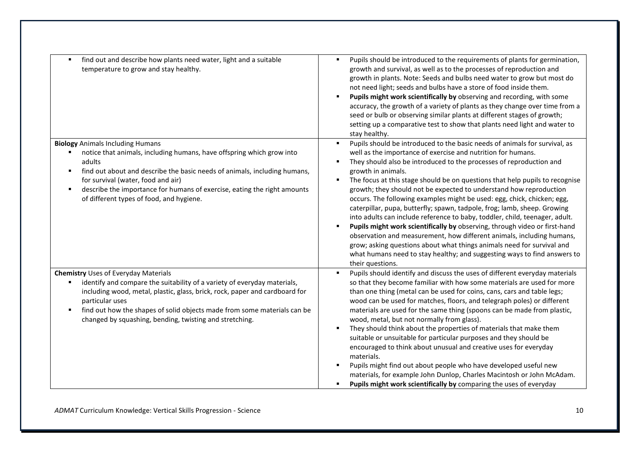| find out and describe how plants need water, light and a suitable<br>temperature to grow and stay healthy.                                                                                                                                                                                                                                                                      | Pupils should be introduced to the requirements of plants for germination,<br>growth and survival, as well as to the processes of reproduction and<br>growth in plants. Note: Seeds and bulbs need water to grow but most do<br>not need light; seeds and bulbs have a store of food inside them.<br>Pupils might work scientifically by observing and recording, with some<br>accuracy, the growth of a variety of plants as they change over time from a<br>seed or bulb or observing similar plants at different stages of growth;<br>setting up a comparative test to show that plants need light and water to<br>stay healthy.                                                                                                                                                                                                                                                                                                                                                    |
|---------------------------------------------------------------------------------------------------------------------------------------------------------------------------------------------------------------------------------------------------------------------------------------------------------------------------------------------------------------------------------|----------------------------------------------------------------------------------------------------------------------------------------------------------------------------------------------------------------------------------------------------------------------------------------------------------------------------------------------------------------------------------------------------------------------------------------------------------------------------------------------------------------------------------------------------------------------------------------------------------------------------------------------------------------------------------------------------------------------------------------------------------------------------------------------------------------------------------------------------------------------------------------------------------------------------------------------------------------------------------------|
| <b>Biology</b> Animals Including Humans<br>notice that animals, including humans, have offspring which grow into<br>adults<br>find out about and describe the basic needs of animals, including humans,<br>٠<br>for survival (water, food and air)<br>describe the importance for humans of exercise, eating the right amounts<br>٠<br>of different types of food, and hygiene. | Pupils should be introduced to the basic needs of animals for survival, as<br>$\blacksquare$<br>well as the importance of exercise and nutrition for humans.<br>They should also be introduced to the processes of reproduction and<br>growth in animals.<br>The focus at this stage should be on questions that help pupils to recognise<br>growth; they should not be expected to understand how reproduction<br>occurs. The following examples might be used: egg, chick, chicken; egg,<br>caterpillar, pupa, butterfly; spawn, tadpole, frog; lamb, sheep. Growing<br>into adults can include reference to baby, toddler, child, teenager, adult.<br>Pupils might work scientifically by observing, through video or first-hand<br>observation and measurement, how different animals, including humans,<br>grow; asking questions about what things animals need for survival and<br>what humans need to stay healthy; and suggesting ways to find answers to<br>their questions. |
| <b>Chemistry Uses of Everyday Materials</b><br>identify and compare the suitability of a variety of everyday materials,<br>including wood, metal, plastic, glass, brick, rock, paper and cardboard for<br>particular uses<br>find out how the shapes of solid objects made from some materials can be<br>changed by squashing, bending, twisting and stretching.                | Pupils should identify and discuss the uses of different everyday materials<br>so that they become familiar with how some materials are used for more<br>than one thing (metal can be used for coins, cans, cars and table legs;<br>wood can be used for matches, floors, and telegraph poles) or different<br>materials are used for the same thing (spoons can be made from plastic,<br>wood, metal, but not normally from glass).<br>They should think about the properties of materials that make them<br>suitable or unsuitable for particular purposes and they should be<br>encouraged to think about unusual and creative uses for everyday<br>materials.<br>Pupils might find out about people who have developed useful new<br>materials, for example John Dunlop, Charles Macintosh or John McAdam.<br>Pupils might work scientifically by comparing the uses of everyday                                                                                                   |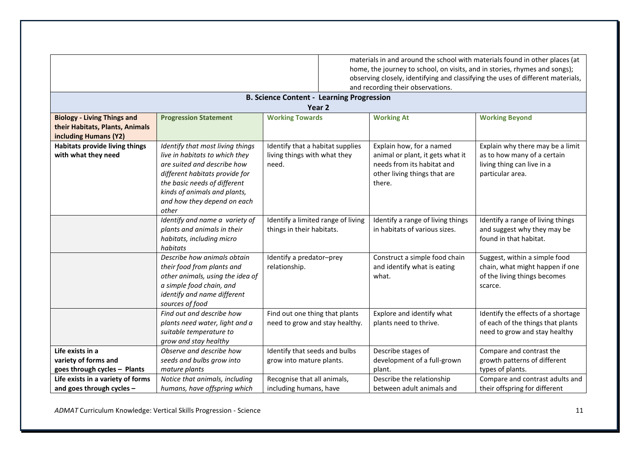|                                                                                                |                                                                                                                                                                                                                                             |                                                                           | home, the journey to school, on visits, and in stories, rhymes and songs);<br>and recording their observations.                      | materials in and around the school with materials found in other places (at<br>observing closely, identifying and classifying the uses of different materials, |
|------------------------------------------------------------------------------------------------|---------------------------------------------------------------------------------------------------------------------------------------------------------------------------------------------------------------------------------------------|---------------------------------------------------------------------------|--------------------------------------------------------------------------------------------------------------------------------------|----------------------------------------------------------------------------------------------------------------------------------------------------------------|
|                                                                                                |                                                                                                                                                                                                                                             | <b>B. Science Content - Learning Progression</b>                          |                                                                                                                                      |                                                                                                                                                                |
| <b>Biology - Living Things and</b><br>their Habitats, Plants, Animals<br>including Humans (Y2) | <b>Progression Statement</b>                                                                                                                                                                                                                | Year 2<br><b>Working Towards</b>                                          | <b>Working At</b>                                                                                                                    | <b>Working Beyond</b>                                                                                                                                          |
| Habitats provide living things<br>with what they need                                          | Identify that most living things<br>live in habitats to which they<br>are suited and describe how<br>different habitats provide for<br>the basic needs of different<br>kinds of animals and plants,<br>and how they depend on each<br>other | Identify that a habitat supplies<br>living things with what they<br>need. | Explain how, for a named<br>animal or plant, it gets what it<br>needs from its habitat and<br>other living things that are<br>there. | Explain why there may be a limit<br>as to how many of a certain<br>living thing can live in a<br>particular area.                                              |
|                                                                                                | Identify and name a variety of<br>plants and animals in their<br>habitats, including micro<br>habitats                                                                                                                                      | Identify a limited range of living<br>things in their habitats.           | Identify a range of living things<br>in habitats of various sizes.                                                                   | Identify a range of living things<br>and suggest why they may be<br>found in that habitat.                                                                     |
|                                                                                                | Describe how animals obtain<br>their food from plants and<br>other animals, using the idea of<br>a simple food chain, and<br>identify and name different<br>sources of food                                                                 | Identify a predator-prey<br>relationship.                                 | Construct a simple food chain<br>and identify what is eating<br>what.                                                                | Suggest, within a simple food<br>chain, what might happen if one<br>of the living things becomes<br>scarce.                                                    |
|                                                                                                | Find out and describe how<br>plants need water, light and a<br>suitable temperature to<br>grow and stay healthy                                                                                                                             | Find out one thing that plants<br>need to grow and stay healthy.          | Explore and identify what<br>plants need to thrive.                                                                                  | Identify the effects of a shortage<br>of each of the things that plants<br>need to grow and stay healthy                                                       |
| Life exists in a<br>variety of forms and<br>goes through cycles - Plants                       | Observe and describe how<br>seeds and bulbs grow into<br>mature plants                                                                                                                                                                      | Identify that seeds and bulbs<br>grow into mature plants.                 | Describe stages of<br>development of a full-grown<br>plant.                                                                          | Compare and contrast the<br>growth patterns of different<br>types of plants.                                                                                   |
| Life exists in a variety of forms<br>and goes through cycles -                                 | Notice that animals, including<br>humans, have offspring which                                                                                                                                                                              | Recognise that all animals,<br>including humans, have                     | Describe the relationship<br>between adult animals and                                                                               | Compare and contrast adults and<br>their offspring for different                                                                                               |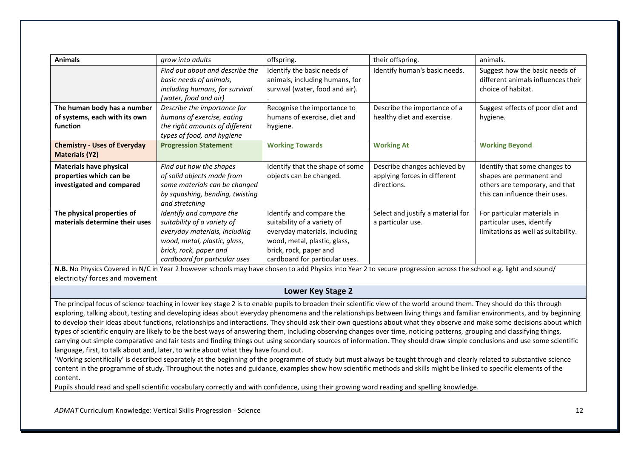| <b>Animals</b>                                                                         | grow into adults                                                                                                                                                                    | offspring.                                                                                                                                                                           | their offspring.                                                            | animals.                                                                                                                      |
|----------------------------------------------------------------------------------------|-------------------------------------------------------------------------------------------------------------------------------------------------------------------------------------|--------------------------------------------------------------------------------------------------------------------------------------------------------------------------------------|-----------------------------------------------------------------------------|-------------------------------------------------------------------------------------------------------------------------------|
|                                                                                        | Find out about and describe the<br>basic needs of animals,<br>including humans, for survival<br>(water, food and air)                                                               | Identify the basic needs of<br>animals, including humans, for<br>survival (water, food and air).                                                                                     | Identify human's basic needs.                                               | Suggest how the basic needs of<br>different animals influences their<br>choice of habitat.                                    |
| The human body has a number<br>of systems, each with its own<br><b>function</b>        | Describe the importance for<br>humans of exercise, eating<br>the right amounts of different<br>types of food, and hygiene                                                           | Recognise the importance to<br>humans of exercise, diet and<br>hygiene.                                                                                                              | Describe the importance of a<br>healthy diet and exercise.                  | Suggest effects of poor diet and<br>hygiene.                                                                                  |
| <b>Chemistry - Uses of Everyday</b><br><b>Materials (Y2)</b>                           | <b>Progression Statement</b>                                                                                                                                                        | <b>Working Towards</b>                                                                                                                                                               | <b>Working At</b>                                                           | <b>Working Beyond</b>                                                                                                         |
| <b>Materials have physical</b><br>properties which can be<br>investigated and compared | Find out how the shapes<br>of solid objects made from<br>some materials can be changed<br>by squashing, bending, twisting<br>and stretching                                         | Identify that the shape of some<br>objects can be changed.                                                                                                                           | Describe changes achieved by<br>applying forces in different<br>directions. | Identify that some changes to<br>shapes are permanent and<br>others are temporary, and that<br>this can influence their uses. |
| The physical properties of<br>materials determine their uses                           | Identify and compare the<br>suitability of a variety of<br>everyday materials, including<br>wood, metal, plastic, glass,<br>brick, rock, paper and<br>cardboard for particular uses | Identify and compare the<br>suitability of a variety of<br>everyday materials, including<br>wood, metal, plastic, glass,<br>brick, rock, paper and<br>cardboard for particular uses. | Select and justify a material for<br>a particular use.                      | For particular materials in<br>particular uses, identify<br>limitations as well as suitability.                               |

**N.B.** No Physics Covered in N/C in Year 2 however schools may have chosen to add Physics into Year 2 to secure progression across the school e.g. light and sound/ electricity/ forces and movement

# **Lower Key Stage 2**

The principal focus of science teaching in lower key stage 2 is to enable pupils to broaden their scientific view of the world around them. They should do this through exploring, talking about, testing and developing ideas about everyday phenomena and the relationships between living things and familiar environments, and by beginning to develop their ideas about functions, relationships and interactions. They should ask their own questions about what they observe and make some decisions about which types of scientific enquiry are likely to be the best ways of answering them, including observing changes over time, noticing patterns, grouping and classifying things, carrying out simple comparative and fair tests and finding things out using secondary sources of information. They should draw simple conclusions and use some scientific language, first, to talk about and, later, to write about what they have found out.

'Working scientifically' is described separately at the beginning of the programme of study but must always be taught through and clearly related to substantive science content in the programme of study. Throughout the notes and guidance, examples show how scientific methods and skills might be linked to specific elements of the content.

Pupils should read and spell scientific vocabulary correctly and with confidence, using their growing word reading and spelling knowledge.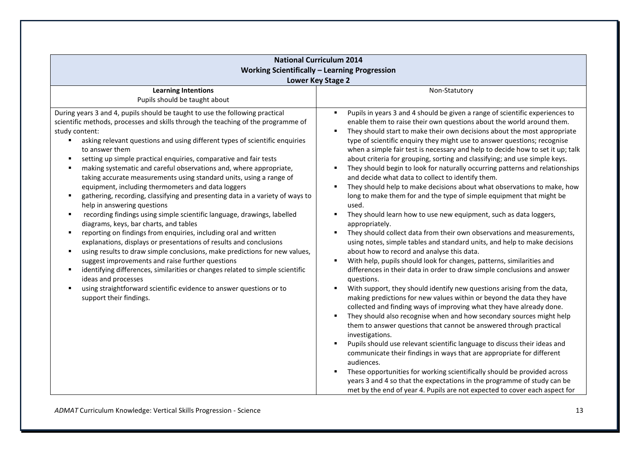| <b>National Curriculum 2014</b>                                                                                                                                                                                                                                                                                                                                                                                                                                                                                                                                                                                                                                                                                                                                                                                                                                                                                                                                                                                                                                                                                                                                                                                                                                                                                                                   |                                                                                                                                                                                                                                                                                                                                                                                                                                                                                                                                                                                                                                                                                                                                                                                                                                                                                                                                                                                                                                                                                                                                                                                                                                                                                                                                                                                                                                                                                                                                                                                                                                                                                                                                                                                                                                                                                                                                                                                                                                                                                         |  |  |  |  |  |
|---------------------------------------------------------------------------------------------------------------------------------------------------------------------------------------------------------------------------------------------------------------------------------------------------------------------------------------------------------------------------------------------------------------------------------------------------------------------------------------------------------------------------------------------------------------------------------------------------------------------------------------------------------------------------------------------------------------------------------------------------------------------------------------------------------------------------------------------------------------------------------------------------------------------------------------------------------------------------------------------------------------------------------------------------------------------------------------------------------------------------------------------------------------------------------------------------------------------------------------------------------------------------------------------------------------------------------------------------|-----------------------------------------------------------------------------------------------------------------------------------------------------------------------------------------------------------------------------------------------------------------------------------------------------------------------------------------------------------------------------------------------------------------------------------------------------------------------------------------------------------------------------------------------------------------------------------------------------------------------------------------------------------------------------------------------------------------------------------------------------------------------------------------------------------------------------------------------------------------------------------------------------------------------------------------------------------------------------------------------------------------------------------------------------------------------------------------------------------------------------------------------------------------------------------------------------------------------------------------------------------------------------------------------------------------------------------------------------------------------------------------------------------------------------------------------------------------------------------------------------------------------------------------------------------------------------------------------------------------------------------------------------------------------------------------------------------------------------------------------------------------------------------------------------------------------------------------------------------------------------------------------------------------------------------------------------------------------------------------------------------------------------------------------------------------------------------------|--|--|--|--|--|
| <b>Working Scientifically - Learning Progression</b>                                                                                                                                                                                                                                                                                                                                                                                                                                                                                                                                                                                                                                                                                                                                                                                                                                                                                                                                                                                                                                                                                                                                                                                                                                                                                              |                                                                                                                                                                                                                                                                                                                                                                                                                                                                                                                                                                                                                                                                                                                                                                                                                                                                                                                                                                                                                                                                                                                                                                                                                                                                                                                                                                                                                                                                                                                                                                                                                                                                                                                                                                                                                                                                                                                                                                                                                                                                                         |  |  |  |  |  |
| Lower Key Stage 2                                                                                                                                                                                                                                                                                                                                                                                                                                                                                                                                                                                                                                                                                                                                                                                                                                                                                                                                                                                                                                                                                                                                                                                                                                                                                                                                 |                                                                                                                                                                                                                                                                                                                                                                                                                                                                                                                                                                                                                                                                                                                                                                                                                                                                                                                                                                                                                                                                                                                                                                                                                                                                                                                                                                                                                                                                                                                                                                                                                                                                                                                                                                                                                                                                                                                                                                                                                                                                                         |  |  |  |  |  |
| <b>Learning Intentions</b><br>Pupils should be taught about                                                                                                                                                                                                                                                                                                                                                                                                                                                                                                                                                                                                                                                                                                                                                                                                                                                                                                                                                                                                                                                                                                                                                                                                                                                                                       | Non-Statutory                                                                                                                                                                                                                                                                                                                                                                                                                                                                                                                                                                                                                                                                                                                                                                                                                                                                                                                                                                                                                                                                                                                                                                                                                                                                                                                                                                                                                                                                                                                                                                                                                                                                                                                                                                                                                                                                                                                                                                                                                                                                           |  |  |  |  |  |
| During years 3 and 4, pupils should be taught to use the following practical<br>scientific methods, processes and skills through the teaching of the programme of<br>study content:<br>asking relevant questions and using different types of scientific enquiries<br>$\blacksquare$<br>to answer them<br>setting up simple practical enquiries, comparative and fair tests<br>making systematic and careful observations and, where appropriate,<br>taking accurate measurements using standard units, using a range of<br>equipment, including thermometers and data loggers<br>gathering, recording, classifying and presenting data in a variety of ways to<br>п.<br>help in answering questions<br>recording findings using simple scientific language, drawings, labelled<br>٠<br>diagrams, keys, bar charts, and tables<br>reporting on findings from enquiries, including oral and written<br>explanations, displays or presentations of results and conclusions<br>using results to draw simple conclusions, make predictions for new values,<br>п.<br>suggest improvements and raise further questions<br>identifying differences, similarities or changes related to simple scientific<br>٠<br>ideas and processes<br>using straightforward scientific evidence to answer questions or to<br>$\blacksquare$<br>support their findings. | Pupils in years 3 and 4 should be given a range of scientific experiences to<br>$\blacksquare$<br>enable them to raise their own questions about the world around them.<br>They should start to make their own decisions about the most appropriate<br>type of scientific enquiry they might use to answer questions; recognise<br>when a simple fair test is necessary and help to decide how to set it up; talk<br>about criteria for grouping, sorting and classifying; and use simple keys.<br>They should begin to look for naturally occurring patterns and relationships<br>and decide what data to collect to identify them.<br>They should help to make decisions about what observations to make, how<br>long to make them for and the type of simple equipment that might be<br>used.<br>They should learn how to use new equipment, such as data loggers,<br>appropriately.<br>They should collect data from their own observations and measurements,<br>using notes, simple tables and standard units, and help to make decisions<br>about how to record and analyse this data.<br>With help, pupils should look for changes, patterns, similarities and<br>differences in their data in order to draw simple conclusions and answer<br>questions.<br>With support, they should identify new questions arising from the data,<br>making predictions for new values within or beyond the data they have<br>collected and finding ways of improving what they have already done.<br>They should also recognise when and how secondary sources might help<br>them to answer questions that cannot be answered through practical<br>investigations.<br>Pupils should use relevant scientific language to discuss their ideas and<br>$\blacksquare$<br>communicate their findings in ways that are appropriate for different<br>audiences.<br>These opportunities for working scientifically should be provided across<br>years 3 and 4 so that the expectations in the programme of study can be<br>met by the end of year 4. Pupils are not expected to cover each aspect for |  |  |  |  |  |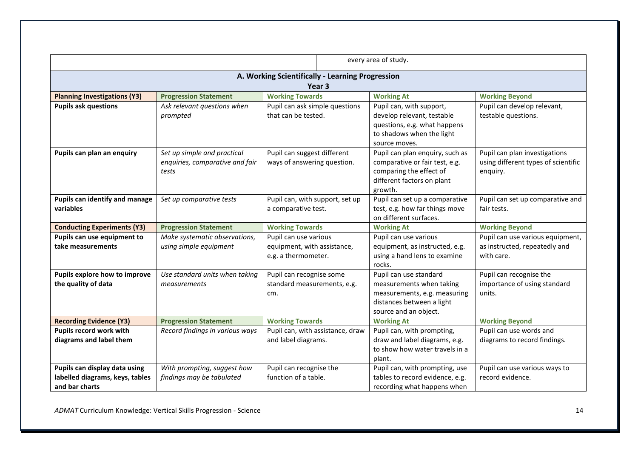|                                                                                    |                                                                         |                                                                             | every area of study.                                                                                                                     |                                                                                  |  |  |
|------------------------------------------------------------------------------------|-------------------------------------------------------------------------|-----------------------------------------------------------------------------|------------------------------------------------------------------------------------------------------------------------------------------|----------------------------------------------------------------------------------|--|--|
| A. Working Scientifically - Learning Progression                                   |                                                                         |                                                                             |                                                                                                                                          |                                                                                  |  |  |
| Year 3                                                                             |                                                                         |                                                                             |                                                                                                                                          |                                                                                  |  |  |
| <b>Planning Investigations (Y3)</b>                                                | <b>Progression Statement</b>                                            | <b>Working Towards</b>                                                      | <b>Working At</b>                                                                                                                        | <b>Working Beyond</b>                                                            |  |  |
| <b>Pupils ask questions</b>                                                        | Ask relevant questions when<br>prompted                                 | Pupil can ask simple questions<br>that can be tested.                       | Pupil can, with support,<br>develop relevant, testable<br>questions, e.g. what happens<br>to shadows when the light<br>source moves.     | Pupil can develop relevant,<br>testable questions.                               |  |  |
| Pupils can plan an enquiry                                                         | Set up simple and practical<br>enquiries, comparative and fair<br>tests | Pupil can suggest different<br>ways of answering question.                  | Pupil can plan enquiry, such as<br>comparative or fair test, e.g.<br>comparing the effect of<br>different factors on plant<br>growth.    | Pupil can plan investigations<br>using different types of scientific<br>enquiry. |  |  |
| Pupils can identify and manage<br>variables                                        | Set up comparative tests                                                | Pupil can, with support, set up<br>a comparative test.                      | Pupil can set up a comparative<br>test, e.g. how far things move<br>on different surfaces.                                               | Pupil can set up comparative and<br>fair tests.                                  |  |  |
| <b>Conducting Experiments (Y3)</b>                                                 | <b>Progression Statement</b>                                            | <b>Working Towards</b>                                                      | <b>Working At</b>                                                                                                                        | <b>Working Beyond</b>                                                            |  |  |
| Pupils can use equipment to<br>take measurements                                   | Make systematic observations,<br>using simple equipment                 | Pupil can use various<br>equipment, with assistance,<br>e.g. a thermometer. | Pupil can use various<br>equipment, as instructed, e.g.<br>using a hand lens to examine<br>rocks.                                        | Pupil can use various equipment,<br>as instructed, repeatedly and<br>with care.  |  |  |
| Pupils explore how to improve<br>the quality of data                               | Use standard units when taking<br>measurements                          | Pupil can recognise some<br>standard measurements, e.g.<br>cm.              | Pupil can use standard<br>measurements when taking<br>measurements, e.g. measuring<br>distances between a light<br>source and an object. | Pupil can recognise the<br>importance of using standard<br>units.                |  |  |
| <b>Recording Evidence (Y3)</b>                                                     | <b>Progression Statement</b>                                            | <b>Working Towards</b>                                                      | <b>Working At</b>                                                                                                                        | <b>Working Beyond</b>                                                            |  |  |
| Pupils record work with<br>diagrams and label them                                 | Record findings in various ways                                         | Pupil can, with assistance, draw<br>and label diagrams.                     | Pupil can, with prompting,<br>draw and label diagrams, e.g.<br>to show how water travels in a<br>plant.                                  | Pupil can use words and<br>diagrams to record findings.                          |  |  |
| Pupils can display data using<br>labelled diagrams, keys, tables<br>and bar charts | With prompting, suggest how<br>findings may be tabulated                | Pupil can recognise the<br>function of a table.                             | Pupil can, with prompting, use<br>tables to record evidence, e.g.<br>recording what happens when                                         | Pupil can use various ways to<br>record evidence.                                |  |  |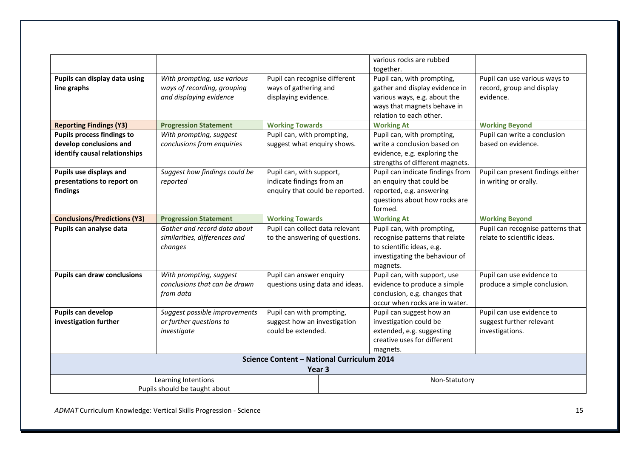|                                                                                               |                                                                                       |                                                                                          |  | various rocks are rubbed<br>together.                                                                                                                  |                                                                          |
|-----------------------------------------------------------------------------------------------|---------------------------------------------------------------------------------------|------------------------------------------------------------------------------------------|--|--------------------------------------------------------------------------------------------------------------------------------------------------------|--------------------------------------------------------------------------|
| Pupils can display data using<br>line graphs                                                  | With prompting, use various<br>ways of recording, grouping<br>and displaying evidence | Pupil can recognise different<br>ways of gathering and<br>displaying evidence.           |  | Pupil can, with prompting,<br>gather and display evidence in<br>various ways, e.g. about the<br>ways that magnets behave in<br>relation to each other. | Pupil can use various ways to<br>record, group and display<br>evidence.  |
| <b>Reporting Findings (Y3)</b>                                                                | <b>Progression Statement</b>                                                          | <b>Working Towards</b>                                                                   |  | <b>Working At</b>                                                                                                                                      | <b>Working Beyond</b>                                                    |
| <b>Pupils process findings to</b><br>develop conclusions and<br>identify causal relationships | With prompting, suggest<br>conclusions from enquiries                                 | Pupil can, with prompting,<br>suggest what enquiry shows.                                |  | Pupil can, with prompting,<br>write a conclusion based on<br>evidence, e.g. exploring the<br>strengths of different magnets.                           | Pupil can write a conclusion<br>based on evidence.                       |
| Pupils use displays and<br>presentations to report on<br>findings                             | Suggest how findings could be<br>reported                                             | Pupil can, with support,<br>indicate findings from an<br>enquiry that could be reported. |  | Pupil can indicate findings from<br>an enquiry that could be<br>reported, e.g. answering<br>questions about how rocks are<br>formed.                   | Pupil can present findings either<br>in writing or orally.               |
| <b>Conclusions/Predictions (Y3)</b>                                                           | <b>Progression Statement</b>                                                          | <b>Working Towards</b>                                                                   |  | <b>Working At</b>                                                                                                                                      | <b>Working Beyond</b>                                                    |
| Pupils can analyse data                                                                       | Gather and record data about<br>similarities, differences and<br>changes              | Pupil can collect data relevant<br>to the answering of questions.                        |  | Pupil can, with prompting,<br>recognise patterns that relate<br>to scientific ideas, e.g.<br>investigating the behaviour of<br>magnets.                | Pupil can recognise patterns that<br>relate to scientific ideas.         |
| <b>Pupils can draw conclusions</b>                                                            | With prompting, suggest<br>conclusions that can be drawn<br>from data                 | Pupil can answer enquiry<br>questions using data and ideas.                              |  | Pupil can, with support, use<br>evidence to produce a simple<br>conclusion, e.g. changes that<br>occur when rocks are in water.                        | Pupil can use evidence to<br>produce a simple conclusion.                |
| Pupils can develop<br>investigation further                                                   | Suggest possible improvements<br>or further questions to<br>investigate               | Pupil can with prompting,<br>suggest how an investigation<br>could be extended.          |  | Pupil can suggest how an<br>investigation could be<br>extended, e.g. suggesting<br>creative uses for different<br>magnets.                             | Pupil can use evidence to<br>suggest further relevant<br>investigations. |
| Science Content - National Curriculum 2014                                                    |                                                                                       |                                                                                          |  |                                                                                                                                                        |                                                                          |
|                                                                                               | Year 3                                                                                |                                                                                          |  |                                                                                                                                                        |                                                                          |
|                                                                                               | Learning Intentions<br>Pupils should be taught about                                  |                                                                                          |  | Non-Statutory                                                                                                                                          |                                                                          |
|                                                                                               |                                                                                       |                                                                                          |  |                                                                                                                                                        |                                                                          |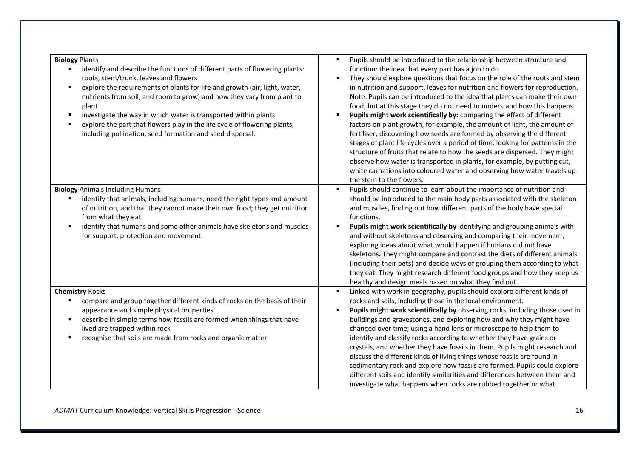| <b>Biology Plants</b><br>identify and describe the functions of different parts of flowering plants:<br>roots, stem/trunk, leaves and flowers<br>explore the requirements of plants for life and growth (air, light, water,<br>nutrients from soil, and room to grow) and how they vary from plant to<br>plant<br>investigate the way in which water is transported within plants<br>explore the part that flowers play in the life cycle of flowering plants,<br>including pollination, seed formation and seed dispersal. | Pupils should be introduced to the relationship between structure and<br>$\blacksquare$<br>function: the idea that every part has a job to do.<br>They should explore questions that focus on the role of the roots and stem<br>in nutrition and support, leaves for nutrition and flowers for reproduction.<br>Note: Pupils can be introduced to the idea that plants can make their own<br>food, but at this stage they do not need to understand how this happens.<br>Pupils might work scientifically by: comparing the effect of different<br>factors on plant growth, for example, the amount of light, the amount of<br>fertiliser; discovering how seeds are formed by observing the different<br>stages of plant life cycles over a period of time; looking for patterns in the<br>structure of fruits that relate to how the seeds are dispersed. They might<br>observe how water is transported in plants, for example, by putting cut,<br>white carnations into coloured water and observing how water travels up<br>the stem to the flowers. |
|-----------------------------------------------------------------------------------------------------------------------------------------------------------------------------------------------------------------------------------------------------------------------------------------------------------------------------------------------------------------------------------------------------------------------------------------------------------------------------------------------------------------------------|-----------------------------------------------------------------------------------------------------------------------------------------------------------------------------------------------------------------------------------------------------------------------------------------------------------------------------------------------------------------------------------------------------------------------------------------------------------------------------------------------------------------------------------------------------------------------------------------------------------------------------------------------------------------------------------------------------------------------------------------------------------------------------------------------------------------------------------------------------------------------------------------------------------------------------------------------------------------------------------------------------------------------------------------------------------|
| <b>Biology</b> Animals Including Humans<br>identify that animals, including humans, need the right types and amount<br>of nutrition, and that they cannot make their own food; they get nutrition<br>from what they eat<br>identify that humans and some other animals have skeletons and muscles<br>for support, protection and movement.                                                                                                                                                                                  | Pupils should continue to learn about the importance of nutrition and<br>$\blacksquare$<br>should be introduced to the main body parts associated with the skeleton<br>and muscles, finding out how different parts of the body have special<br>functions.<br>Pupils might work scientifically by identifying and grouping animals with<br>and without skeletons and observing and comparing their movement;<br>exploring ideas about what would happen if humans did not have<br>skeletons. They might compare and contrast the diets of different animals<br>(including their pets) and decide ways of grouping them according to what<br>they eat. They might research different food groups and how they keep us<br>healthy and design meals based on what they find out.                                                                                                                                                                                                                                                                             |
| <b>Chemistry Rocks</b><br>compare and group together different kinds of rocks on the basis of their<br>$\blacksquare$<br>appearance and simple physical properties<br>describe in simple terms how fossils are formed when things that have<br>lived are trapped within rock<br>recognise that soils are made from rocks and organic matter.                                                                                                                                                                                | Linked with work in geography, pupils should explore different kinds of<br>rocks and soils, including those in the local environment.<br>Pupils might work scientifically by observing rocks, including those used in<br>buildings and gravestones, and exploring how and why they might have<br>changed over time; using a hand lens or microscope to help them to<br>identify and classify rocks according to whether they have grains or<br>crystals, and whether they have fossils in them. Pupils might research and<br>discuss the different kinds of living things whose fossils are found in<br>sedimentary rock and explore how fossils are formed. Pupils could explore<br>different soils and identify similarities and differences between them and<br>investigate what happens when rocks are rubbed together or what                                                                                                                                                                                                                        |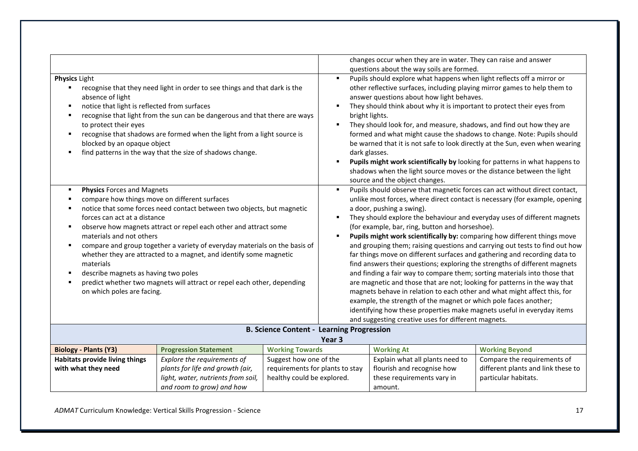|                                                                                                                                                                                                                                                                                                                                                                                                                                                                                                                                                                                                                | changes occur when they are in water. They can raise and answer<br>questions about the way soils are formed.                                                                                                                                                                                                                                                                                                                                                                                                                                                                                                                                                                                                                                                                                                                                                                                                                                                                                                                                                                                             |
|----------------------------------------------------------------------------------------------------------------------------------------------------------------------------------------------------------------------------------------------------------------------------------------------------------------------------------------------------------------------------------------------------------------------------------------------------------------------------------------------------------------------------------------------------------------------------------------------------------------|----------------------------------------------------------------------------------------------------------------------------------------------------------------------------------------------------------------------------------------------------------------------------------------------------------------------------------------------------------------------------------------------------------------------------------------------------------------------------------------------------------------------------------------------------------------------------------------------------------------------------------------------------------------------------------------------------------------------------------------------------------------------------------------------------------------------------------------------------------------------------------------------------------------------------------------------------------------------------------------------------------------------------------------------------------------------------------------------------------|
| <b>Physics Light</b><br>recognise that they need light in order to see things and that dark is the<br>absence of light<br>notice that light is reflected from surfaces<br>recognise that light from the sun can be dangerous and that there are ways<br>to protect their eyes<br>recognise that shadows are formed when the light from a light source is<br>blocked by an opaque object<br>find patterns in the way that the size of shadows change.                                                                                                                                                           | Pupils should explore what happens when light reflects off a mirror or<br>$\blacksquare$<br>other reflective surfaces, including playing mirror games to help them to<br>answer questions about how light behaves.<br>They should think about why it is important to protect their eyes from<br>bright lights.<br>They should look for, and measure, shadows, and find out how they are<br>formed and what might cause the shadows to change. Note: Pupils should<br>be warned that it is not safe to look directly at the Sun, even when wearing<br>dark glasses.<br>Pupils might work scientifically by looking for patterns in what happens to<br>shadows when the light source moves or the distance between the light<br>source and the object changes.                                                                                                                                                                                                                                                                                                                                             |
| <b>Physics Forces and Magnets</b><br>compare how things move on different surfaces<br>notice that some forces need contact between two objects, but magnetic<br>forces can act at a distance<br>observe how magnets attract or repel each other and attract some<br>materials and not others<br>compare and group together a variety of everyday materials on the basis of<br>whether they are attracted to a magnet, and identify some magnetic<br>materials<br>describe magnets as having two poles<br>predict whether two magnets will attract or repel each other, depending<br>on which poles are facing. | Pupils should observe that magnetic forces can act without direct contact,<br>$\blacksquare$<br>unlike most forces, where direct contact is necessary (for example, opening<br>a door, pushing a swing).<br>They should explore the behaviour and everyday uses of different magnets<br>(for example, bar, ring, button and horseshoe).<br>Pupils might work scientifically by: comparing how different things move<br>and grouping them; raising questions and carrying out tests to find out how<br>far things move on different surfaces and gathering and recording data to<br>find answers their questions; exploring the strengths of different magnets<br>and finding a fair way to compare them; sorting materials into those that<br>are magnetic and those that are not; looking for patterns in the way that<br>magnets behave in relation to each other and what might affect this, for<br>example, the strength of the magnet or which pole faces another;<br>identifying how these properties make magnets useful in everyday items<br>and suggesting creative uses for different magnets. |
| <b>B. Science Content - Learning Progression</b>                                                                                                                                                                                                                                                                                                                                                                                                                                                                                                                                                               | Year 3                                                                                                                                                                                                                                                                                                                                                                                                                                                                                                                                                                                                                                                                                                                                                                                                                                                                                                                                                                                                                                                                                                   |
|                                                                                                                                                                                                                                                                                                                                                                                                                                                                                                                                                                                                                | $\cdots$                                                                                                                                                                                                                                                                                                                                                                                                                                                                                                                                                                                                                                                                                                                                                                                                                                                                                                                                                                                                                                                                                                 |

| <b>Biology - Plants (Y3)</b>   | <b>Progression Statement</b>       | <b>Working Towards</b>          | <b>Working At</b>               | <b>Working Beyond</b>              |  |  |
|--------------------------------|------------------------------------|---------------------------------|---------------------------------|------------------------------------|--|--|
| Habitats provide living things | Explore the requirements of        | Suggest how one of the          | Explain what all plants need to | Compare the requirements of        |  |  |
| with what they need            | plants for life and growth (air,   | requirements for plants to stay | flourish and recognise how      | different plants and link these to |  |  |
|                                | light, water, nutrients from soil, | healthy could be explored.      | these requirements vary in      | particular habitats.               |  |  |
|                                | and room to grow) and how          |                                 | amount.                         |                                    |  |  |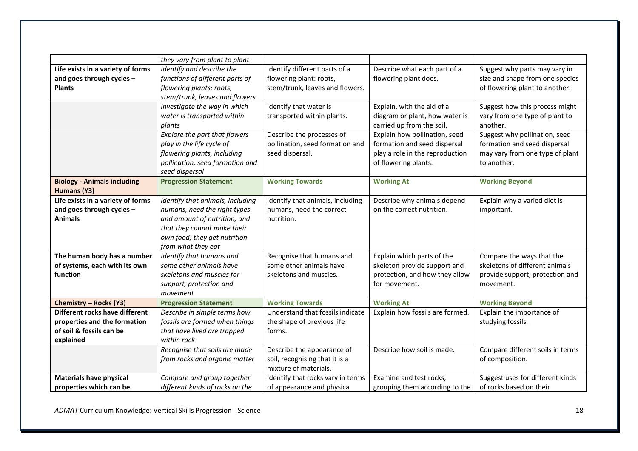|                                    | they vary from plant to plant    |                                   |                                 |                                  |
|------------------------------------|----------------------------------|-----------------------------------|---------------------------------|----------------------------------|
| Life exists in a variety of forms  | Identify and describe the        | Identify different parts of a     | Describe what each part of a    | Suggest why parts may vary in    |
| and goes through cycles -          | functions of different parts of  | flowering plant: roots,           | flowering plant does.           | size and shape from one species  |
| <b>Plants</b>                      | flowering plants: roots,         | stem/trunk, leaves and flowers.   |                                 | of flowering plant to another.   |
|                                    | stem/trunk, leaves and flowers   |                                   |                                 |                                  |
|                                    | Investigate the way in which     | Identify that water is            | Explain, with the aid of a      | Suggest how this process might   |
|                                    | water is transported within      | transported within plants.        | diagram or plant, how water is  | vary from one type of plant to   |
|                                    | plants                           |                                   | carried up from the soil.       | another.                         |
|                                    | Explore the part that flowers    | Describe the processes of         | Explain how pollination, seed   | Suggest why pollination, seed    |
|                                    | play in the life cycle of        | pollination, seed formation and   | formation and seed dispersal    | formation and seed dispersal     |
|                                    | flowering plants, including      | seed dispersal.                   | play a role in the reproduction | may vary from one type of plant  |
|                                    | pollination, seed formation and  |                                   | of flowering plants.            | to another.                      |
|                                    | seed dispersal                   |                                   |                                 |                                  |
| <b>Biology - Animals including</b> | <b>Progression Statement</b>     | <b>Working Towards</b>            | <b>Working At</b>               | <b>Working Beyond</b>            |
| Humans (Y3)                        |                                  |                                   |                                 |                                  |
| Life exists in a variety of forms  | Identify that animals, including | Identify that animals, including  | Describe why animals depend     | Explain why a varied diet is     |
| and goes through cycles -          | humans, need the right types     | humans, need the correct          | on the correct nutrition.       | important.                       |
| <b>Animals</b>                     | and amount of nutrition, and     | nutrition.                        |                                 |                                  |
|                                    | that they cannot make their      |                                   |                                 |                                  |
|                                    | own food; they get nutrition     |                                   |                                 |                                  |
|                                    | from what they eat               |                                   |                                 |                                  |
| The human body has a number        | Identify that humans and         | Recognise that humans and         | Explain which parts of the      | Compare the ways that the        |
| of systems, each with its own      | some other animals have          | some other animals have           | skeleton provide support and    | skeletons of different animals   |
| function                           | skeletons and muscles for        | skeletons and muscles.            | protection, and how they allow  | provide support, protection and  |
|                                    | support, protection and          |                                   | for movement.                   | movement.                        |
|                                    | movement                         |                                   |                                 |                                  |
| Chemistry - Rocks (Y3)             | <b>Progression Statement</b>     | <b>Working Towards</b>            | <b>Working At</b>               | <b>Working Beyond</b>            |
| Different rocks have different     | Describe in simple terms how     | Understand that fossils indicate  | Explain how fossils are formed. | Explain the importance of        |
| properties and the formation       | fossils are formed when things   | the shape of previous life        |                                 | studying fossils.                |
| of soil & fossils can be           | that have lived are trapped      | forms.                            |                                 |                                  |
| explained                          | within rock                      |                                   |                                 |                                  |
|                                    | Recognise that soils are made    | Describe the appearance of        | Describe how soil is made.      | Compare different soils in terms |
|                                    | from rocks and organic matter    | soil, recognising that it is a    |                                 | of composition.                  |
|                                    |                                  | mixture of materials.             | Examine and test rocks,         |                                  |
| <b>Materials have physical</b>     | Compare and group together       | Identify that rocks vary in terms |                                 | Suggest uses for different kinds |
| properties which can be            | different kinds of rocks on the  | of appearance and physical        | grouping them according to the  | of rocks based on their          |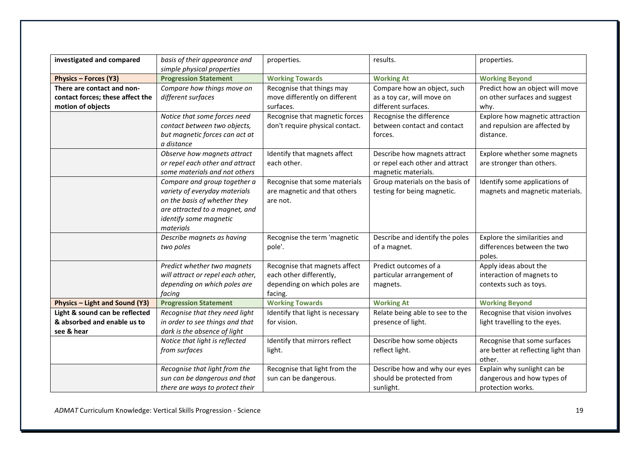| investigated and compared        | basis of their appearance and     | properties.                      | results.                        | properties.                         |
|----------------------------------|-----------------------------------|----------------------------------|---------------------------------|-------------------------------------|
|                                  | simple physical properties        |                                  |                                 |                                     |
| Physics - Forces (Y3)            | <b>Progression Statement</b>      | <b>Working Towards</b>           | <b>Working At</b>               | <b>Working Beyond</b>               |
| There are contact and non-       | Compare how things move on        | Recognise that things may        | Compare how an object, such     | Predict how an object will move     |
| contact forces; these affect the | different surfaces                | move differently on different    | as a toy car, will move on      | on other surfaces and suggest       |
| motion of objects                |                                   | surfaces.                        | different surfaces.             | why.                                |
|                                  | Notice that some forces need      | Recognise that magnetic forces   | Recognise the difference        | Explore how magnetic attraction     |
|                                  | contact between two objects,      | don't require physical contact.  | between contact and contact     | and repulsion are affected by       |
|                                  | but magnetic forces can act at    |                                  | forces.                         | distance.                           |
|                                  | a distance                        |                                  |                                 |                                     |
|                                  | Observe how magnets attract       | Identify that magnets affect     | Describe how magnets attract    | Explore whether some magnets        |
|                                  | or repel each other and attract   | each other.                      | or repel each other and attract | are stronger than others.           |
|                                  | some materials and not others     |                                  | magnetic materials.             |                                     |
|                                  | Compare and group together a      | Recognise that some materials    | Group materials on the basis of | Identify some applications of       |
|                                  | variety of everyday materials     | are magnetic and that others     | testing for being magnetic.     | magnets and magnetic materials.     |
|                                  | on the basis of whether they      | are not.                         |                                 |                                     |
|                                  | are attracted to a magnet, and    |                                  |                                 |                                     |
|                                  | identify some magnetic            |                                  |                                 |                                     |
|                                  | materials                         |                                  |                                 |                                     |
|                                  | Describe magnets as having        | Recognise the term 'magnetic     | Describe and identify the poles | Explore the similarities and        |
|                                  | two poles                         | pole'.                           | of a magnet.                    | differences between the two         |
|                                  |                                   |                                  |                                 | poles.                              |
|                                  | Predict whether two magnets       | Recognise that magnets affect    | Predict outcomes of a           | Apply ideas about the               |
|                                  | will attract or repel each other, | each other differently,          | particular arrangement of       | interaction of magnets to           |
|                                  | depending on which poles are      | depending on which poles are     | magnets.                        | contexts such as toys.              |
|                                  | facing                            | facing.                          |                                 |                                     |
| Physics - Light and Sound (Y3)   | <b>Progression Statement</b>      | <b>Working Towards</b>           | <b>Working At</b>               | <b>Working Beyond</b>               |
| Light & sound can be reflected   | Recognise that they need light    | Identify that light is necessary | Relate being able to see to the | Recognise that vision involves      |
| & absorbed and enable us to      | in order to see things and that   | for vision.                      | presence of light.              | light travelling to the eyes.       |
| see & hear                       | dark is the absence of light      |                                  |                                 |                                     |
|                                  | Notice that light is reflected    | Identify that mirrors reflect    | Describe how some objects       | Recognise that some surfaces        |
|                                  | from surfaces                     | light.                           | reflect light.                  | are better at reflecting light than |
|                                  |                                   |                                  |                                 | other.                              |
|                                  | Recognise that light from the     | Recognise that light from the    | Describe how and why our eyes   | Explain why sunlight can be         |
|                                  | sun can be dangerous and that     | sun can be dangerous.            | should be protected from        | dangerous and how types of          |
|                                  | there are ways to protect their   |                                  | sunlight.                       | protection works.                   |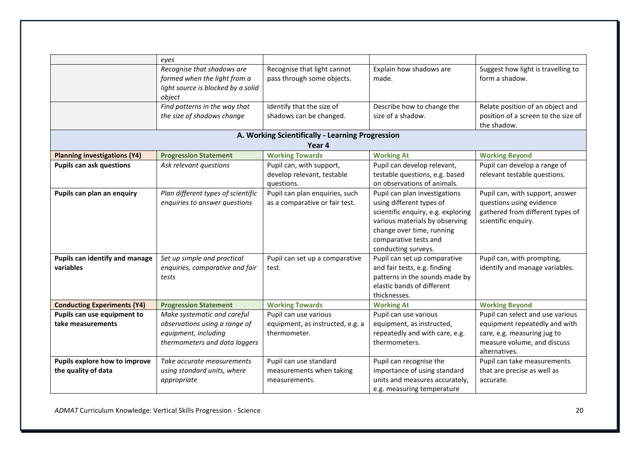|                                                      | eyes                                                                                                                  |                                                                           |                                                                                                                                                                                                                |                                                                                                                                                  |
|------------------------------------------------------|-----------------------------------------------------------------------------------------------------------------------|---------------------------------------------------------------------------|----------------------------------------------------------------------------------------------------------------------------------------------------------------------------------------------------------------|--------------------------------------------------------------------------------------------------------------------------------------------------|
|                                                      | Recognise that shadows are<br>formed when the light from a<br>light source is blocked by a solid<br>object            | Recognise that light cannot<br>pass through some objects.                 | Explain how shadows are<br>made.                                                                                                                                                                               | Suggest how light is travelling to<br>form a shadow.                                                                                             |
|                                                      | Find patterns in the way that<br>the size of shadows change                                                           | Identify that the size of<br>shadows can be changed.                      | Describe how to change the<br>size of a shadow.                                                                                                                                                                | Relate position of an object and<br>position of a screen to the size of<br>the shadow.                                                           |
|                                                      |                                                                                                                       | A. Working Scientifically - Learning Progression                          |                                                                                                                                                                                                                |                                                                                                                                                  |
|                                                      |                                                                                                                       | Year 4                                                                    |                                                                                                                                                                                                                |                                                                                                                                                  |
| <b>Planning investigations (Y4)</b>                  | <b>Progression Statement</b>                                                                                          | <b>Working Towards</b>                                                    | <b>Working At</b>                                                                                                                                                                                              | <b>Working Beyond</b>                                                                                                                            |
| <b>Pupils can ask questions</b>                      | Ask relevant questions                                                                                                | Pupil can, with support,<br>develop relevant, testable<br>questions.      | Pupil can develop relevant,<br>testable questions, e.g. based<br>on observations of animals.                                                                                                                   | Pupil can develop a range of<br>relevant testable questions.                                                                                     |
| Pupils can plan an enquiry                           | Plan different types of scientific<br>enquiries to answer questions                                                   | Pupil can plan enquiries, such<br>as a comparative or fair test.          | Pupil can plan investigations<br>using different types of<br>scientific enquiry, e.g. exploring<br>various materials by observing<br>change over time, running<br>comparative tests and<br>conducting surveys. | Pupil can, with support, answer<br>questions using evidence<br>gathered from different types of<br>scientific enquiry.                           |
| Pupils can identify and manage<br>variables          | Set up simple and practical<br>enquiries, comparative and fair<br>tests                                               | Pupil can set up a comparative<br>test.                                   | Pupil can set up comparative<br>and fair tests, e.g. finding<br>patterns in the sounds made by<br>elastic bands of different<br>thicknesses.                                                                   | Pupil can, with prompting,<br>identify and manage variables.                                                                                     |
| <b>Conducting Experiments (Y4)</b>                   | <b>Progression Statement</b>                                                                                          | <b>Working Towards</b>                                                    | <b>Working At</b>                                                                                                                                                                                              | <b>Working Beyond</b>                                                                                                                            |
| Pupils can use equipment to<br>take measurements     | Make systematic and careful<br>observations using a range of<br>equipment, including<br>thermometers and data loggers | Pupil can use various<br>equipment, as instructed, e.g. a<br>thermometer. | Pupil can use various<br>equipment, as instructed,<br>repeatedly and with care, e.g.<br>thermometers.                                                                                                          | Pupil can select and use various<br>equipment repeatedly and with<br>care, e.g. measuring jug to<br>measure volume, and discuss<br>alternatives. |
| Pupils explore how to improve<br>the quality of data | Take accurate measurements<br>using standard units, where<br>appropriate                                              | Pupil can use standard<br>measurements when taking<br>measurements.       | Pupil can recognise the<br>importance of using standard<br>units and measures accurately,<br>e.g. measuring temperature                                                                                        | Pupil can take measurements<br>that are precise as well as<br>accurate.                                                                          |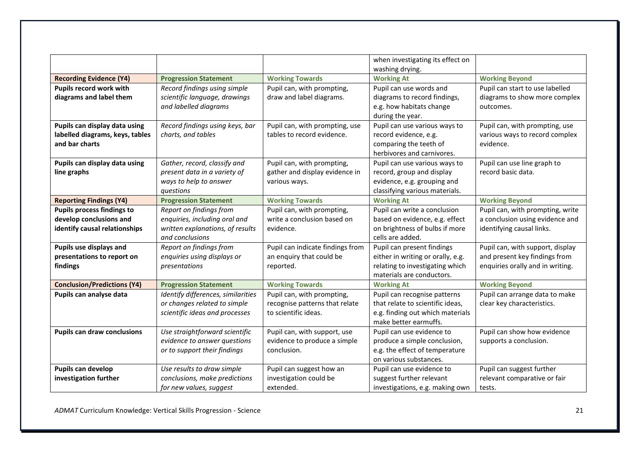|                                  |                                                                                                                                                                                                                                                                                                                                                                                                                                                                                                                                                                                                                                                                                          | when investigating its effect on                                                                                                                                                                                                                                                                                                                                                                                                                                                                                                                                      |                                                                                                                                                                                                                                                                                                                                                                                                                                                                                                                                                                                                                                                                                                                                                                                                                                                                                                  |
|----------------------------------|------------------------------------------------------------------------------------------------------------------------------------------------------------------------------------------------------------------------------------------------------------------------------------------------------------------------------------------------------------------------------------------------------------------------------------------------------------------------------------------------------------------------------------------------------------------------------------------------------------------------------------------------------------------------------------------|-----------------------------------------------------------------------------------------------------------------------------------------------------------------------------------------------------------------------------------------------------------------------------------------------------------------------------------------------------------------------------------------------------------------------------------------------------------------------------------------------------------------------------------------------------------------------|--------------------------------------------------------------------------------------------------------------------------------------------------------------------------------------------------------------------------------------------------------------------------------------------------------------------------------------------------------------------------------------------------------------------------------------------------------------------------------------------------------------------------------------------------------------------------------------------------------------------------------------------------------------------------------------------------------------------------------------------------------------------------------------------------------------------------------------------------------------------------------------------------|
|                                  |                                                                                                                                                                                                                                                                                                                                                                                                                                                                                                                                                                                                                                                                                          |                                                                                                                                                                                                                                                                                                                                                                                                                                                                                                                                                                       |                                                                                                                                                                                                                                                                                                                                                                                                                                                                                                                                                                                                                                                                                                                                                                                                                                                                                                  |
|                                  |                                                                                                                                                                                                                                                                                                                                                                                                                                                                                                                                                                                                                                                                                          |                                                                                                                                                                                                                                                                                                                                                                                                                                                                                                                                                                       | <b>Working Beyond</b><br>Pupil can start to use labelled                                                                                                                                                                                                                                                                                                                                                                                                                                                                                                                                                                                                                                                                                                                                                                                                                                         |
|                                  |                                                                                                                                                                                                                                                                                                                                                                                                                                                                                                                                                                                                                                                                                          |                                                                                                                                                                                                                                                                                                                                                                                                                                                                                                                                                                       |                                                                                                                                                                                                                                                                                                                                                                                                                                                                                                                                                                                                                                                                                                                                                                                                                                                                                                  |
|                                  |                                                                                                                                                                                                                                                                                                                                                                                                                                                                                                                                                                                                                                                                                          |                                                                                                                                                                                                                                                                                                                                                                                                                                                                                                                                                                       | diagrams to show more complex<br>outcomes.                                                                                                                                                                                                                                                                                                                                                                                                                                                                                                                                                                                                                                                                                                                                                                                                                                                       |
|                                  |                                                                                                                                                                                                                                                                                                                                                                                                                                                                                                                                                                                                                                                                                          |                                                                                                                                                                                                                                                                                                                                                                                                                                                                                                                                                                       |                                                                                                                                                                                                                                                                                                                                                                                                                                                                                                                                                                                                                                                                                                                                                                                                                                                                                                  |
|                                  |                                                                                                                                                                                                                                                                                                                                                                                                                                                                                                                                                                                                                                                                                          |                                                                                                                                                                                                                                                                                                                                                                                                                                                                                                                                                                       | Pupil can, with prompting, use                                                                                                                                                                                                                                                                                                                                                                                                                                                                                                                                                                                                                                                                                                                                                                                                                                                                   |
|                                  |                                                                                                                                                                                                                                                                                                                                                                                                                                                                                                                                                                                                                                                                                          |                                                                                                                                                                                                                                                                                                                                                                                                                                                                                                                                                                       | various ways to record complex                                                                                                                                                                                                                                                                                                                                                                                                                                                                                                                                                                                                                                                                                                                                                                                                                                                                   |
|                                  |                                                                                                                                                                                                                                                                                                                                                                                                                                                                                                                                                                                                                                                                                          |                                                                                                                                                                                                                                                                                                                                                                                                                                                                                                                                                                       | evidence.                                                                                                                                                                                                                                                                                                                                                                                                                                                                                                                                                                                                                                                                                                                                                                                                                                                                                        |
|                                  |                                                                                                                                                                                                                                                                                                                                                                                                                                                                                                                                                                                                                                                                                          |                                                                                                                                                                                                                                                                                                                                                                                                                                                                                                                                                                       |                                                                                                                                                                                                                                                                                                                                                                                                                                                                                                                                                                                                                                                                                                                                                                                                                                                                                                  |
|                                  |                                                                                                                                                                                                                                                                                                                                                                                                                                                                                                                                                                                                                                                                                          |                                                                                                                                                                                                                                                                                                                                                                                                                                                                                                                                                                       | Pupil can use line graph to                                                                                                                                                                                                                                                                                                                                                                                                                                                                                                                                                                                                                                                                                                                                                                                                                                                                      |
|                                  |                                                                                                                                                                                                                                                                                                                                                                                                                                                                                                                                                                                                                                                                                          |                                                                                                                                                                                                                                                                                                                                                                                                                                                                                                                                                                       | record basic data.                                                                                                                                                                                                                                                                                                                                                                                                                                                                                                                                                                                                                                                                                                                                                                                                                                                                               |
|                                  |                                                                                                                                                                                                                                                                                                                                                                                                                                                                                                                                                                                                                                                                                          |                                                                                                                                                                                                                                                                                                                                                                                                                                                                                                                                                                       |                                                                                                                                                                                                                                                                                                                                                                                                                                                                                                                                                                                                                                                                                                                                                                                                                                                                                                  |
| questions                        |                                                                                                                                                                                                                                                                                                                                                                                                                                                                                                                                                                                                                                                                                          | classifying various materials.                                                                                                                                                                                                                                                                                                                                                                                                                                                                                                                                        |                                                                                                                                                                                                                                                                                                                                                                                                                                                                                                                                                                                                                                                                                                                                                                                                                                                                                                  |
| <b>Progression Statement</b>     | <b>Working Towards</b>                                                                                                                                                                                                                                                                                                                                                                                                                                                                                                                                                                                                                                                                   | <b>Working At</b>                                                                                                                                                                                                                                                                                                                                                                                                                                                                                                                                                     | <b>Working Beyond</b>                                                                                                                                                                                                                                                                                                                                                                                                                                                                                                                                                                                                                                                                                                                                                                                                                                                                            |
| Report on findings from          | Pupil can, with prompting,                                                                                                                                                                                                                                                                                                                                                                                                                                                                                                                                                                                                                                                               | Pupil can write a conclusion                                                                                                                                                                                                                                                                                                                                                                                                                                                                                                                                          | Pupil can, with prompting, write                                                                                                                                                                                                                                                                                                                                                                                                                                                                                                                                                                                                                                                                                                                                                                                                                                                                 |
| enquiries, including oral and    | write a conclusion based on                                                                                                                                                                                                                                                                                                                                                                                                                                                                                                                                                                                                                                                              | based on evidence, e.g. effect                                                                                                                                                                                                                                                                                                                                                                                                                                                                                                                                        | a conclusion using evidence and                                                                                                                                                                                                                                                                                                                                                                                                                                                                                                                                                                                                                                                                                                                                                                                                                                                                  |
| written explanations, of results | evidence.                                                                                                                                                                                                                                                                                                                                                                                                                                                                                                                                                                                                                                                                                | on brightness of bulbs if more                                                                                                                                                                                                                                                                                                                                                                                                                                                                                                                                        | identifying causal links.                                                                                                                                                                                                                                                                                                                                                                                                                                                                                                                                                                                                                                                                                                                                                                                                                                                                        |
| and conclusions                  |                                                                                                                                                                                                                                                                                                                                                                                                                                                                                                                                                                                                                                                                                          |                                                                                                                                                                                                                                                                                                                                                                                                                                                                                                                                                                       |                                                                                                                                                                                                                                                                                                                                                                                                                                                                                                                                                                                                                                                                                                                                                                                                                                                                                                  |
|                                  |                                                                                                                                                                                                                                                                                                                                                                                                                                                                                                                                                                                                                                                                                          |                                                                                                                                                                                                                                                                                                                                                                                                                                                                                                                                                                       | Pupil can, with support, display                                                                                                                                                                                                                                                                                                                                                                                                                                                                                                                                                                                                                                                                                                                                                                                                                                                                 |
|                                  |                                                                                                                                                                                                                                                                                                                                                                                                                                                                                                                                                                                                                                                                                          |                                                                                                                                                                                                                                                                                                                                                                                                                                                                                                                                                                       | and present key findings from                                                                                                                                                                                                                                                                                                                                                                                                                                                                                                                                                                                                                                                                                                                                                                                                                                                                    |
|                                  |                                                                                                                                                                                                                                                                                                                                                                                                                                                                                                                                                                                                                                                                                          |                                                                                                                                                                                                                                                                                                                                                                                                                                                                                                                                                                       | enquiries orally and in writing.                                                                                                                                                                                                                                                                                                                                                                                                                                                                                                                                                                                                                                                                                                                                                                                                                                                                 |
|                                  |                                                                                                                                                                                                                                                                                                                                                                                                                                                                                                                                                                                                                                                                                          |                                                                                                                                                                                                                                                                                                                                                                                                                                                                                                                                                                       |                                                                                                                                                                                                                                                                                                                                                                                                                                                                                                                                                                                                                                                                                                                                                                                                                                                                                                  |
|                                  |                                                                                                                                                                                                                                                                                                                                                                                                                                                                                                                                                                                                                                                                                          |                                                                                                                                                                                                                                                                                                                                                                                                                                                                                                                                                                       | <b>Working Beyond</b>                                                                                                                                                                                                                                                                                                                                                                                                                                                                                                                                                                                                                                                                                                                                                                                                                                                                            |
|                                  |                                                                                                                                                                                                                                                                                                                                                                                                                                                                                                                                                                                                                                                                                          |                                                                                                                                                                                                                                                                                                                                                                                                                                                                                                                                                                       | Pupil can arrange data to make                                                                                                                                                                                                                                                                                                                                                                                                                                                                                                                                                                                                                                                                                                                                                                                                                                                                   |
|                                  |                                                                                                                                                                                                                                                                                                                                                                                                                                                                                                                                                                                                                                                                                          |                                                                                                                                                                                                                                                                                                                                                                                                                                                                                                                                                                       | clear key characteristics.                                                                                                                                                                                                                                                                                                                                                                                                                                                                                                                                                                                                                                                                                                                                                                                                                                                                       |
|                                  |                                                                                                                                                                                                                                                                                                                                                                                                                                                                                                                                                                                                                                                                                          |                                                                                                                                                                                                                                                                                                                                                                                                                                                                                                                                                                       |                                                                                                                                                                                                                                                                                                                                                                                                                                                                                                                                                                                                                                                                                                                                                                                                                                                                                                  |
|                                  |                                                                                                                                                                                                                                                                                                                                                                                                                                                                                                                                                                                                                                                                                          |                                                                                                                                                                                                                                                                                                                                                                                                                                                                                                                                                                       |                                                                                                                                                                                                                                                                                                                                                                                                                                                                                                                                                                                                                                                                                                                                                                                                                                                                                                  |
|                                  |                                                                                                                                                                                                                                                                                                                                                                                                                                                                                                                                                                                                                                                                                          |                                                                                                                                                                                                                                                                                                                                                                                                                                                                                                                                                                       | Pupil can show how evidence                                                                                                                                                                                                                                                                                                                                                                                                                                                                                                                                                                                                                                                                                                                                                                                                                                                                      |
|                                  |                                                                                                                                                                                                                                                                                                                                                                                                                                                                                                                                                                                                                                                                                          |                                                                                                                                                                                                                                                                                                                                                                                                                                                                                                                                                                       | supports a conclusion.                                                                                                                                                                                                                                                                                                                                                                                                                                                                                                                                                                                                                                                                                                                                                                                                                                                                           |
|                                  |                                                                                                                                                                                                                                                                                                                                                                                                                                                                                                                                                                                                                                                                                          |                                                                                                                                                                                                                                                                                                                                                                                                                                                                                                                                                                       |                                                                                                                                                                                                                                                                                                                                                                                                                                                                                                                                                                                                                                                                                                                                                                                                                                                                                                  |
|                                  |                                                                                                                                                                                                                                                                                                                                                                                                                                                                                                                                                                                                                                                                                          |                                                                                                                                                                                                                                                                                                                                                                                                                                                                                                                                                                       | Pupil can suggest further                                                                                                                                                                                                                                                                                                                                                                                                                                                                                                                                                                                                                                                                                                                                                                                                                                                                        |
|                                  |                                                                                                                                                                                                                                                                                                                                                                                                                                                                                                                                                                                                                                                                                          |                                                                                                                                                                                                                                                                                                                                                                                                                                                                                                                                                                       | relevant comparative or fair                                                                                                                                                                                                                                                                                                                                                                                                                                                                                                                                                                                                                                                                                                                                                                                                                                                                     |
|                                  | extended.                                                                                                                                                                                                                                                                                                                                                                                                                                                                                                                                                                                                                                                                                |                                                                                                                                                                                                                                                                                                                                                                                                                                                                                                                                                                       | tests.                                                                                                                                                                                                                                                                                                                                                                                                                                                                                                                                                                                                                                                                                                                                                                                                                                                                                           |
|                                  | <b>Progression Statement</b><br>Record findings using simple<br>scientific language, drawings<br>and labelled diagrams<br>Record findings using keys, bar<br>charts, and tables<br>Gather, record, classify and<br>present data in a variety of<br>ways to help to answer<br>Report on findings from<br>enquiries using displays or<br>presentations<br><b>Progression Statement</b><br>Identify differences, similarities<br>or changes related to simple<br>scientific ideas and processes<br>Use straightforward scientific<br>evidence to answer questions<br>or to support their findings<br>Use results to draw simple<br>conclusions, make predictions<br>for new values, suggest | <b>Working Towards</b><br>Pupil can, with prompting,<br>draw and label diagrams.<br>Pupil can, with prompting, use<br>tables to record evidence.<br>Pupil can, with prompting,<br>gather and display evidence in<br>various ways.<br>Pupil can indicate findings from<br>an enquiry that could be<br>reported.<br><b>Working Towards</b><br>Pupil can, with prompting,<br>recognise patterns that relate<br>to scientific ideas.<br>Pupil can, with support, use<br>evidence to produce a simple<br>conclusion.<br>Pupil can suggest how an<br>investigation could be | washing drying.<br><b>Working At</b><br>Pupil can use words and<br>diagrams to record findings,<br>e.g. how habitats change<br>during the year.<br>Pupil can use various ways to<br>record evidence, e.g.<br>comparing the teeth of<br>herbivores and carnivores.<br>Pupil can use various ways to<br>record, group and display<br>evidence, e.g. grouping and<br>cells are added.<br>Pupil can present findings<br>either in writing or orally, e.g.<br>relating to investigating which<br>materials are conductors.<br><b>Working At</b><br>Pupil can recognise patterns<br>that relate to scientific ideas,<br>e.g. finding out which materials<br>make better earmuffs.<br>Pupil can use evidence to<br>produce a simple conclusion,<br>e.g. the effect of temperature<br>on various substances.<br>Pupil can use evidence to<br>suggest further relevant<br>investigations, e.g. making own |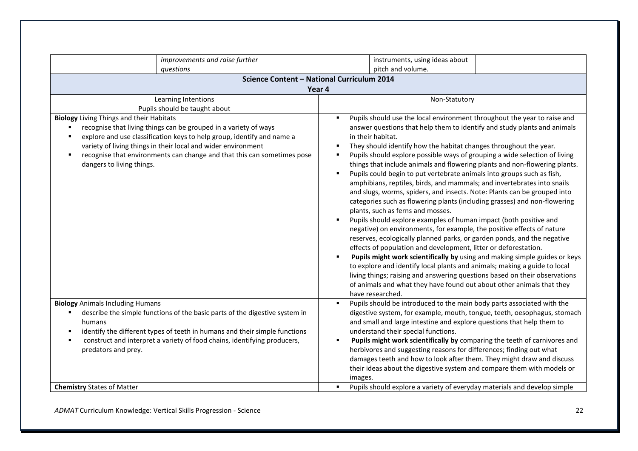| improvements and raise further                                                           | instruments, using ideas about                                                           |  |  |  |
|------------------------------------------------------------------------------------------|------------------------------------------------------------------------------------------|--|--|--|
| questions                                                                                | pitch and volume.                                                                        |  |  |  |
| Science Content - National Curriculum 2014                                               |                                                                                          |  |  |  |
|                                                                                          |                                                                                          |  |  |  |
|                                                                                          | Year 4                                                                                   |  |  |  |
| Learning Intentions                                                                      | Non-Statutory                                                                            |  |  |  |
| Pupils should be taught about                                                            |                                                                                          |  |  |  |
| <b>Biology</b> Living Things and their Habitats                                          | Pupils should use the local environment throughout the year to raise and                 |  |  |  |
| recognise that living things can be grouped in a variety of ways                         | answer questions that help them to identify and study plants and animals                 |  |  |  |
| explore and use classification keys to help group, identify and name a<br>$\blacksquare$ | in their habitat.                                                                        |  |  |  |
| variety of living things in their local and wider environment                            | They should identify how the habitat changes throughout the year.                        |  |  |  |
| recognise that environments can change and that this can sometimes pose<br>٠             | Pupils should explore possible ways of grouping a wide selection of living               |  |  |  |
| dangers to living things.                                                                | things that include animals and flowering plants and non-flowering plants.               |  |  |  |
|                                                                                          | Pupils could begin to put vertebrate animals into groups such as fish,                   |  |  |  |
|                                                                                          | amphibians, reptiles, birds, and mammals; and invertebrates into snails                  |  |  |  |
|                                                                                          | and slugs, worms, spiders, and insects. Note: Plants can be grouped into                 |  |  |  |
|                                                                                          | categories such as flowering plants (including grasses) and non-flowering                |  |  |  |
|                                                                                          | plants, such as ferns and mosses.                                                        |  |  |  |
|                                                                                          | Pupils should explore examples of human impact (both positive and                        |  |  |  |
|                                                                                          | negative) on environments, for example, the positive effects of nature                   |  |  |  |
|                                                                                          | reserves, ecologically planned parks, or garden ponds, and the negative                  |  |  |  |
|                                                                                          | effects of population and development, litter or deforestation.                          |  |  |  |
|                                                                                          | Pupils might work scientifically by using and making simple guides or keys               |  |  |  |
|                                                                                          | to explore and identify local plants and animals; making a guide to local                |  |  |  |
|                                                                                          | living things; raising and answering questions based on their observations               |  |  |  |
|                                                                                          | of animals and what they have found out about other animals that they                    |  |  |  |
|                                                                                          | have researched.                                                                         |  |  |  |
| <b>Biology</b> Animals Including Humans                                                  | Pupils should be introduced to the main body parts associated with the<br>$\blacksquare$ |  |  |  |
| describe the simple functions of the basic parts of the digestive system in<br>٠         | digestive system, for example, mouth, tongue, teeth, oesophagus, stomach                 |  |  |  |
| humans                                                                                   | and small and large intestine and explore questions that help them to                    |  |  |  |
| identify the different types of teeth in humans and their simple functions               | understand their special functions.                                                      |  |  |  |
| construct and interpret a variety of food chains, identifying producers,                 | Pupils might work scientifically by comparing the teeth of carnivores and                |  |  |  |
| predators and prey.                                                                      | herbivores and suggesting reasons for differences; finding out what                      |  |  |  |
|                                                                                          | damages teeth and how to look after them. They might draw and discuss                    |  |  |  |
|                                                                                          | their ideas about the digestive system and compare them with models or                   |  |  |  |
|                                                                                          | images.                                                                                  |  |  |  |
| <b>Chemistry States of Matter</b>                                                        | Pupils should explore a variety of everyday materials and develop simple                 |  |  |  |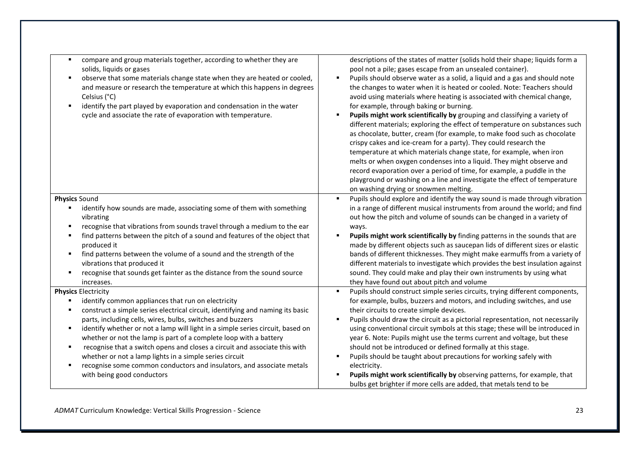|                      | compare and group materials together, according to whether they are            | descriptions of the states of matter (solids hold their shape; liquids form a                                                                |
|----------------------|--------------------------------------------------------------------------------|----------------------------------------------------------------------------------------------------------------------------------------------|
|                      | solids, liquids or gases                                                       | pool not a pile; gases escape from an unsealed container).                                                                                   |
|                      | observe that some materials change state when they are heated or cooled,       | Pupils should observe water as a solid, a liquid and a gas and should note                                                                   |
|                      | and measure or research the temperature at which this happens in degrees       | the changes to water when it is heated or cooled. Note: Teachers should                                                                      |
|                      | Celsius (°C)                                                                   | avoid using materials where heating is associated with chemical change,                                                                      |
|                      | identify the part played by evaporation and condensation in the water          | for example, through baking or burning.                                                                                                      |
|                      | cycle and associate the rate of evaporation with temperature.                  | Pupils might work scientifically by grouping and classifying a variety of                                                                    |
|                      |                                                                                | different materials; exploring the effect of temperature on substances such                                                                  |
|                      |                                                                                | as chocolate, butter, cream (for example, to make food such as chocolate                                                                     |
|                      |                                                                                | crispy cakes and ice-cream for a party). They could research the                                                                             |
|                      |                                                                                | temperature at which materials change state, for example, when iron                                                                          |
|                      |                                                                                | melts or when oxygen condenses into a liquid. They might observe and                                                                         |
|                      |                                                                                | record evaporation over a period of time, for example, a puddle in the                                                                       |
|                      |                                                                                | playground or washing on a line and investigate the effect of temperature                                                                    |
|                      |                                                                                | on washing drying or snowmen melting.                                                                                                        |
| <b>Physics Sound</b> |                                                                                | Pupils should explore and identify the way sound is made through vibration                                                                   |
|                      | identify how sounds are made, associating some of them with something          | in a range of different musical instruments from around the world; and find                                                                  |
|                      | vibrating                                                                      | out how the pitch and volume of sounds can be changed in a variety of                                                                        |
|                      | recognise that vibrations from sounds travel through a medium to the ear       | ways.                                                                                                                                        |
|                      | find patterns between the pitch of a sound and features of the object that     | Pupils might work scientifically by finding patterns in the sounds that are                                                                  |
|                      | produced it                                                                    | made by different objects such as saucepan lids of different sizes or elastic                                                                |
|                      | find patterns between the volume of a sound and the strength of the            | bands of different thicknesses. They might make earmuffs from a variety of                                                                   |
|                      | vibrations that produced it                                                    | different materials to investigate which provides the best insulation against                                                                |
|                      | recognise that sounds get fainter as the distance from the sound source        | sound. They could make and play their own instruments by using what                                                                          |
|                      |                                                                                |                                                                                                                                              |
|                      | increases.<br><b>Physics Electricity</b>                                       | they have found out about pitch and volume<br>Pupils should construct simple series circuits, trying different components,<br>$\blacksquare$ |
|                      |                                                                                | for example, bulbs, buzzers and motors, and including switches, and use                                                                      |
|                      | identify common appliances that run on electricity                             |                                                                                                                                              |
|                      | construct a simple series electrical circuit, identifying and naming its basic | their circuits to create simple devices.<br>$\blacksquare$                                                                                   |
|                      | parts, including cells, wires, bulbs, switches and buzzers                     | Pupils should draw the circuit as a pictorial representation, not necessarily                                                                |
| ٠                    | identify whether or not a lamp will light in a simple series circuit, based on | using conventional circuit symbols at this stage; these will be introduced in                                                                |
|                      | whether or not the lamp is part of a complete loop with a battery              | year 6. Note: Pupils might use the terms current and voltage, but these                                                                      |
| $\blacksquare$       | recognise that a switch opens and closes a circuit and associate this with     | should not be introduced or defined formally at this stage.                                                                                  |
|                      | whether or not a lamp lights in a simple series circuit                        | Pupils should be taught about precautions for working safely with                                                                            |
|                      | recognise some common conductors and insulators, and associate metals          | electricity.                                                                                                                                 |
|                      | with being good conductors                                                     | Pupils might work scientifically by observing patterns, for example, that                                                                    |
|                      |                                                                                | bulbs get brighter if more cells are added, that metals tend to be                                                                           |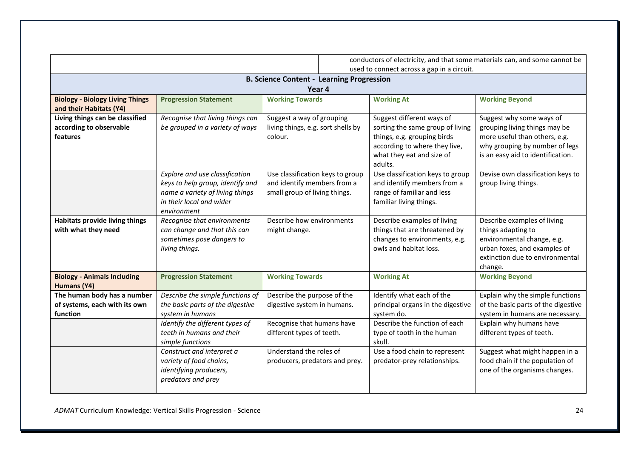|                                                                          |                                                                                                                                                  |                                                                                                  | used to connect across a gap in a circuit.                                                                                                                            | conductors of electricity, and that some materials can, and some cannot be                                                                                        |  |  |  |
|--------------------------------------------------------------------------|--------------------------------------------------------------------------------------------------------------------------------------------------|--------------------------------------------------------------------------------------------------|-----------------------------------------------------------------------------------------------------------------------------------------------------------------------|-------------------------------------------------------------------------------------------------------------------------------------------------------------------|--|--|--|
| <b>B. Science Content - Learning Progression</b>                         |                                                                                                                                                  |                                                                                                  |                                                                                                                                                                       |                                                                                                                                                                   |  |  |  |
|                                                                          | Year 4                                                                                                                                           |                                                                                                  |                                                                                                                                                                       |                                                                                                                                                                   |  |  |  |
| <b>Biology - Biology Living Things</b><br>and their Habitats (Y4)        | <b>Progression Statement</b>                                                                                                                     | <b>Working Towards</b>                                                                           | <b>Working At</b>                                                                                                                                                     | <b>Working Beyond</b>                                                                                                                                             |  |  |  |
| Living things can be classified<br>according to observable<br>features   | Recognise that living things can<br>be grouped in a variety of ways                                                                              | Suggest a way of grouping<br>living things, e.g. sort shells by<br>colour.                       | Suggest different ways of<br>sorting the same group of living<br>things, e.g. grouping birds<br>according to where they live,<br>what they eat and size of<br>adults. | Suggest why some ways of<br>grouping living things may be<br>more useful than others, e.g.<br>why grouping by number of legs<br>is an easy aid to identification. |  |  |  |
|                                                                          | Explore and use classification<br>keys to help group, identify and<br>name a variety of living things<br>in their local and wider<br>environment | Use classification keys to group<br>and identify members from a<br>small group of living things. | Use classification keys to group<br>and identify members from a<br>range of familiar and less<br>familiar living things.                                              | Devise own classification keys to<br>group living things.                                                                                                         |  |  |  |
| Habitats provide living things<br>with what they need                    | Recognise that environments<br>can change and that this can<br>sometimes pose dangers to<br>living things.                                       | Describe how environments<br>might change.                                                       | Describe examples of living<br>things that are threatened by<br>changes to environments, e.g.<br>owls and habitat loss.                                               | Describe examples of living<br>things adapting to<br>environmental change, e.g.<br>urban foxes, and examples of<br>extinction due to environmental<br>change.     |  |  |  |
| <b>Biology - Animals Including</b><br>Humans (Y4)                        | <b>Progression Statement</b>                                                                                                                     | <b>Working Towards</b>                                                                           | <b>Working At</b>                                                                                                                                                     | <b>Working Beyond</b>                                                                                                                                             |  |  |  |
| The human body has a number<br>of systems, each with its own<br>function | Describe the simple functions of<br>the basic parts of the digestive<br>system in humans                                                         | Describe the purpose of the<br>digestive system in humans.                                       | Identify what each of the<br>principal organs in the digestive<br>system do.                                                                                          | Explain why the simple functions<br>of the basic parts of the digestive<br>system in humans are necessary.                                                        |  |  |  |
|                                                                          | Identify the different types of<br>teeth in humans and their<br>simple functions                                                                 | Recognise that humans have<br>different types of teeth.                                          | Describe the function of each<br>type of tooth in the human<br>skull.                                                                                                 | Explain why humans have<br>different types of teeth.                                                                                                              |  |  |  |
|                                                                          | Construct and interpret a<br>variety of food chains,<br>identifying producers,<br>predators and prey                                             | Understand the roles of<br>producers, predators and prey.                                        | Use a food chain to represent<br>predator-prey relationships.                                                                                                         | Suggest what might happen in a<br>food chain if the population of<br>one of the organisms changes.                                                                |  |  |  |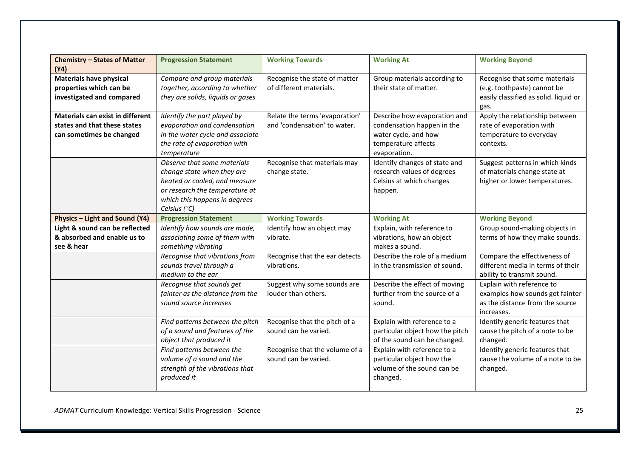| <b>Chemistry - States of Matter</b><br>(Y4)                                                         | <b>Progression Statement</b>                                                                                                                                                  | <b>Working Towards</b>                                         | <b>Working At</b>                                                                                                         | <b>Working Beyond</b>                                                                                         |
|-----------------------------------------------------------------------------------------------------|-------------------------------------------------------------------------------------------------------------------------------------------------------------------------------|----------------------------------------------------------------|---------------------------------------------------------------------------------------------------------------------------|---------------------------------------------------------------------------------------------------------------|
| <b>Materials have physical</b><br>properties which can be<br>investigated and compared              | Compare and group materials<br>together, according to whether<br>they are solids, liquids or gases                                                                            | Recognise the state of matter<br>of different materials.       | Group materials according to<br>their state of matter.                                                                    | Recognise that some materials<br>(e.g. toothpaste) cannot be<br>easily classified as solid. liquid or<br>gas. |
| <b>Materials can exist in different</b><br>states and that these states<br>can sometimes be changed | Identify the part played by<br>evaporation and condensation<br>in the water cycle and associate<br>the rate of evaporation with<br>temperature                                | Relate the terms 'evaporation'<br>and 'condensation' to water. | Describe how evaporation and<br>condensation happen in the<br>water cycle, and how<br>temperature affects<br>evaporation. | Apply the relationship between<br>rate of evaporation with<br>temperature to everyday<br>contexts.            |
|                                                                                                     | Observe that some materials<br>change state when they are<br>heated or cooled, and measure<br>or research the temperature at<br>which this happens in degrees<br>Celsius (°C) | Recognise that materials may<br>change state.                  | Identify changes of state and<br>research values of degrees<br>Celsius at which changes<br>happen.                        | Suggest patterns in which kinds<br>of materials change state at<br>higher or lower temperatures.              |
| Physics - Light and Sound (Y4)                                                                      | <b>Progression Statement</b>                                                                                                                                                  | <b>Working Towards</b>                                         | <b>Working At</b>                                                                                                         | <b>Working Beyond</b>                                                                                         |
| Light & sound can be reflected<br>& absorbed and enable us to<br>see & hear                         | Identify how sounds are made,<br>associating some of them with<br>something vibrating                                                                                         | Identify how an object may<br>vibrate.                         | Explain, with reference to<br>vibrations, how an object<br>makes a sound.                                                 | Group sound-making objects in<br>terms of how they make sounds.                                               |
|                                                                                                     | Recognise that vibrations from<br>sounds travel through a<br>medium to the ear                                                                                                | Recognise that the ear detects<br>vibrations.                  | Describe the role of a medium<br>in the transmission of sound.                                                            | Compare the effectiveness of<br>different media in terms of their<br>ability to transmit sound.               |
|                                                                                                     | Recognise that sounds get<br>fainter as the distance from the<br>sound source increases                                                                                       | Suggest why some sounds are<br>louder than others.             | Describe the effect of moving<br>further from the source of a<br>sound.                                                   | Explain with reference to<br>examples how sounds get fainter<br>as the distance from the source<br>increases. |
|                                                                                                     | Find patterns between the pitch<br>of a sound and features of the<br>object that produced it                                                                                  | Recognise that the pitch of a<br>sound can be varied.          | Explain with reference to a<br>particular object how the pitch<br>of the sound can be changed.                            | Identify generic features that<br>cause the pitch of a note to be<br>changed.                                 |
|                                                                                                     | Find patterns between the<br>volume of a sound and the<br>strength of the vibrations that<br>produced it                                                                      | Recognise that the volume of a<br>sound can be varied.         | Explain with reference to a<br>particular object how the<br>volume of the sound can be<br>changed.                        | Identify generic features that<br>cause the volume of a note to be<br>changed.                                |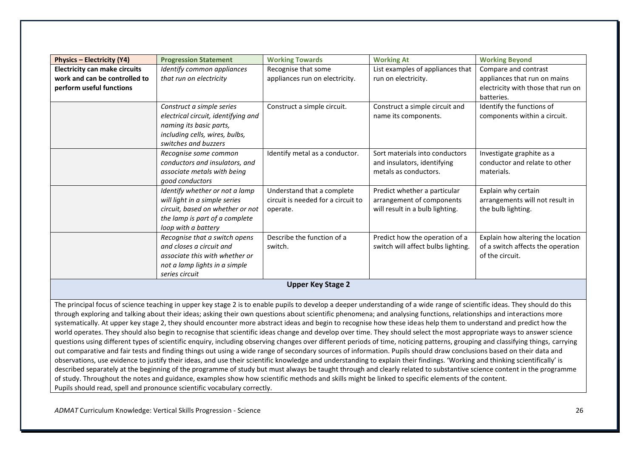| <b>Physics - Electricity (Y4)</b>    | <b>Progression Statement</b>        | <b>Working Towards</b>             | <b>Working At</b>                                                                                                                                                           | <b>Working Beyond</b>              |  |
|--------------------------------------|-------------------------------------|------------------------------------|-----------------------------------------------------------------------------------------------------------------------------------------------------------------------------|------------------------------------|--|
| <b>Electricity can make circuits</b> | Identify common appliances          | Recognise that some                | List examples of appliances that                                                                                                                                            | Compare and contrast               |  |
| work and can be controlled to        | that run on electricity             | appliances run on electricity.     | run on electricity.                                                                                                                                                         | appliances that run on mains       |  |
| perform useful functions             |                                     |                                    |                                                                                                                                                                             | electricity with those that run on |  |
|                                      |                                     |                                    |                                                                                                                                                                             | batteries.                         |  |
|                                      | Construct a simple series           | Construct a simple circuit.        | Construct a simple circuit and                                                                                                                                              | Identify the functions of          |  |
|                                      | electrical circuit, identifying and |                                    | name its components.                                                                                                                                                        | components within a circuit.       |  |
|                                      | naming its basic parts,             |                                    |                                                                                                                                                                             |                                    |  |
|                                      | including cells, wires, bulbs,      |                                    |                                                                                                                                                                             |                                    |  |
|                                      | switches and buzzers                |                                    |                                                                                                                                                                             |                                    |  |
|                                      | Recognise some common               | Identify metal as a conductor.     | Sort materials into conductors                                                                                                                                              | Investigate graphite as a          |  |
|                                      | conductors and insulators, and      |                                    | and insulators, identifying                                                                                                                                                 | conductor and relate to other      |  |
|                                      | associate metals with being         |                                    | metals as conductors.                                                                                                                                                       | materials.                         |  |
|                                      | aood conductors                     |                                    |                                                                                                                                                                             |                                    |  |
|                                      | Identify whether or not a lamp      | Understand that a complete         | Predict whether a particular                                                                                                                                                | Explain why certain                |  |
|                                      | will light in a simple series       | circuit is needed for a circuit to | arrangement of components                                                                                                                                                   | arrangements will not result in    |  |
|                                      | circuit, based on whether or not    | operate.                           | will result in a bulb lighting.                                                                                                                                             | the bulb lighting.                 |  |
|                                      | the lamp is part of a complete      |                                    |                                                                                                                                                                             |                                    |  |
|                                      | loop with a battery                 |                                    |                                                                                                                                                                             |                                    |  |
|                                      | Recognise that a switch opens       | Describe the function of a         | Predict how the operation of a                                                                                                                                              | Explain how altering the location  |  |
|                                      | and closes a circuit and            | switch.                            | switch will affect bulbs lighting.                                                                                                                                          | of a switch affects the operation  |  |
|                                      | associate this with whether or      |                                    |                                                                                                                                                                             | of the circuit.                    |  |
|                                      | not a lamp lights in a simple       |                                    |                                                                                                                                                                             |                                    |  |
|                                      | series circuit                      |                                    |                                                                                                                                                                             |                                    |  |
|                                      |                                     | <b>Upper Key Stage 2</b>           |                                                                                                                                                                             |                                    |  |
|                                      |                                     |                                    |                                                                                                                                                                             |                                    |  |
|                                      |                                     |                                    | The principal focus of science teaching in upper key stage 2 is to enable pupils to develop a deeper understanding of a wide range of scientific ideas. They should do this |                                    |  |
|                                      |                                     |                                    | through exploring and talking about their ideas; asking their own questions about scientific phenomena; and analysing functions, relationships and interactions more        |                                    |  |
|                                      |                                     |                                    | systematically. At upper key stage 2, they should encounter more abstract ideas and begin to recognise how these ideas help them to understand and predict how the          |                                    |  |

world operates. They should also begin to recognise that scientific ideas change and develop over time. They should select the most appropriate ways to answer science questions using different types of scientific enquiry, including observing changes over different periods of time, noticing patterns, grouping and classifying things, carrying out comparative and fair tests and finding things out using a wide range of secondary sources of information. Pupils should draw conclusions based on their data and observations, use evidence to justify their ideas, and use their scientific knowledge and understanding to explain their findings. 'Working and thinking scientifically' is described separately at the beginning of the programme of study but must always be taught through and clearly related to substantive science content in the programme of study. Throughout the notes and guidance, examples show how scientific methods and skills might be linked to specific elements of the content. Pupils should read, spell and pronounce scientific vocabulary correctly.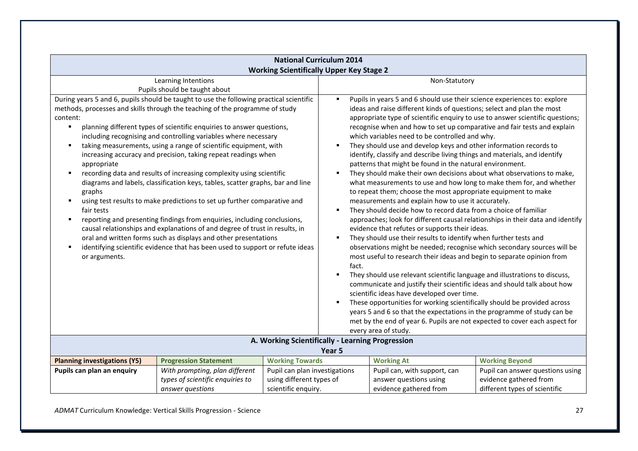| <b>National Curriculum 2014</b><br><b>Working Scientifically Upper Key Stage 2</b>                                                                                                                                                                                                                                                                                                                                                                                                                                                                                                                                                                                                                                                                                                                                                                                                                                                                                                                                                                                                                                                                                                       |                                                                                        |                                                                                                                                                                                                                                                                                                                                                                                                                                                                                                                                                                                                                                                                                                                                                                                                                                                                                                                                                                                                                                                                                                                                                                                                                                                                                                                                                                                                                                                                                                                                                                                                                                                                                                                                                                                                                         |        |                                                                                  |                                                                                             |
|------------------------------------------------------------------------------------------------------------------------------------------------------------------------------------------------------------------------------------------------------------------------------------------------------------------------------------------------------------------------------------------------------------------------------------------------------------------------------------------------------------------------------------------------------------------------------------------------------------------------------------------------------------------------------------------------------------------------------------------------------------------------------------------------------------------------------------------------------------------------------------------------------------------------------------------------------------------------------------------------------------------------------------------------------------------------------------------------------------------------------------------------------------------------------------------|----------------------------------------------------------------------------------------|-------------------------------------------------------------------------------------------------------------------------------------------------------------------------------------------------------------------------------------------------------------------------------------------------------------------------------------------------------------------------------------------------------------------------------------------------------------------------------------------------------------------------------------------------------------------------------------------------------------------------------------------------------------------------------------------------------------------------------------------------------------------------------------------------------------------------------------------------------------------------------------------------------------------------------------------------------------------------------------------------------------------------------------------------------------------------------------------------------------------------------------------------------------------------------------------------------------------------------------------------------------------------------------------------------------------------------------------------------------------------------------------------------------------------------------------------------------------------------------------------------------------------------------------------------------------------------------------------------------------------------------------------------------------------------------------------------------------------------------------------------------------------------------------------------------------------|--------|----------------------------------------------------------------------------------|---------------------------------------------------------------------------------------------|
| Learning Intentions<br>Pupils should be taught about<br>During years 5 and 6, pupils should be taught to use the following practical scientific<br>methods, processes and skills through the teaching of the programme of study<br>content:<br>planning different types of scientific enquiries to answer questions,<br>$\blacksquare$<br>including recognising and controlling variables where necessary<br>taking measurements, using a range of scientific equipment, with<br>$\blacksquare$<br>increasing accuracy and precision, taking repeat readings when<br>appropriate<br>recording data and results of increasing complexity using scientific<br>п<br>diagrams and labels, classification keys, tables, scatter graphs, bar and line<br>graphs<br>using test results to make predictions to set up further comparative and<br>fair tests<br>reporting and presenting findings from enquiries, including conclusions,<br>л<br>causal relationships and explanations of and degree of trust in results, in<br>oral and written forms such as displays and other presentations<br>identifying scientific evidence that has been used to support or refute ideas<br>or arguments. |                                                                                        | Pupils in years 5 and 6 should use their science experiences to: explore<br>ideas and raise different kinds of questions; select and plan the most<br>appropriate type of scientific enquiry to use to answer scientific questions;<br>recognise when and how to set up comparative and fair tests and explain<br>which variables need to be controlled and why.<br>They should use and develop keys and other information records to<br>identify, classify and describe living things and materials, and identify<br>patterns that might be found in the natural environment.<br>They should make their own decisions about what observations to make,<br>what measurements to use and how long to make them for, and whether<br>to repeat them; choose the most appropriate equipment to make<br>measurements and explain how to use it accurately.<br>They should decide how to record data from a choice of familiar<br>approaches; look for different causal relationships in their data and identify<br>evidence that refutes or supports their ideas.<br>They should use their results to identify when further tests and<br>observations might be needed; recognise which secondary sources will be<br>most useful to research their ideas and begin to separate opinion from<br>fact.<br>They should use relevant scientific language and illustrations to discuss,<br>communicate and justify their scientific ideas and should talk about how<br>scientific ideas have developed over time.<br>These opportunities for working scientifically should be provided across<br>years 5 and 6 so that the expectations in the programme of study can be<br>met by the end of year 6. Pupils are not expected to cover each aspect for<br>every area of study.<br>A. Working Scientifically - Learning Progression |        |                                                                                  |                                                                                             |
|                                                                                                                                                                                                                                                                                                                                                                                                                                                                                                                                                                                                                                                                                                                                                                                                                                                                                                                                                                                                                                                                                                                                                                                          |                                                                                        |                                                                                                                                                                                                                                                                                                                                                                                                                                                                                                                                                                                                                                                                                                                                                                                                                                                                                                                                                                                                                                                                                                                                                                                                                                                                                                                                                                                                                                                                                                                                                                                                                                                                                                                                                                                                                         | Year 5 |                                                                                  |                                                                                             |
| <b>Planning investigations (Y5)</b>                                                                                                                                                                                                                                                                                                                                                                                                                                                                                                                                                                                                                                                                                                                                                                                                                                                                                                                                                                                                                                                                                                                                                      | <b>Progression Statement</b>                                                           | <b>Working Towards</b>                                                                                                                                                                                                                                                                                                                                                                                                                                                                                                                                                                                                                                                                                                                                                                                                                                                                                                                                                                                                                                                                                                                                                                                                                                                                                                                                                                                                                                                                                                                                                                                                                                                                                                                                                                                                  |        | <b>Working At</b>                                                                | <b>Working Beyond</b>                                                                       |
| Pupils can plan an enquiry                                                                                                                                                                                                                                                                                                                                                                                                                                                                                                                                                                                                                                                                                                                                                                                                                                                                                                                                                                                                                                                                                                                                                               | With prompting, plan different<br>types of scientific enquiries to<br>answer questions | Pupil can plan investigations<br>using different types of<br>scientific enquiry.                                                                                                                                                                                                                                                                                                                                                                                                                                                                                                                                                                                                                                                                                                                                                                                                                                                                                                                                                                                                                                                                                                                                                                                                                                                                                                                                                                                                                                                                                                                                                                                                                                                                                                                                        |        | Pupil can, with support, can<br>answer questions using<br>evidence gathered from | Pupil can answer questions using<br>evidence gathered from<br>different types of scientific |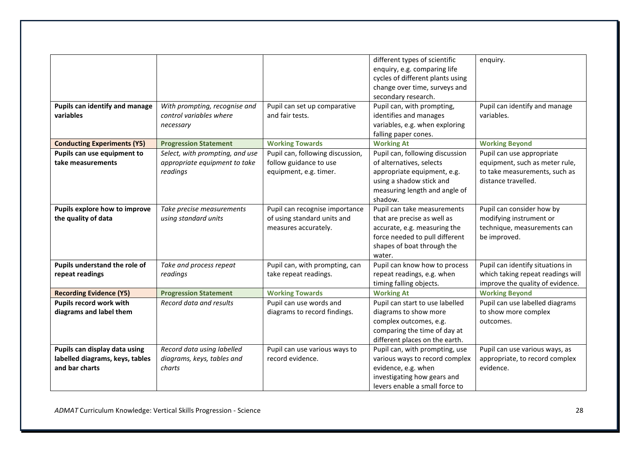| Pupils can identify and manage<br>variables                                        | With prompting, recognise and<br>control variables where<br>necessary        | Pupil can set up comparative<br>and fair tests.                                       | different types of scientific<br>enquiry, e.g. comparing life<br>cycles of different plants using<br>change over time, surveys and<br>secondary research.<br>Pupil can, with prompting,<br>identifies and manages<br>variables, e.g. when exploring<br>falling paper cones. | enquiry.<br>Pupil can identify and manage<br>variables.                                                             |
|------------------------------------------------------------------------------------|------------------------------------------------------------------------------|---------------------------------------------------------------------------------------|-----------------------------------------------------------------------------------------------------------------------------------------------------------------------------------------------------------------------------------------------------------------------------|---------------------------------------------------------------------------------------------------------------------|
| <b>Conducting Experiments (Y5)</b>                                                 | <b>Progression Statement</b>                                                 | <b>Working Towards</b>                                                                | <b>Working At</b>                                                                                                                                                                                                                                                           | <b>Working Beyond</b>                                                                                               |
| Pupils can use equipment to<br>take measurements                                   | Select, with prompting, and use<br>appropriate equipment to take<br>readings | Pupil can, following discussion,<br>follow guidance to use<br>equipment, e.g. timer.  | Pupil can, following discussion<br>of alternatives, selects<br>appropriate equipment, e.g.<br>using a shadow stick and<br>measuring length and angle of<br>shadow.                                                                                                          | Pupil can use appropriate<br>equipment, such as meter rule,<br>to take measurements, such as<br>distance travelled. |
| Pupils explore how to improve<br>the quality of data                               | Take precise measurements<br>using standard units                            | Pupil can recognise importance<br>of using standard units and<br>measures accurately. | Pupil can take measurements<br>that are precise as well as<br>accurate, e.g. measuring the<br>force needed to pull different<br>shapes of boat through the<br>water.                                                                                                        | Pupil can consider how by<br>modifying instrument or<br>technique, measurements can<br>be improved.                 |
| Pupils understand the role of<br>repeat readings                                   | Take and process repeat<br>readings                                          | Pupil can, with prompting, can<br>take repeat readings.                               | Pupil can know how to process<br>repeat readings, e.g. when<br>timing falling objects.                                                                                                                                                                                      | Pupil can identify situations in<br>which taking repeat readings will<br>improve the quality of evidence.           |
| <b>Recording Evidence (Y5)</b>                                                     | <b>Progression Statement</b>                                                 | <b>Working Towards</b>                                                                | <b>Working At</b>                                                                                                                                                                                                                                                           | <b>Working Beyond</b>                                                                                               |
| Pupils record work with<br>diagrams and label them                                 | Record data and results                                                      | Pupil can use words and<br>diagrams to record findings.                               | Pupil can start to use labelled<br>diagrams to show more<br>complex outcomes, e.g.<br>comparing the time of day at<br>different places on the earth.                                                                                                                        | Pupil can use labelled diagrams<br>to show more complex<br>outcomes.                                                |
| Pupils can display data using<br>labelled diagrams, keys, tables<br>and bar charts | Record data using labelled<br>diagrams, keys, tables and<br>charts           | Pupil can use various ways to<br>record evidence.                                     | Pupil can, with prompting, use<br>various ways to record complex<br>evidence, e.g. when<br>investigating how gears and<br>levers enable a small force to                                                                                                                    | Pupil can use various ways, as<br>appropriate, to record complex<br>evidence.                                       |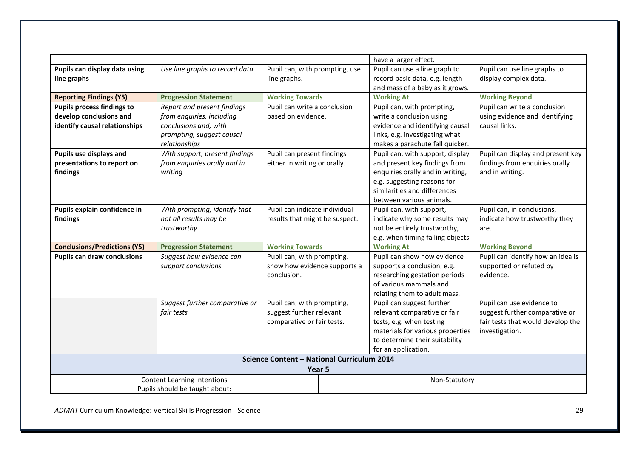|                                                                                               |                                                                                                                                 |                                                                                      |        | have a larger effect.                                                                                                                                                                            |                                                                                                                    |
|-----------------------------------------------------------------------------------------------|---------------------------------------------------------------------------------------------------------------------------------|--------------------------------------------------------------------------------------|--------|--------------------------------------------------------------------------------------------------------------------------------------------------------------------------------------------------|--------------------------------------------------------------------------------------------------------------------|
| Pupils can display data using<br>line graphs                                                  | Use line graphs to record data                                                                                                  | Pupil can, with prompting, use<br>line graphs.                                       |        | Pupil can use a line graph to<br>record basic data, e.g. length<br>and mass of a baby as it grows.                                                                                               | Pupil can use line graphs to<br>display complex data.                                                              |
| <b>Reporting Findings (Y5)</b>                                                                | <b>Progression Statement</b>                                                                                                    | <b>Working Towards</b>                                                               |        | <b>Working At</b>                                                                                                                                                                                | <b>Working Beyond</b>                                                                                              |
| <b>Pupils process findings to</b><br>develop conclusions and<br>identify causal relationships | Report and present findings<br>from enquiries, including<br>conclusions and, with<br>prompting, suggest causal<br>relationships | Pupil can write a conclusion<br>based on evidence.                                   |        | Pupil can, with prompting,<br>write a conclusion using<br>evidence and identifying causal<br>links, e.g. investigating what<br>makes a parachute fall quicker.                                   | Pupil can write a conclusion<br>using evidence and identifying<br>causal links.                                    |
| Pupils use displays and<br>presentations to report on<br>findings                             | With support, present findings<br>from enquiries orally and in<br>writing                                                       | Pupil can present findings<br>either in writing or orally.                           |        | Pupil can, with support, display<br>and present key findings from<br>enquiries orally and in writing,<br>e.g. suggesting reasons for<br>similarities and differences<br>between various animals. | Pupil can display and present key<br>findings from enquiries orally<br>and in writing.                             |
| Pupils explain confidence in<br>findings                                                      | With prompting, identify that<br>not all results may be<br>trustworthy                                                          | Pupil can indicate individual<br>results that might be suspect.                      |        | Pupil can, with support,<br>indicate why some results may<br>not be entirely trustworthy,<br>e.g. when timing falling objects.                                                                   | Pupil can, in conclusions,<br>indicate how trustworthy they<br>are.                                                |
| <b>Conclusions/Predictions (Y5)</b>                                                           | <b>Progression Statement</b>                                                                                                    | <b>Working Towards</b>                                                               |        | <b>Working At</b>                                                                                                                                                                                | <b>Working Beyond</b>                                                                                              |
| <b>Pupils can draw conclusions</b>                                                            | Suggest how evidence can<br>support conclusions                                                                                 | Pupil can, with prompting,<br>show how evidence supports a<br>conclusion.            |        | Pupil can show how evidence<br>supports a conclusion, e.g.<br>researching gestation periods<br>of various mammals and<br>relating them to adult mass.                                            | Pupil can identify how an idea is<br>supported or refuted by<br>evidence.                                          |
|                                                                                               | Suggest further comparative or<br>fair tests                                                                                    | Pupil can, with prompting,<br>suggest further relevant<br>comparative or fair tests. |        | Pupil can suggest further<br>relevant comparative or fair<br>tests, e.g. when testing<br>materials for various properties<br>to determine their suitability<br>for an application.               | Pupil can use evidence to<br>suggest further comparative or<br>fair tests that would develop the<br>investigation. |
|                                                                                               |                                                                                                                                 | Science Content - National Curriculum 2014                                           |        |                                                                                                                                                                                                  |                                                                                                                    |
|                                                                                               |                                                                                                                                 |                                                                                      | Year 5 |                                                                                                                                                                                                  |                                                                                                                    |
|                                                                                               | <b>Content Learning Intentions</b>                                                                                              |                                                                                      |        | Non-Statutory                                                                                                                                                                                    |                                                                                                                    |
|                                                                                               | Pupils should be taught about:                                                                                                  |                                                                                      |        |                                                                                                                                                                                                  |                                                                                                                    |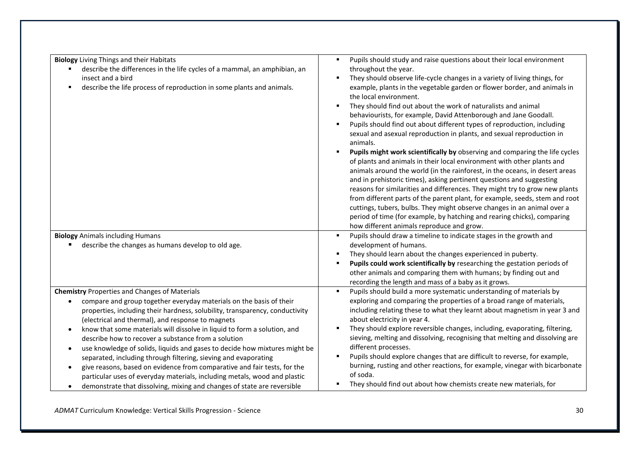| <b>Biology</b> Living Things and their Habitats<br>describe the differences in the life cycles of a mammal, an amphibian, an<br>٠<br>insect and a bird<br>describe the life process of reproduction in some plants and animals.<br>$\blacksquare$                                                                                                                                                                                                                                                                                                                                                                                                                                                                                                                                                                                                         | Pupils should study and raise questions about their local environment<br>throughout the year.<br>They should observe life-cycle changes in a variety of living things, for<br>example, plants in the vegetable garden or flower border, and animals in<br>the local environment.<br>They should find out about the work of naturalists and animal<br>behaviourists, for example, David Attenborough and Jane Goodall.<br>Pupils should find out about different types of reproduction, including<br>sexual and asexual reproduction in plants, and sexual reproduction in<br>animals.<br>Pupils might work scientifically by observing and comparing the life cycles<br>of plants and animals in their local environment with other plants and<br>animals around the world (in the rainforest, in the oceans, in desert areas<br>and in prehistoric times), asking pertinent questions and suggesting<br>reasons for similarities and differences. They might try to grow new plants<br>from different parts of the parent plant, for example, seeds, stem and root<br>cuttings, tubers, bulbs. They might observe changes in an animal over a<br>period of time (for example, by hatching and rearing chicks), comparing<br>how different animals reproduce and grow. |
|-----------------------------------------------------------------------------------------------------------------------------------------------------------------------------------------------------------------------------------------------------------------------------------------------------------------------------------------------------------------------------------------------------------------------------------------------------------------------------------------------------------------------------------------------------------------------------------------------------------------------------------------------------------------------------------------------------------------------------------------------------------------------------------------------------------------------------------------------------------|------------------------------------------------------------------------------------------------------------------------------------------------------------------------------------------------------------------------------------------------------------------------------------------------------------------------------------------------------------------------------------------------------------------------------------------------------------------------------------------------------------------------------------------------------------------------------------------------------------------------------------------------------------------------------------------------------------------------------------------------------------------------------------------------------------------------------------------------------------------------------------------------------------------------------------------------------------------------------------------------------------------------------------------------------------------------------------------------------------------------------------------------------------------------------------------------------------------------------------------------------------------------|
| <b>Biology</b> Animals including Humans<br>describe the changes as humans develop to old age.                                                                                                                                                                                                                                                                                                                                                                                                                                                                                                                                                                                                                                                                                                                                                             | Pupils should draw a timeline to indicate stages in the growth and<br>development of humans.<br>They should learn about the changes experienced in puberty.<br>Pupils could work scientifically by researching the gestation periods of<br>other animals and comparing them with humans; by finding out and<br>recording the length and mass of a baby as it grows.                                                                                                                                                                                                                                                                                                                                                                                                                                                                                                                                                                                                                                                                                                                                                                                                                                                                                                    |
| <b>Chemistry Properties and Changes of Materials</b><br>compare and group together everyday materials on the basis of their<br>$\bullet$<br>properties, including their hardness, solubility, transparency, conductivity<br>(electrical and thermal), and response to magnets<br>know that some materials will dissolve in liquid to form a solution, and<br>$\bullet$<br>describe how to recover a substance from a solution<br>use knowledge of solids, liquids and gases to decide how mixtures might be<br>$\bullet$<br>separated, including through filtering, sieving and evaporating<br>give reasons, based on evidence from comparative and fair tests, for the<br>$\bullet$<br>particular uses of everyday materials, including metals, wood and plastic<br>demonstrate that dissolving, mixing and changes of state are reversible<br>$\bullet$ | Pupils should build a more systematic understanding of materials by<br>exploring and comparing the properties of a broad range of materials,<br>including relating these to what they learnt about magnetism in year 3 and<br>about electricity in year 4.<br>They should explore reversible changes, including, evaporating, filtering,<br>sieving, melting and dissolving, recognising that melting and dissolving are<br>different processes.<br>Pupils should explore changes that are difficult to reverse, for example,<br>burning, rusting and other reactions, for example, vinegar with bicarbonate<br>of soda.<br>They should find out about how chemists create new materials, for                                                                                                                                                                                                                                                                                                                                                                                                                                                                                                                                                                          |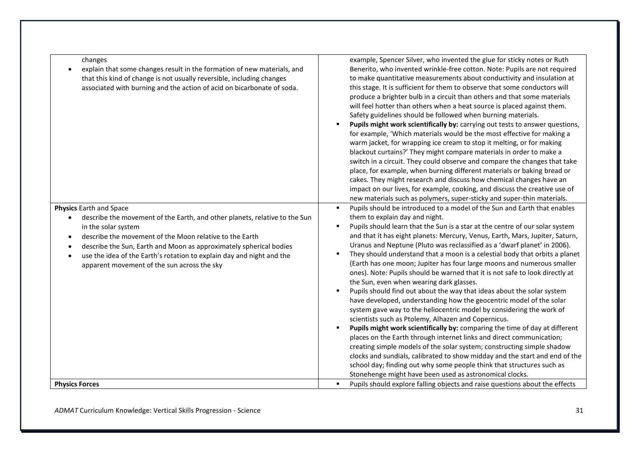| changes<br>explain that some changes result in the formation of new materials, and<br>that this kind of change is not usually reversible, including changes<br>associated with burning and the action of acid on bicarbonate of soda.                                                                                                                                   | example, Spencer Silver, who invented the glue for sticky notes or Ruth<br>Benerito, who invented wrinkle-free cotton. Note: Pupils are not required<br>to make quantitative measurements about conductivity and insulation at<br>this stage. It is sufficient for them to observe that some conductors will<br>produce a brighter bulb in a circuit than others and that some materials<br>will feel hotter than others when a heat source is placed against them.<br>Safety guidelines should be followed when burning materials.<br>Pupils might work scientifically by: carrying out tests to answer questions,<br>٠<br>for example, 'Which materials would be the most effective for making a<br>warm jacket, for wrapping ice cream to stop it melting, or for making<br>blackout curtains?' They might compare materials in order to make a<br>switch in a circuit. They could observe and compare the changes that take<br>place, for example, when burning different materials or baking bread or<br>cakes. They might research and discuss how chemical changes have an<br>impact on our lives, for example, cooking, and discuss the creative use of<br>new materials such as polymers, super-sticky and super-thin materials.                                                                               |
|-------------------------------------------------------------------------------------------------------------------------------------------------------------------------------------------------------------------------------------------------------------------------------------------------------------------------------------------------------------------------|-------------------------------------------------------------------------------------------------------------------------------------------------------------------------------------------------------------------------------------------------------------------------------------------------------------------------------------------------------------------------------------------------------------------------------------------------------------------------------------------------------------------------------------------------------------------------------------------------------------------------------------------------------------------------------------------------------------------------------------------------------------------------------------------------------------------------------------------------------------------------------------------------------------------------------------------------------------------------------------------------------------------------------------------------------------------------------------------------------------------------------------------------------------------------------------------------------------------------------------------------------------------------------------------------------------------------|
| <b>Physics Earth and Space</b>                                                                                                                                                                                                                                                                                                                                          | Pupils should be introduced to a model of the Sun and Earth that enables<br>$\blacksquare$                                                                                                                                                                                                                                                                                                                                                                                                                                                                                                                                                                                                                                                                                                                                                                                                                                                                                                                                                                                                                                                                                                                                                                                                                              |
| describe the movement of the Earth, and other planets, relative to the Sun<br>in the solar system<br>describe the movement of the Moon relative to the Earth<br>$\bullet$<br>describe the Sun, Earth and Moon as approximately spherical bodies<br>use the idea of the Earth's rotation to explain day and night and the<br>apparent movement of the sun across the sky | them to explain day and night.<br>Pupils should learn that the Sun is a star at the centre of our solar system<br>٠<br>and that it has eight planets: Mercury, Venus, Earth, Mars, Jupiter, Saturn,<br>Uranus and Neptune (Pluto was reclassified as a 'dwarf planet' in 2006).<br>They should understand that a moon is a celestial body that orbits a planet<br>٠<br>(Earth has one moon; Jupiter has four large moons and numerous smaller<br>ones). Note: Pupils should be warned that it is not safe to look directly at<br>the Sun, even when wearing dark glasses.<br>Pupils should find out about the way that ideas about the solar system<br>٠<br>have developed, understanding how the geocentric model of the solar<br>system gave way to the heliocentric model by considering the work of<br>scientists such as Ptolemy, Alhazen and Copernicus.<br>Pupils might work scientifically by: comparing the time of day at different<br>٠<br>places on the Earth through internet links and direct communication;<br>creating simple models of the solar system; constructing simple shadow<br>clocks and sundials, calibrated to show midday and the start and end of the<br>school day; finding out why some people think that structures such as<br>Stonehenge might have been used as astronomical clocks. |
| <b>Physics Forces</b>                                                                                                                                                                                                                                                                                                                                                   | Pupils should explore falling objects and raise questions about the effects<br>٠                                                                                                                                                                                                                                                                                                                                                                                                                                                                                                                                                                                                                                                                                                                                                                                                                                                                                                                                                                                                                                                                                                                                                                                                                                        |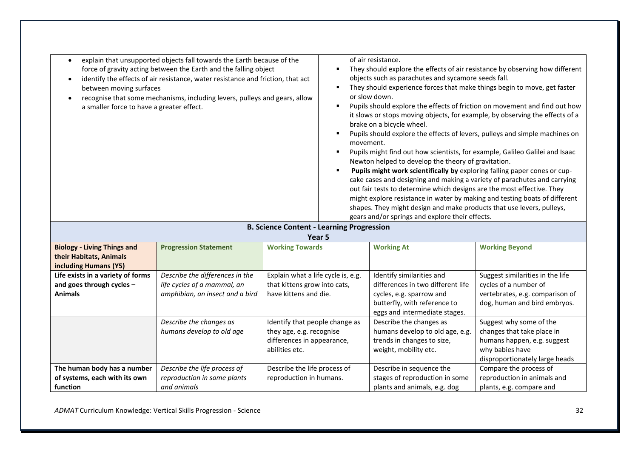| explain that unsupported objects fall towards the Earth because of the<br>$\bullet$<br>force of gravity acting between the Earth and the falling object<br>identify the effects of air resistance, water resistance and friction, that act<br>between moving surfaces<br>recognise that some mechanisms, including levers, pulleys and gears, allow<br>$\bullet$<br>a smaller force to have a greater effect. |                                                                                                   |                                                                                             | movement.                                                                                                         | of air resistance.<br>objects such as parachutes and sycamore seeds fall.<br>They should experience forces that make things begin to move, get faster<br>or slow down.<br>it slows or stops moving objects, for example, by observing the effects of a<br>brake on a bicycle wheel.<br>Pupils should explore the effects of levers, pulleys and simple machines on<br>Pupils might find out how scientists, for example, Galileo Galilei and Isaac<br>Newton helped to develop the theory of gravitation.<br>Pupils might work scientifically by exploring falling paper cones or cup-<br>cake cases and designing and making a variety of parachutes and carrying<br>out fair tests to determine which designs are the most effective. They<br>might explore resistance in water by making and testing boats of different<br>shapes. They might design and make products that use levers, pulleys,<br>gears and/or springs and explore their effects. | They should explore the effects of air resistance by observing how different<br>Pupils should explore the effects of friction on movement and find out how |
|---------------------------------------------------------------------------------------------------------------------------------------------------------------------------------------------------------------------------------------------------------------------------------------------------------------------------------------------------------------------------------------------------------------|---------------------------------------------------------------------------------------------------|---------------------------------------------------------------------------------------------|-------------------------------------------------------------------------------------------------------------------|--------------------------------------------------------------------------------------------------------------------------------------------------------------------------------------------------------------------------------------------------------------------------------------------------------------------------------------------------------------------------------------------------------------------------------------------------------------------------------------------------------------------------------------------------------------------------------------------------------------------------------------------------------------------------------------------------------------------------------------------------------------------------------------------------------------------------------------------------------------------------------------------------------------------------------------------------------|------------------------------------------------------------------------------------------------------------------------------------------------------------|
|                                                                                                                                                                                                                                                                                                                                                                                                               |                                                                                                   | <b>B. Science Content - Learning Progression</b><br>Year 5                                  |                                                                                                                   |                                                                                                                                                                                                                                                                                                                                                                                                                                                                                                                                                                                                                                                                                                                                                                                                                                                                                                                                                        |                                                                                                                                                            |
| <b>Biology - Living Things and</b><br>their Habitats, Animals<br>including Humans (Y5)                                                                                                                                                                                                                                                                                                                        | <b>Progression Statement</b>                                                                      | <b>Working Towards</b>                                                                      |                                                                                                                   | <b>Working At</b>                                                                                                                                                                                                                                                                                                                                                                                                                                                                                                                                                                                                                                                                                                                                                                                                                                                                                                                                      | <b>Working Beyond</b>                                                                                                                                      |
| Life exists in a variety of forms<br>and goes through cycles -<br><b>Animals</b>                                                                                                                                                                                                                                                                                                                              | Describe the differences in the<br>life cycles of a mammal, an<br>amphibian, an insect and a bird | Explain what a life cycle is, e.g.<br>that kittens grow into cats,<br>have kittens and die. |                                                                                                                   | Identify similarities and<br>differences in two different life<br>cycles, e.g. sparrow and<br>butterfly, with reference to<br>eggs and intermediate stages.                                                                                                                                                                                                                                                                                                                                                                                                                                                                                                                                                                                                                                                                                                                                                                                            | Suggest similarities in the life<br>cycles of a number of<br>vertebrates, e.g. comparison of<br>dog, human and bird embryos.                               |
| Describe the changes as<br>Identify that people change as<br>humans develop to old age<br>they age, e.g. recognise<br>differences in appearance,<br>abilities etc.                                                                                                                                                                                                                                            |                                                                                                   |                                                                                             | Describe the changes as<br>humans develop to old age, e.g.<br>trends in changes to size,<br>weight, mobility etc. | Suggest why some of the<br>changes that take place in<br>humans happen, e.g. suggest<br>why babies have<br>disproportionately large heads                                                                                                                                                                                                                                                                                                                                                                                                                                                                                                                                                                                                                                                                                                                                                                                                              |                                                                                                                                                            |
| The human body has a number<br>of systems, each with its own<br>function                                                                                                                                                                                                                                                                                                                                      | Describe the life process of<br>reproduction in some plants<br>and animals                        | Describe the life process of<br>reproduction in humans.                                     |                                                                                                                   | Describe in sequence the<br>stages of reproduction in some<br>plants and animals, e.g. dog                                                                                                                                                                                                                                                                                                                                                                                                                                                                                                                                                                                                                                                                                                                                                                                                                                                             | Compare the process of<br>reproduction in animals and<br>plants, e.g. compare and                                                                          |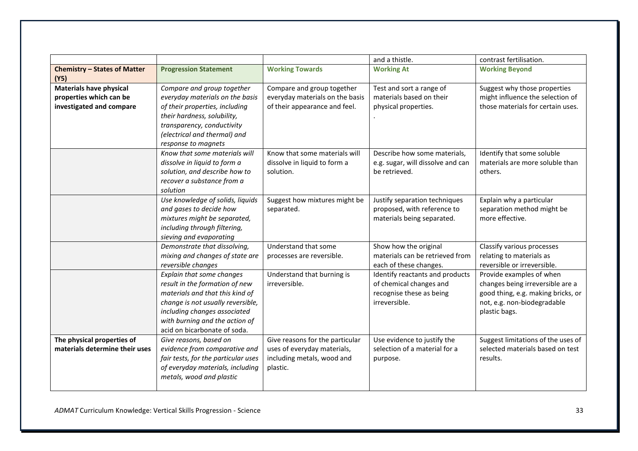|                                                                                       |                                                                                                                                                                                                                                       |                                                                                                          | and a thistle.                                                                                          | contrast fertilisation.                                                                                                                            |
|---------------------------------------------------------------------------------------|---------------------------------------------------------------------------------------------------------------------------------------------------------------------------------------------------------------------------------------|----------------------------------------------------------------------------------------------------------|---------------------------------------------------------------------------------------------------------|----------------------------------------------------------------------------------------------------------------------------------------------------|
| <b>Chemistry - States of Matter</b><br>(Y5)                                           | <b>Progression Statement</b>                                                                                                                                                                                                          | <b>Working Towards</b>                                                                                   | <b>Working At</b>                                                                                       | <b>Working Beyond</b>                                                                                                                              |
| <b>Materials have physical</b><br>properties which can be<br>investigated and compare | Compare and group together<br>everyday materials on the basis<br>of their properties, including<br>their hardness, solubility,<br>transparency, conductivity<br>(electrical and thermal) and<br>response to magnets                   | Compare and group together<br>everyday materials on the basis<br>of their appearance and feel.           | Test and sort a range of<br>materials based on their<br>physical properties.                            | Suggest why those properties<br>might influence the selection of<br>those materials for certain uses.                                              |
|                                                                                       | Know that some materials will<br>dissolve in liquid to form a<br>solution, and describe how to<br>recover a substance from a<br>solution                                                                                              | Know that some materials will<br>dissolve in liquid to form a<br>solution.                               | Describe how some materials,<br>e.g. sugar, will dissolve and can<br>be retrieved.                      | Identify that some soluble<br>materials are more soluble than<br>others.                                                                           |
|                                                                                       | Use knowledge of solids, liquids<br>and gases to decide how<br>mixtures might be separated,<br>including through filtering,<br>sieving and evaporating                                                                                | Suggest how mixtures might be<br>separated.                                                              | Justify separation techniques<br>proposed, with reference to<br>materials being separated.              | Explain why a particular<br>separation method might be<br>more effective.                                                                          |
|                                                                                       | Demonstrate that dissolving,<br>mixing and changes of state are<br>reversible changes                                                                                                                                                 | Understand that some<br>processes are reversible.                                                        | Show how the original<br>materials can be retrieved from<br>each of these changes.                      | Classify various processes<br>relating to materials as<br>reversible or irreversible.                                                              |
|                                                                                       | Explain that some changes<br>result in the formation of new<br>materials and that this kind of<br>change is not usually reversible,<br>including changes associated<br>with burning and the action of<br>acid on bicarbonate of soda. | Understand that burning is<br>irreversible.                                                              | Identify reactants and products<br>of chemical changes and<br>recognise these as being<br>irreversible. | Provide examples of when<br>changes being irreversible are a<br>good thing, e.g. making bricks, or<br>not, e.g. non-biodegradable<br>plastic bags. |
| The physical properties of<br>materials determine their uses                          | Give reasons, based on<br>evidence from comparative and<br>fair tests, for the particular uses<br>of everyday materials, including<br>metals, wood and plastic                                                                        | Give reasons for the particular<br>uses of everyday materials,<br>including metals, wood and<br>plastic. | Use evidence to justify the<br>selection of a material for a<br>purpose.                                | Suggest limitations of the uses of<br>selected materials based on test<br>results.                                                                 |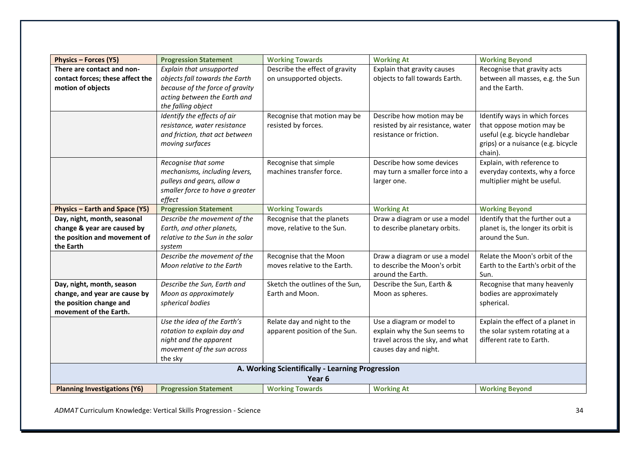| Physics - Forces (Y5)                                                                                           | <b>Progression Statement</b>                                                                                                                        | <b>Working Towards</b>                                       | <b>Working At</b>                                                                                                     | <b>Working Beyond</b>                                                                                                                         |
|-----------------------------------------------------------------------------------------------------------------|-----------------------------------------------------------------------------------------------------------------------------------------------------|--------------------------------------------------------------|-----------------------------------------------------------------------------------------------------------------------|-----------------------------------------------------------------------------------------------------------------------------------------------|
| There are contact and non-<br>contact forces; these affect the<br>motion of objects                             | Explain that unsupported<br>objects fall towards the Earth<br>because of the force of gravity<br>acting between the Earth and<br>the falling object | Describe the effect of gravity<br>on unsupported objects.    | Explain that gravity causes<br>objects to fall towards Earth.                                                         | Recognise that gravity acts<br>between all masses, e.g. the Sun<br>and the Earth.                                                             |
|                                                                                                                 | Identify the effects of air<br>resistance, water resistance<br>and friction, that act between<br>moving surfaces                                    | Recognise that motion may be<br>resisted by forces.          | Describe how motion may be<br>resisted by air resistance, water<br>resistance or friction.                            | Identify ways in which forces<br>that oppose motion may be<br>useful (e.g. bicycle handlebar<br>grips) or a nuisance (e.g. bicycle<br>chain). |
|                                                                                                                 | Recognise that some<br>mechanisms, including levers,<br>pulleys and gears, allow a<br>smaller force to have a greater<br>effect                     | Recognise that simple<br>machines transfer force.            | Describe how some devices<br>may turn a smaller force into a<br>larger one.                                           | Explain, with reference to<br>everyday contexts, why a force<br>multiplier might be useful.                                                   |
| Physics - Earth and Space (Y5)                                                                                  | <b>Progression Statement</b>                                                                                                                        | <b>Working Towards</b>                                       | <b>Working At</b>                                                                                                     | <b>Working Beyond</b>                                                                                                                         |
| Day, night, month, seasonal<br>change & year are caused by<br>the position and movement of<br>the Earth         | Describe the movement of the<br>Earth, and other planets,<br>relative to the Sun in the solar<br>system                                             | Recognise that the planets<br>move, relative to the Sun.     | Draw a diagram or use a model<br>to describe planetary orbits.                                                        | Identify that the further out a<br>planet is, the longer its orbit is<br>around the Sun.                                                      |
|                                                                                                                 | Describe the movement of the<br>Moon relative to the Earth                                                                                          | Recognise that the Moon<br>moves relative to the Earth.      | Draw a diagram or use a model<br>to describe the Moon's orbit<br>around the Earth.                                    | Relate the Moon's orbit of the<br>Earth to the Earth's orbit of the<br>Sun.                                                                   |
| Day, night, month, season<br>change, and year are cause by<br>the position change and<br>movement of the Earth. | Describe the Sun, Earth and<br>Moon as approximately<br>spherical bodies                                                                            | Sketch the outlines of the Sun,<br>Earth and Moon.           | Describe the Sun, Earth &<br>Moon as spheres.                                                                         | Recognise that many heavenly<br>bodies are approximately<br>spherical.                                                                        |
|                                                                                                                 | Use the idea of the Earth's<br>rotation to explain day and<br>night and the apparent<br>movement of the sun across<br>the sky                       | Relate day and night to the<br>apparent position of the Sun. | Use a diagram or model to<br>explain why the Sun seems to<br>travel across the sky, and what<br>causes day and night. | Explain the effect of a planet in<br>the solar system rotating at a<br>different rate to Earth.                                               |
|                                                                                                                 |                                                                                                                                                     | A. Working Scientifically - Learning Progression             |                                                                                                                       |                                                                                                                                               |
|                                                                                                                 |                                                                                                                                                     | Year 6                                                       |                                                                                                                       |                                                                                                                                               |
| <b>Planning Investigations (Y6)</b>                                                                             | <b>Progression Statement</b>                                                                                                                        | <b>Working Towards</b>                                       | <b>Working At</b>                                                                                                     | <b>Working Beyond</b>                                                                                                                         |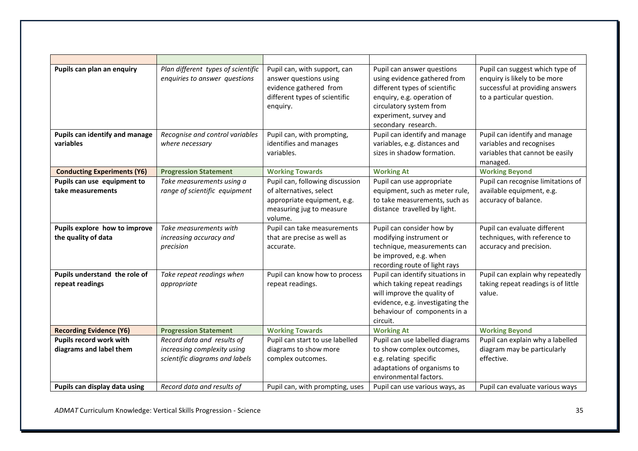| Pupils can plan an enquiry                         | Plan different types of scientific<br>enquiries to answer questions                         | Pupil can, with support, can<br>answer questions using<br>evidence gathered from<br>different types of scientific<br>enquiry.    | Pupil can answer questions<br>using evidence gathered from<br>different types of scientific<br>enquiry, e.g. operation of<br>circulatory system from<br>experiment, survey and<br>secondary research. | Pupil can suggest which type of<br>enquiry is likely to be more<br>successful at providing answers<br>to a particular question. |
|----------------------------------------------------|---------------------------------------------------------------------------------------------|----------------------------------------------------------------------------------------------------------------------------------|-------------------------------------------------------------------------------------------------------------------------------------------------------------------------------------------------------|---------------------------------------------------------------------------------------------------------------------------------|
| Pupils can identify and manage                     | Recognise and control variables                                                             | Pupil can, with prompting,                                                                                                       | Pupil can identify and manage                                                                                                                                                                         | Pupil can identify and manage                                                                                                   |
| variables                                          | where necessary                                                                             | identifies and manages<br>variables.                                                                                             | variables, e.g. distances and<br>sizes in shadow formation.                                                                                                                                           | variables and recognises<br>variables that cannot be easily<br>managed.                                                         |
| <b>Conducting Experiments (Y6)</b>                 | <b>Progression Statement</b>                                                                | <b>Working Towards</b>                                                                                                           | <b>Working At</b>                                                                                                                                                                                     | <b>Working Beyond</b>                                                                                                           |
| Pupils can use equipment to<br>take measurements   | Take measurements using a<br>range of scientific equipment                                  | Pupil can, following discussion<br>of alternatives, select<br>appropriate equipment, e.g.<br>measuring jug to measure<br>volume. | Pupil can use appropriate<br>equipment, such as meter rule,<br>to take measurements, such as<br>distance travelled by light.                                                                          | Pupil can recognise limitations of<br>available equipment, e.g.<br>accuracy of balance.                                         |
| Pupils explore how to improve                      | Take measurements with                                                                      | Pupil can take measurements                                                                                                      | Pupil can consider how by                                                                                                                                                                             | Pupil can evaluate different                                                                                                    |
| the quality of data                                | increasing accuracy and<br>precision                                                        | that are precise as well as<br>accurate.                                                                                         | modifying instrument or<br>technique, measurements can<br>be improved, e.g. when<br>recording route of light rays                                                                                     | techniques, with reference to<br>accuracy and precision.                                                                        |
| Pupils understand the role of<br>repeat readings   | Take repeat readings when<br>appropriate                                                    | Pupil can know how to process<br>repeat readings.                                                                                | Pupil can identify situations in<br>which taking repeat readings<br>will improve the quality of<br>evidence, e.g. investigating the<br>behaviour of components in a<br>circuit.                       | Pupil can explain why repeatedly<br>taking repeat readings is of little<br>value.                                               |
| <b>Recording Evidence (Y6)</b>                     | <b>Progression Statement</b>                                                                | <b>Working Towards</b>                                                                                                           | <b>Working At</b>                                                                                                                                                                                     | <b>Working Beyond</b>                                                                                                           |
| Pupils record work with<br>diagrams and label them | Record data and results of<br>increasing complexity using<br>scientific diagrams and labels | Pupil can start to use labelled<br>diagrams to show more<br>complex outcomes.                                                    | Pupil can use labelled diagrams<br>to show complex outcomes,<br>e.g. relating specific<br>adaptations of organisms to<br>environmental factors.                                                       | Pupil can explain why a labelled<br>diagram may be particularly<br>effective.                                                   |
| Pupils can display data using                      | Record data and results of                                                                  | Pupil can, with prompting, uses                                                                                                  | Pupil can use various ways, as                                                                                                                                                                        | Pupil can evaluate various ways                                                                                                 |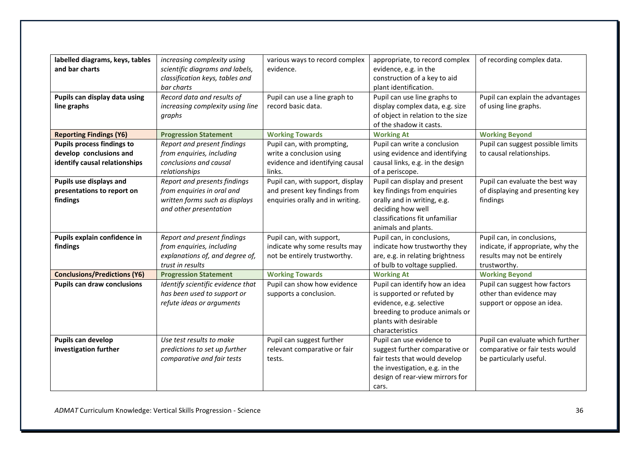| labelled diagrams, keys, tables<br>and bar charts                                             | increasing complexity using<br>scientific diagrams and labels,<br>classification keys, tables and<br>bar charts        | various ways to record complex<br>evidence.                                                           | appropriate, to record complex<br>evidence, e.g. in the<br>construction of a key to aid<br>plant identification.                                                           | of recording complex data.                                                                                     |
|-----------------------------------------------------------------------------------------------|------------------------------------------------------------------------------------------------------------------------|-------------------------------------------------------------------------------------------------------|----------------------------------------------------------------------------------------------------------------------------------------------------------------------------|----------------------------------------------------------------------------------------------------------------|
| Pupils can display data using<br>line graphs                                                  | Record data and results of<br>increasing complexity using line<br>graphs                                               | Pupil can use a line graph to<br>record basic data.                                                   | Pupil can use line graphs to<br>display complex data, e.g. size<br>of object in relation to the size<br>of the shadow it casts.                                            | Pupil can explain the advantages<br>of using line graphs.                                                      |
| <b>Reporting Findings (Y6)</b>                                                                | <b>Progression Statement</b>                                                                                           | <b>Working Towards</b>                                                                                | <b>Working At</b>                                                                                                                                                          | <b>Working Beyond</b>                                                                                          |
| <b>Pupils process findings to</b><br>develop conclusions and<br>identify causal relationships | Report and present findings<br>from enquiries, including<br>conclusions and causal<br>relationships                    | Pupil can, with prompting,<br>write a conclusion using<br>evidence and identifying causal<br>links.   | Pupil can write a conclusion<br>using evidence and identifying<br>causal links, e.g. in the design<br>of a periscope.                                                      | Pupil can suggest possible limits<br>to causal relationships.                                                  |
| Pupils use displays and<br>presentations to report on<br>findings                             | Report and presents findings<br>from enquiries in oral and<br>written forms such as displays<br>and other presentation | Pupil can, with support, display<br>and present key findings from<br>enquiries orally and in writing. | Pupil can display and present<br>key findings from enquiries<br>orally and in writing, e.g.<br>deciding how well<br>classifications fit unfamiliar<br>animals and plants.  | Pupil can evaluate the best way<br>of displaying and presenting key<br>findings                                |
| Pupils explain confidence in<br>findings                                                      | Report and present findings<br>from enquiries, including<br>explanations of, and degree of,<br>trust in results        | Pupil can, with support,<br>indicate why some results may<br>not be entirely trustworthy.             | Pupil can, in conclusions,<br>indicate how trustworthy they<br>are, e.g. in relating brightness<br>of bulb to voltage supplied.                                            | Pupil can, in conclusions,<br>indicate, if appropriate, why the<br>results may not be entirely<br>trustworthy. |
| <b>Conclusions/Predictions (Y6)</b>                                                           | <b>Progression Statement</b>                                                                                           | <b>Working Towards</b>                                                                                | <b>Working At</b>                                                                                                                                                          | <b>Working Beyond</b>                                                                                          |
| <b>Pupils can draw conclusions</b>                                                            | Identify scientific evidence that<br>has been used to support or<br>refute ideas or arguments                          | Pupil can show how evidence<br>supports a conclusion.                                                 | Pupil can identify how an idea<br>is supported or refuted by<br>evidence, e.g. selective<br>breeding to produce animals or<br>plants with desirable<br>characteristics     | Pupil can suggest how factors<br>other than evidence may<br>support or oppose an idea.                         |
| Pupils can develop<br>investigation further                                                   | Use test results to make<br>predictions to set up further<br>comparative and fair tests                                | Pupil can suggest further<br>relevant comparative or fair<br>tests.                                   | Pupil can use evidence to<br>suggest further comparative or<br>fair tests that would develop<br>the investigation, e.g. in the<br>design of rear-view mirrors for<br>cars. | Pupil can evaluate which further<br>comparative or fair tests would<br>be particularly useful.                 |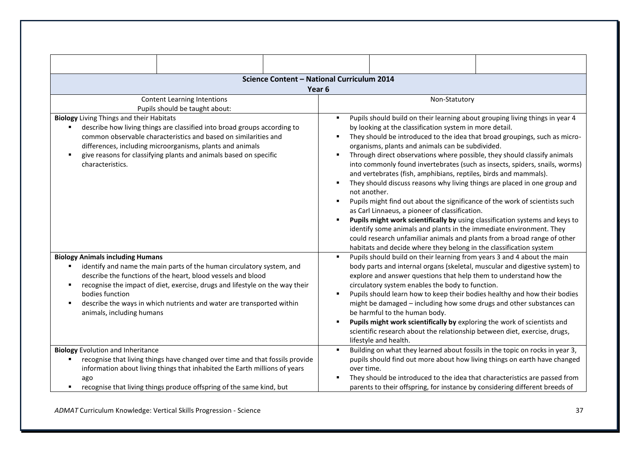| Science Content - National Curriculum 2014                                                                               |                                                                                                                                                                                                                                                                           |  |  |  |  |
|--------------------------------------------------------------------------------------------------------------------------|---------------------------------------------------------------------------------------------------------------------------------------------------------------------------------------------------------------------------------------------------------------------------|--|--|--|--|
| Year 6                                                                                                                   |                                                                                                                                                                                                                                                                           |  |  |  |  |
| <b>Content Learning Intentions</b>                                                                                       | Non-Statutory                                                                                                                                                                                                                                                             |  |  |  |  |
| Pupils should be taught about:<br><b>Biology</b> Living Things and their Habitats                                        | Pupils should build on their learning about grouping living things in year 4<br>by looking at the classification system in more detail.<br>They should be introduced to the idea that broad groupings, such as micro-<br>organisms, plants and animals can be subdivided. |  |  |  |  |
| describe how living things are classified into broad groups according to                                                 |                                                                                                                                                                                                                                                                           |  |  |  |  |
| common observable characteristics and based on similarities and                                                          |                                                                                                                                                                                                                                                                           |  |  |  |  |
| differences, including microorganisms, plants and animals                                                                |                                                                                                                                                                                                                                                                           |  |  |  |  |
| give reasons for classifying plants and animals based on specific<br>$\blacksquare$                                      | Through direct observations where possible, they should classify animals                                                                                                                                                                                                  |  |  |  |  |
| characteristics.                                                                                                         | into commonly found invertebrates (such as insects, spiders, snails, worms)                                                                                                                                                                                               |  |  |  |  |
|                                                                                                                          | and vertebrates (fish, amphibians, reptiles, birds and mammals).<br>They should discuss reasons why living things are placed in one group and                                                                                                                             |  |  |  |  |
|                                                                                                                          | not another.                                                                                                                                                                                                                                                              |  |  |  |  |
|                                                                                                                          | Pupils might find out about the significance of the work of scientists such                                                                                                                                                                                               |  |  |  |  |
|                                                                                                                          | as Carl Linnaeus, a pioneer of classification.                                                                                                                                                                                                                            |  |  |  |  |
|                                                                                                                          | Pupils might work scientifically by using classification systems and keys to                                                                                                                                                                                              |  |  |  |  |
|                                                                                                                          | identify some animals and plants in the immediate environment. They<br>could research unfamiliar animals and plants from a broad range of other                                                                                                                           |  |  |  |  |
|                                                                                                                          | habitats and decide where they belong in the classification system                                                                                                                                                                                                        |  |  |  |  |
| <b>Biology Animals including Humans</b>                                                                                  | Pupils should build on their learning from years 3 and 4 about the main                                                                                                                                                                                                   |  |  |  |  |
| identify and name the main parts of the human circulatory system, and                                                    | body parts and internal organs (skeletal, muscular and digestive system) to<br>explore and answer questions that help them to understand how the                                                                                                                          |  |  |  |  |
| describe the functions of the heart, blood vessels and blood                                                             |                                                                                                                                                                                                                                                                           |  |  |  |  |
| recognise the impact of diet, exercise, drugs and lifestyle on the way their<br>٠<br>bodies function                     | circulatory system enables the body to function.<br>Pupils should learn how to keep their bodies healthy and how their bodies                                                                                                                                             |  |  |  |  |
| describe the ways in which nutrients and water are transported within<br>٠                                               | might be damaged - including how some drugs and other substances can                                                                                                                                                                                                      |  |  |  |  |
| animals, including humans                                                                                                | be harmful to the human body.                                                                                                                                                                                                                                             |  |  |  |  |
|                                                                                                                          | Pupils might work scientifically by exploring the work of scientists and                                                                                                                                                                                                  |  |  |  |  |
|                                                                                                                          | scientific research about the relationship between diet, exercise, drugs,                                                                                                                                                                                                 |  |  |  |  |
|                                                                                                                          | lifestyle and health.                                                                                                                                                                                                                                                     |  |  |  |  |
| <b>Biology</b> Evolution and Inheritance<br>recognise that living things have changed over time and that fossils provide | Building on what they learned about fossils in the topic on rocks in year 3,<br>pupils should find out more about how living things on earth have changed                                                                                                                 |  |  |  |  |
| information about living things that inhabited the Earth millions of years                                               | over time.                                                                                                                                                                                                                                                                |  |  |  |  |
| ago                                                                                                                      | They should be introduced to the idea that characteristics are passed from                                                                                                                                                                                                |  |  |  |  |
| recognise that living things produce offspring of the same kind, but                                                     | parents to their offspring, for instance by considering different breeds of                                                                                                                                                                                               |  |  |  |  |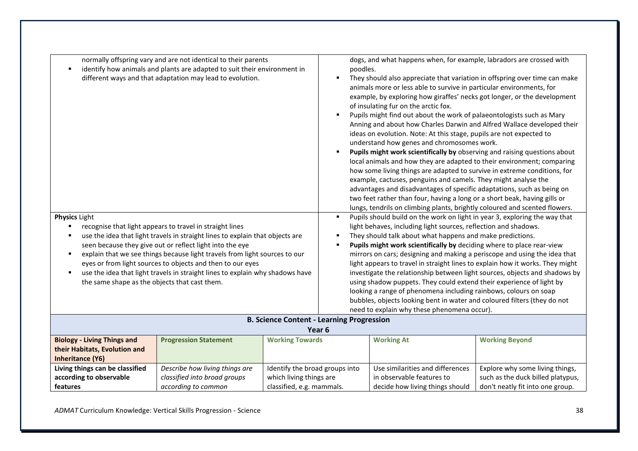| normally offspring vary and are not identical to their parents<br>identify how animals and plants are adapted to suit their environment in<br>$\blacksquare$<br>different ways and that adaptation may lead to evolution.<br><b>Physics Light</b><br>recognise that light appears to travel in straight lines<br>use the idea that light travels in straight lines to explain that objects are<br>seen because they give out or reflect light into the eye<br>explain that we see things because light travels from light sources to our<br>٠<br>eyes or from light sources to objects and then to our eyes<br>use the idea that light travels in straight lines to explain why shadows have<br>٠<br>the same shape as the objects that cast them. |                                                                                       | ٠<br>$\blacksquare$<br>need to explain why these phenomena occur).                     | dogs, and what happens when, for example, labradors are crossed with<br>poodles.<br>They should also appreciate that variation in offspring over time can make<br>animals more or less able to survive in particular environments, for<br>example, by exploring how giraffes' necks got longer, or the development<br>of insulating fur on the arctic fox.<br>Pupils might find out about the work of palaeontologists such as Mary<br>Anning and about how Charles Darwin and Alfred Wallace developed their<br>ideas on evolution. Note: At this stage, pupils are not expected to<br>understand how genes and chromosomes work.<br>Pupils might work scientifically by observing and raising questions about<br>local animals and how they are adapted to their environment; comparing<br>how some living things are adapted to survive in extreme conditions, for<br>example, cactuses, penguins and camels. They might analyse the<br>advantages and disadvantages of specific adaptations, such as being on<br>two feet rather than four, having a long or a short beak, having gills or<br>lungs, tendrils on climbing plants, brightly coloured and scented flowers.<br>Pupils should build on the work on light in year 3, exploring the way that<br>light behaves, including light sources, reflection and shadows.<br>They should talk about what happens and make predictions.<br>Pupils might work scientifically by deciding where to place rear-view<br>mirrors on cars; designing and making a periscope and using the idea that<br>light appears to travel in straight lines to explain how it works. They might<br>investigate the relationship between light sources, objects and shadows by<br>using shadow puppets. They could extend their experience of light by<br>looking a range of phenomena including rainbows, colours on soap<br>bubbles, objects looking bent in water and coloured filters (they do not |                                                                                                          |  |
|----------------------------------------------------------------------------------------------------------------------------------------------------------------------------------------------------------------------------------------------------------------------------------------------------------------------------------------------------------------------------------------------------------------------------------------------------------------------------------------------------------------------------------------------------------------------------------------------------------------------------------------------------------------------------------------------------------------------------------------------------|---------------------------------------------------------------------------------------|----------------------------------------------------------------------------------------|-----------------------------------------------------------------------------------------------------------------------------------------------------------------------------------------------------------------------------------------------------------------------------------------------------------------------------------------------------------------------------------------------------------------------------------------------------------------------------------------------------------------------------------------------------------------------------------------------------------------------------------------------------------------------------------------------------------------------------------------------------------------------------------------------------------------------------------------------------------------------------------------------------------------------------------------------------------------------------------------------------------------------------------------------------------------------------------------------------------------------------------------------------------------------------------------------------------------------------------------------------------------------------------------------------------------------------------------------------------------------------------------------------------------------------------------------------------------------------------------------------------------------------------------------------------------------------------------------------------------------------------------------------------------------------------------------------------------------------------------------------------------------------------------------------------------------------------------------------------------------------------------------------------------------------------------|----------------------------------------------------------------------------------------------------------|--|
| <b>B. Science Content - Learning Progression</b><br>Year <sub>6</sub>                                                                                                                                                                                                                                                                                                                                                                                                                                                                                                                                                                                                                                                                              |                                                                                       |                                                                                        |                                                                                                                                                                                                                                                                                                                                                                                                                                                                                                                                                                                                                                                                                                                                                                                                                                                                                                                                                                                                                                                                                                                                                                                                                                                                                                                                                                                                                                                                                                                                                                                                                                                                                                                                                                                                                                                                                                                                         |                                                                                                          |  |
| <b>Biology - Living Things and</b>                                                                                                                                                                                                                                                                                                                                                                                                                                                                                                                                                                                                                                                                                                                 | <b>Progression Statement</b>                                                          | <b>Working Towards</b>                                                                 | <b>Working At</b>                                                                                                                                                                                                                                                                                                                                                                                                                                                                                                                                                                                                                                                                                                                                                                                                                                                                                                                                                                                                                                                                                                                                                                                                                                                                                                                                                                                                                                                                                                                                                                                                                                                                                                                                                                                                                                                                                                                       | <b>Working Beyond</b>                                                                                    |  |
| their Habitats, Evolution and<br><b>Inheritance (Y6)</b>                                                                                                                                                                                                                                                                                                                                                                                                                                                                                                                                                                                                                                                                                           |                                                                                       |                                                                                        |                                                                                                                                                                                                                                                                                                                                                                                                                                                                                                                                                                                                                                                                                                                                                                                                                                                                                                                                                                                                                                                                                                                                                                                                                                                                                                                                                                                                                                                                                                                                                                                                                                                                                                                                                                                                                                                                                                                                         |                                                                                                          |  |
| Living things can be classified<br>according to observable<br>features                                                                                                                                                                                                                                                                                                                                                                                                                                                                                                                                                                                                                                                                             | Describe how living things are<br>classified into broad groups<br>according to common | Identify the broad groups into<br>which living things are<br>classified, e.g. mammals. | Use similarities and differences<br>in observable features to<br>decide how living things should                                                                                                                                                                                                                                                                                                                                                                                                                                                                                                                                                                                                                                                                                                                                                                                                                                                                                                                                                                                                                                                                                                                                                                                                                                                                                                                                                                                                                                                                                                                                                                                                                                                                                                                                                                                                                                        | Explore why some living things,<br>such as the duck billed platypus,<br>don't neatly fit into one group. |  |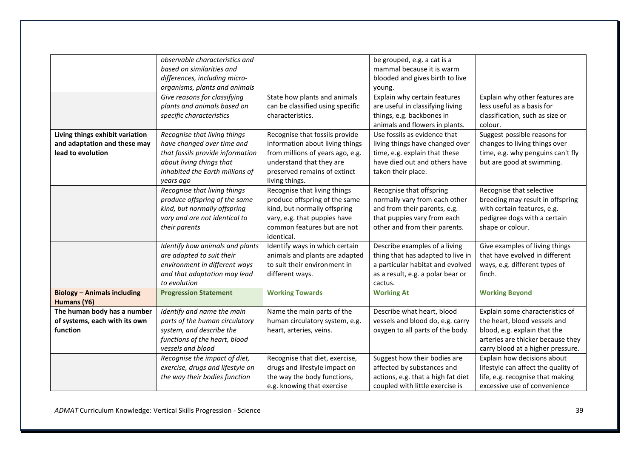|                                    | observable characteristics and   |                                  | be grouped, e.g. a cat is a        |                                     |
|------------------------------------|----------------------------------|----------------------------------|------------------------------------|-------------------------------------|
|                                    | based on similarities and        |                                  | mammal because it is warm          |                                     |
|                                    | differences, including micro-    |                                  | blooded and gives birth to live    |                                     |
|                                    | organisms, plants and animals    |                                  | young.                             |                                     |
|                                    | Give reasons for classifying     | State how plants and animals     | Explain why certain features       | Explain why other features are      |
|                                    | plants and animals based on      | can be classified using specific | are useful in classifying living   | less useful as a basis for          |
|                                    | specific characteristics         | characteristics.                 | things, e.g. backbones in          | classification, such as size or     |
|                                    |                                  |                                  | animals and flowers in plants.     | colour.                             |
| Living things exhibit variation    | Recognise that living things     | Recognise that fossils provide   | Use fossils as evidence that       | Suggest possible reasons for        |
| and adaptation and these may       | have changed over time and       | information about living things  | living things have changed over    | changes to living things over       |
| lead to evolution                  | that fossils provide information | from millions of years ago, e.g. | time, e.g. explain that these      | time, e.g. why penguins can't fly   |
|                                    | about living things that         | understand that they are         | have died out and others have      | but are good at swimming.           |
|                                    | inhabited the Earth millions of  | preserved remains of extinct     | taken their place.                 |                                     |
|                                    | years ago                        | living things.                   |                                    |                                     |
|                                    | Recognise that living things     | Recognise that living things     | Recognise that offspring           | Recognise that selective            |
|                                    | produce offspring of the same    | produce offspring of the same    | normally vary from each other      | breeding may result in offspring    |
|                                    | kind, but normally offspring     | kind, but normally offspring     | and from their parents, e.g.       | with certain features, e.g.         |
|                                    | vary and are not identical to    | vary, e.g. that puppies have     | that puppies vary from each        | pedigree dogs with a certain        |
|                                    | their parents                    | common features but are not      | other and from their parents.      | shape or colour.                    |
|                                    |                                  | identical.                       |                                    |                                     |
|                                    | Identify how animals and plants  | Identify ways in which certain   | Describe examples of a living      | Give examples of living things      |
|                                    | are adapted to suit their        | animals and plants are adapted   | thing that has adapted to live in  | that have evolved in different      |
|                                    | environment in different ways    | to suit their environment in     | a particular habitat and evolved   | ways, e.g. different types of       |
|                                    | and that adaptation may lead     | different ways.                  | as a result, e.g. a polar bear or  | finch.                              |
|                                    | to evolution                     |                                  | cactus.                            |                                     |
| <b>Biology - Animals including</b> | <b>Progression Statement</b>     | <b>Working Towards</b>           | <b>Working At</b>                  | <b>Working Beyond</b>               |
| Humans (Y6)                        |                                  |                                  |                                    |                                     |
| The human body has a number        | Identify and name the main       | Name the main parts of the       | Describe what heart, blood         | Explain some characteristics of     |
| of systems, each with its own      | parts of the human circulatory   | human circulatory system, e.g.   | vessels and blood do, e.g. carry   | the heart, blood vessels and        |
| function                           | system, and describe the         | heart, arteries, veins.          | oxygen to all parts of the body.   | blood, e.g. explain that the        |
|                                    | functions of the heart, blood    |                                  |                                    | arteries are thicker because they   |
|                                    | vessels and blood                |                                  |                                    | carry blood at a higher pressure.   |
|                                    | Recognise the impact of diet,    | Recognise that diet, exercise,   | Suggest how their bodies are       | Explain how decisions about         |
|                                    | exercise, drugs and lifestyle on | drugs and lifestyle impact on    | affected by substances and         | lifestyle can affect the quality of |
|                                    | the way their bodies function    | the way the body functions,      | actions, e.g. that a high fat diet | life, e.g. recognise that making    |
|                                    |                                  | e.g. knowing that exercise       | coupled with little exercise is    | excessive use of convenience        |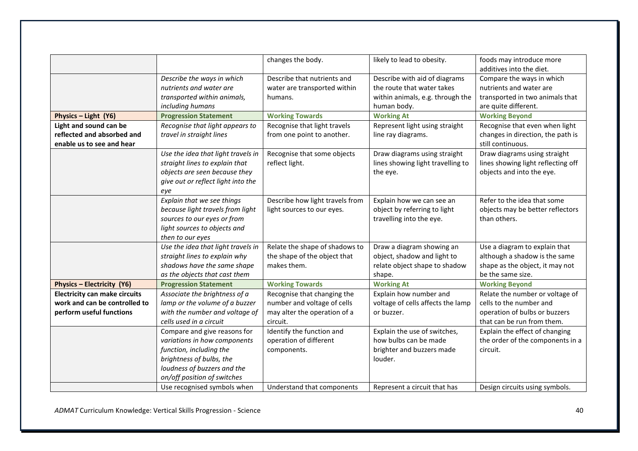|                                                                                                   |                                                                                                                                                                                   | changes the body.                                                                                      | likely to lead to obesity.                                                                                                          | foods may introduce more                                                                                                                                             |
|---------------------------------------------------------------------------------------------------|-----------------------------------------------------------------------------------------------------------------------------------------------------------------------------------|--------------------------------------------------------------------------------------------------------|-------------------------------------------------------------------------------------------------------------------------------------|----------------------------------------------------------------------------------------------------------------------------------------------------------------------|
| Physics - Light (Y6)                                                                              | Describe the ways in which<br>nutrients and water are<br>transported within animals,<br>including humans<br><b>Progression Statement</b>                                          | Describe that nutrients and<br>water are transported within<br>humans.<br><b>Working Towards</b>       | Describe with aid of diagrams<br>the route that water takes<br>within animals, e.g. through the<br>human body.<br><b>Working At</b> | additives into the diet.<br>Compare the ways in which<br>nutrients and water are<br>transported in two animals that<br>are quite different.<br><b>Working Beyond</b> |
|                                                                                                   |                                                                                                                                                                                   |                                                                                                        |                                                                                                                                     |                                                                                                                                                                      |
| Light and sound can be<br>reflected and absorbed and<br>enable us to see and hear                 | Recognise that light appears to<br>travel in straight lines                                                                                                                       | Recognise that light travels<br>from one point to another.                                             | Represent light using straight<br>line ray diagrams.                                                                                | Recognise that even when light<br>changes in direction, the path is<br>still continuous.                                                                             |
|                                                                                                   | Use the idea that light travels in<br>straight lines to explain that<br>objects are seen because they<br>give out or reflect light into the<br>eye                                | Recognise that some objects<br>reflect light.                                                          | Draw diagrams using straight<br>lines showing light travelling to<br>the eye.                                                       | Draw diagrams using straight<br>lines showing light reflecting off<br>objects and into the eye.                                                                      |
|                                                                                                   | Explain that we see things<br>because light travels from light<br>sources to our eyes or from<br>light sources to objects and<br>then to our eyes                                 | Describe how light travels from<br>light sources to our eyes.                                          | Explain how we can see an<br>object by referring to light<br>travelling into the eye.                                               | Refer to the idea that some<br>objects may be better reflectors<br>than others.                                                                                      |
|                                                                                                   | Use the idea that light travels in<br>straight lines to explain why<br>shadows have the same shape<br>as the objects that cast them                                               | Relate the shape of shadows to<br>the shape of the object that<br>makes them.                          | Draw a diagram showing an<br>object, shadow and light to<br>relate object shape to shadow<br>shape.                                 | Use a diagram to explain that<br>although a shadow is the same<br>shape as the object, it may not<br>be the same size.                                               |
| Physics - Electricity (Y6)                                                                        | <b>Progression Statement</b>                                                                                                                                                      | <b>Working Towards</b>                                                                                 | <b>Working At</b>                                                                                                                   | <b>Working Beyond</b>                                                                                                                                                |
| <b>Electricity can make circuits</b><br>work and can be controlled to<br>perform useful functions | Associate the brightness of a<br>lamp or the volume of a buzzer<br>with the number and voltage of<br>cells used in a circuit                                                      | Recognise that changing the<br>number and voltage of cells<br>may alter the operation of a<br>circuit. | Explain how number and<br>voltage of cells affects the lamp<br>or buzzer.                                                           | Relate the number or voltage of<br>cells to the number and<br>operation of bulbs or buzzers<br>that can be run from them.                                            |
|                                                                                                   | Compare and give reasons for<br>variations in how components<br>function, including the<br>brightness of bulbs, the<br>loudness of buzzers and the<br>on/off position of switches | Identify the function and<br>operation of different<br>components.                                     | Explain the use of switches,<br>how bulbs can be made<br>brighter and buzzers made<br>louder.                                       | Explain the effect of changing<br>the order of the components in a<br>circuit.                                                                                       |
|                                                                                                   | Use recognised symbols when                                                                                                                                                       | Understand that components                                                                             | Represent a circuit that has                                                                                                        | Design circuits using symbols.                                                                                                                                       |